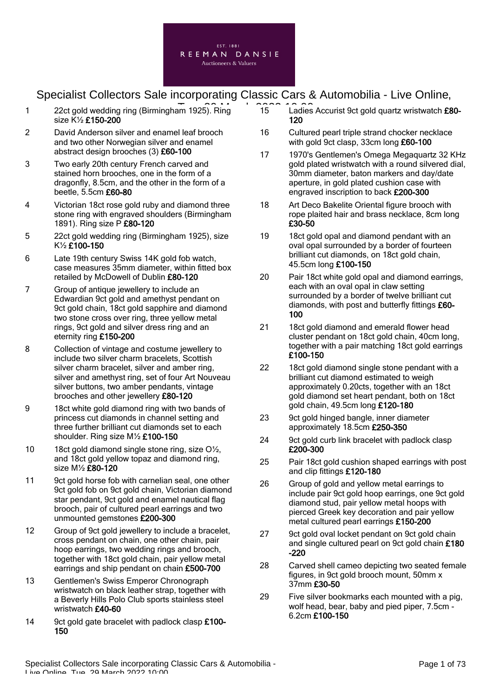

- 1 22ct gold wedding ring (Birmingham 1925). Ring 15 Ladies size K½ £150-200
- 2 David Anderson silver and enamel leaf brooch and two other Norwegian silver and enamel abstract design brooches (3) £60-100
- 3 Two early 20th century French carved and stained horn brooches, one in the form of a dragonfly, 8.5cm, and the other in the form of a beetle, 5.5cm £60-80
- 4 Victorian 18ct rose gold ruby and diamond three stone ring with engraved shoulders (Birmingham 1891). Ring size P £80-120
- 5 22ct gold wedding ring (Birmingham 1925), size K½ £100-150
- 6 Late 19th century Swiss 14K gold fob watch, case measures 35mm diameter, within fitted box retailed by McDowell of Dublin £80-120
- 7 Group of antique jewellery to include an Edwardian 9ct gold and amethyst pendant on 9ct gold chain, 18ct gold sapphire and diamond two stone cross over ring, three yellow metal rings, 9ct gold and silver dress ring and an eternity ring £150-200
- 8 Collection of vintage and costume jewellery to include two silver charm bracelets, Scottish silver charm bracelet, silver and amber ring, silver and amethyst ring, set of four Art Nouveau silver buttons, two amber pendants, vintage brooches and other jewellery £80-120
- 9 18ct white gold diamond ring with two bands of princess cut diamonds in channel setting and three further brilliant cut diamonds set to each shoulder. Ring size M½ £100-150
- 10 18ct gold diamond single stone ring, size O<sup>1</sup>/<sub>2</sub>, and 18ct gold yellow topaz and diamond ring, size M½ £80-120
- 11 9ct gold horse fob with carnelian seal, one other 9ct gold fob on 9ct gold chain. Victorian diamond star pendant. 9ct gold and enamel nautical flag brooch, pair of cultured pearl earrings and two unmounted gemstones £200-300
- 12 Group of 9ct gold jewellery to include a bracelet, cross pendant on chain, one other chain, pair hoop earrings, two wedding rings and brooch, together with 18ct gold chain, pair yellow metal earrings and ship pendant on chain £500-700
- 13 Gentlemen's Swiss Emperor Chronograph wristwatch on black leather strap, together with a Beverly Hills Polo Club sports stainless steel wristwatch £40-60
- 14 9ct gold gate bracelet with padlock clasp £100-150
- 15 Ladies Accurist 9ct gold quartz wristwatch £80-120
- 16 Cultured pearl triple strand chocker necklace with gold 9ct clasp, 33cm long £60-100
- 17 1970's Gentlemen's Omega Megaquartz 32 KHz gold plated wristwatch with a round silvered dial, 30mm diameter, baton markers and day/date aperture, in gold plated cushion case with engraved inscription to back £200-300
- 18 Art Deco Bakelite Oriental figure brooch with rope plaited hair and brass necklace, 8cm long £30-50
- 19 18ct gold opal and diamond pendant with an oval opal surrounded by a border of fourteen brilliant cut diamonds, on 18ct gold chain, 45.5cm long £100-150
- 20 Pair 18ct white gold opal and diamond earrings, each with an oval opal in claw setting surrounded by a border of twelve brilliant cut diamonds, with post and butterfly fittings £60- 100
- 21 18ct gold diamond and emerald flower head cluster pendant on 18ct gold chain, 40cm long, together with a pair matching 18ct gold earrings £100-150
- 22 18ct gold diamond single stone pendant with a brilliant cut diamond estimated to weigh approximately 0.20cts, together with an 18ct gold diamond set heart pendant, both on 18ct gold chain, 49.5cm long £120-180
- 23 9ct gold hinged bangle, inner diameter approximately 18.5cm £250-350
- 24 9ct gold curb link bracelet with padlock clasp £200-300
- 25 Pair 18ct gold cushion shaped earrings with post and clip fittings £120-180
- 26 Group of gold and yellow metal earrings to include pair 9ct gold hoop earrings, one 9ct gold diamond stud, pair yellow metal hoops with pierced Greek key decoration and pair yellow metal cultured pearl earrings £150-200
- 27 9ct gold oval locket pendant on 9ct gold chain and single cultured pearl on 9ct gold chain £180 -220
- 28 Carved shell cameo depicting two seated female figures, in 9ct gold brooch mount, 50mm x 37mm £30-50
- 29 Five silver bookmarks each mounted with a pig, wolf head, bear, baby and pied piper, 7.5cm - 6.2cm £100-150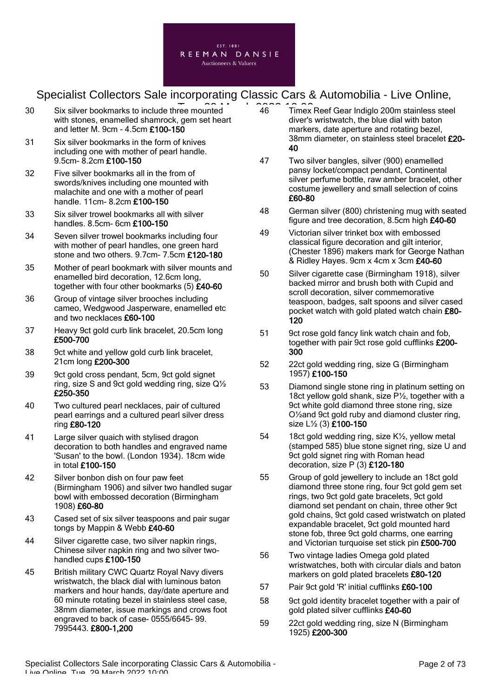

- 30 Six silver bookmarks to include three mounted 26 March 2022 10:00 with stones, enamelled shamrock, gem set heart and letter M. 9cm - 4.5cm £100-150
- 31 Six silver bookmarks in the form of knives including one with mother of pearl handle. 9.5cm- 8.2cm £100-150
- 32 Five silver bookmarks all in the from of swords/knives including one mounted with malachite and one with a mother of pearl handle. 11cm- 8.2cm £100-150
- 33 Six silver trowel bookmarks all with silver handles. 8.5cm- 6cm £100-150
- 34 Seven silver trowel bookmarks including four with mother of pearl handles, one green hard stone and two others. 9.7cm- 7.5cm £120-180
- 35 Mother of pearl bookmark with silver mounts and enamelled bird decoration, 12.6cm long, together with four other bookmarks (5) £40-60
- 36 Group of vintage silver brooches including cameo, Wedgwood Jasperware, enamelled etc and two necklaces £60-100
- 37 Heavy 9ct gold curb link bracelet, 20.5cm long £500-700
- 38 9ct white and yellow gold curb link bracelet, 21cm long £200-300
- 39 9ct gold cross pendant, 5cm, 9ct gold signet ring, size S and 9ct gold wedding ring, size Q½ £250-350
- 40 Two cultured pearl necklaces, pair of cultured pearl earrings and a cultured pearl silver dress ring £80-120
- 41 Large silver quaich with stylised dragon decoration to both handles and engraved name 'Susan' to the bowl. (London 1934). 18cm wide in total £100-150
- 42 Silver bonbon dish on four paw feet (Birmingham 1906) and silver two handled sugar bowl with embossed decoration (Birmingham 1908) £60-80
- 43 Cased set of six silver teaspoons and pair sugar tongs by Mappin & Webb £40-60
- 44 Silver cigarette case, two silver napkin rings, Chinese silver napkin ring and two silver twohandled cups £100-150
- 45 British military CWC Quartz Royal Navy divers wristwatch, the black dial with luminous baton markers and hour hands, day/date aperture and 60 minute rotating bezel in stainless steel case, 38mm diameter, issue markings and crows foot engraved to back of case- 0555/6645- 99. 7995443. £800-1,200
- 46 Timex Reef Gear Indiglo 200m stainless steel diver's wristwatch, the blue dial with baton markers, date aperture and rotating bezel, 38mm diameter, on stainless steel bracelet £20- 40
- 47 Two silver bangles, silver (900) enamelled pansy locket/compact pendant, Continental silver perfume bottle, raw amber bracelet, other costume jewellery and small selection of coins £60-80
- 48 German silver (800) christening mug with seated figure and tree decoration, 8.5cm high £40-60
- 49 Victorian silver trinket box with embossed classical figure decoration and gilt interior, (Chester 1896) makers mark for George Nathan & Ridley Hayes. 9cm x 4cm x 3cm £40-60
- 50 Silver cigarette case (Birmingham 1918), silver backed mirror and brush both with Cupid and scroll decoration, silver commemorative teaspoon, badges, salt spoons and silver cased pocket watch with gold plated watch chain £80- 120
- 51 9ct rose gold fancy link watch chain and fob, together with pair 9ct rose gold cufflinks £200- 300
- 52 22ct gold wedding ring, size G (Birmingham 1957) £100-150
- 53 Diamond single stone ring in platinum setting on 18ct yellow gold shank, size P1/2, together with a 9ct white gold diamond three stone ring, size O½and 9ct gold ruby and diamond cluster ring, size L½ (3) £100-150
- 54 18ct gold wedding ring, size K½, yellow metal (stamped 585) blue stone signet ring, size U and 9ct gold signet ring with Roman head decoration, size P (3) £120-180
- 55 Group of gold jewellery to include an 18ct gold diamond three stone ring, four 9ct gold gem set rings, two 9ct gold gate bracelets, 9ct gold diamond set pendant on chain, three other 9ct gold chains, 9ct gold cased wristwatch on plated expandable bracelet. 9ct gold mounted hard stone fob, three 9ct gold charms, one earring and Victorian turquoise set stick pin £500-700
- 56 Two vintage ladies Omega gold plated wristwatches, both with circular dials and baton markers on gold plated bracelets £80-120
- 57 Pair 9ct gold 'R' initial cufflinks £60-100
- 58 9ct gold identity bracelet together with a pair of gold plated silver cufflinks £40-60
- 59 22ct gold wedding ring, size N (Birmingham 1925) £200-300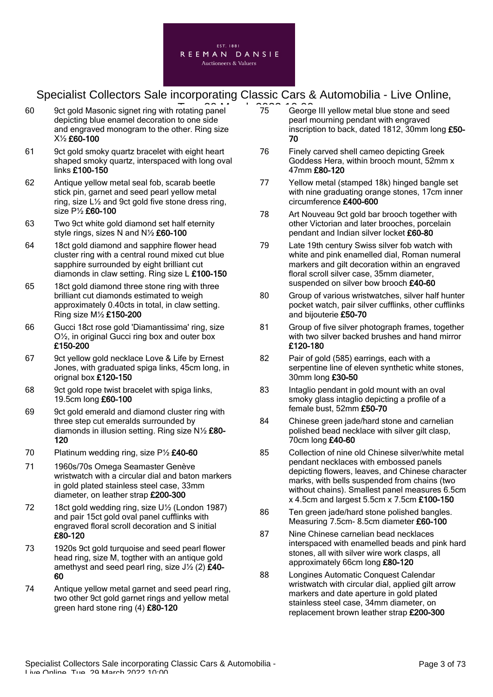

- 60 9ct gold Masonic signet ring with rotating panel **2022** 2023 36 depicting blue enamel decoration to one side and engraved monogram to the other. Ring size X½ £60-100
- 61 9ct gold smoky quartz bracelet with eight heart shaped smoky quartz, interspaced with long oval links £100-150
- 62 Antique yellow metal seal fob, scarab beetle stick pin, garnet and seed pearl yellow metal ring, size L½ and 9ct gold five stone dress ring, size P½ £60-100
- 63 Two 9ct white gold diamond set half eternity style rings, sizes N and N½ £60-100
- 64 18ct gold diamond and sapphire flower head cluster ring with a central round mixed cut blue sapphire surrounded by eight brilliant cut diamonds in claw setting. Ring size L £100-150
- 65 18ct gold diamond three stone ring with three brilliant cut diamonds estimated to weigh approximately 0.40cts in total, in claw setting. Ring size M½ £150-200
- 66 Gucci 18ct rose gold 'Diamantissima' ring, size O½, in original Gucci ring box and outer box £150-200
- 67 9ct yellow gold necklace Love & Life by Ernest Jones, with graduated spiga links, 45cm long, in orignal box £120-150
- 68 9ct gold rope twist bracelet with spiga links, 19.5cm long £60-100
- 69 9ct gold emerald and diamond cluster ring with three step cut emeralds surrounded by diamonds in illusion setting. Ring size N½ £80- 120
- 70 Platinum wedding ring, size P<sup>1</sup>/<sub>2</sub> £40-60
- 71 1960s/70s Omega Seamaster Genève wristwatch with a circular dial and baton markers in gold plated stainless steel case, 33mm diameter, on leather strap £200-300
- 72 18ct gold wedding ring, size U½ (London 1987) and pair 15ct gold oval panel cufflinks with engraved floral scroll decoration and S initial £80-120
- 73 1920s 9ct gold turquoise and seed pearl flower head ring, size M, togther with an antique gold amethyst and seed pearl ring, size  $J\frac{1}{2}$  (2)  $\hat{E}$ 40-60
- 74 Antique yellow metal garnet and seed pearl ring, two other 9ct gold garnet rings and yellow metal green hard stone ring (4) £80-120
- 75 George III yellow metal blue stone and seed pearl mourning pendant with engraved inscription to back, dated 1812, 30mm long £50- 70
- 76 Finely carved shell cameo depicting Greek Goddess Hera, within brooch mount, 52mm x 47mm £80-120
- 77 Yellow metal (stamped 18k) hinged bangle set with nine graduating orange stones, 17cm inner circumference £400-600
- 78 Art Nouveau 9ct gold bar brooch together with other Victorian and later brooches, porcelain pendant and Indian silver locket £60-80
- 79 Late 19th century Swiss silver fob watch with white and pink enamelled dial, Roman numeral markers and gilt decoration within an engraved floral scroll silver case, 35mm diameter, suspended on silver bow brooch £40-60
- 80 Group of various wristwatches, silver half hunter pocket watch, pair silver cufflinks, other cufflinks and bijouterie £50-70
- 81 Group of five silver photograph frames, together with two silver backed brushes and hand mirror £120-180
- 82 Pair of gold (585) earrings, each with a serpentine line of eleven synthetic white stones. 30mm long £30-50
- 83 Intaglio pendant in gold mount with an oval smoky glass intaglio depicting a profile of a female bust, 52mm £50-70
- 84 Chinese green jade/hard stone and carnelian polished bead necklace with silver gilt clasp, 70cm long £40-60
- 85 Collection of nine old Chinese silver/white metal pendant necklaces with embossed panels depicting flowers, leaves, and Chinese character marks, with bells suspended from chains (two without chains). Smallest panel measures 6.5cm x 4.5cm and largest 5.5cm x 7.5cm £100-150
- 86 Ten green jade/hard stone polished bangles. Measuring 7.5cm- 8.5cm diameter £60-100
- 87 Nine Chinese carnelian bead necklaces interspaced with enamelled beads and pink hard stones, all with silver wire work clasps, all approximately 66cm long £80-120
- 88 Longines Automatic Conquest Calendar wristwatch with circular dial, applied gilt arrow markers and date aperture in gold plated stainless steel case, 34mm diameter, on replacement brown leather strap £200-300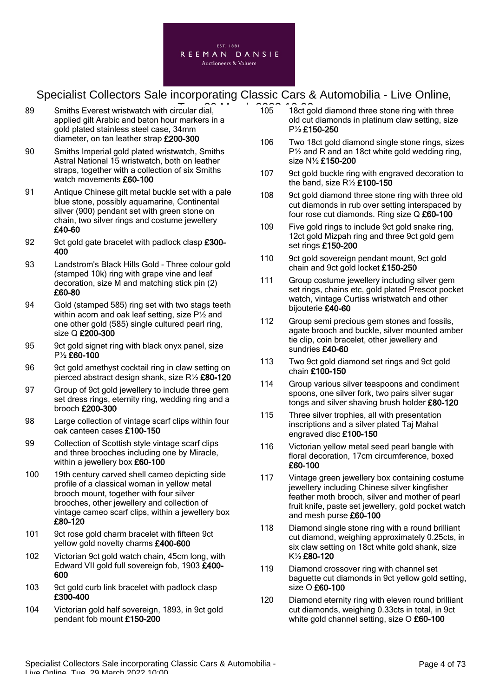

- 89 Smiths Everest wristwatch with circular dial, **2022 10:00:00**<br>
89 Smiths Everest wristwatch with circular dial, applied gilt Arabic and baton hour markers in a gold plated stainless steel case, 34mm diameter, on tan leather strap £200-300
- 90 Smiths Imperial gold plated wristwatch, Smiths Astral National 15 wristwatch, both on leather straps, together with a collection of six Smiths watch movements £60-100
- 91 Antique Chinese gilt metal buckle set with a pale blue stone, possibly aquamarine, Continental silver (900) pendant set with green stone on chain, two silver rings and costume jewellery £40-60
- 92 9ct gold gate bracelet with padlock clasp £300-400
- 93 Landstrom's Black Hills Gold Three colour gold (stamped 10k) ring with grape vine and leaf decoration, size M and matching stick pin (2) £60-80
- 94 Gold (stamped 585) ring set with two stags teeth within acorn and oak leaf setting, size P½ and one other gold (585) single cultured pearl ring, size Q **£200-300**
- 95 9ct gold signet ring with black onyx panel, size P½ £60-100
- 96 9ct gold amethyst cocktail ring in claw setting on pierced abstract design shank, size R½ £80-120
- 97 Group of 9ct gold jewellery to include three gem set dress rings, eternity ring, wedding ring and a brooch £200-300
- 98 Large collection of vintage scarf clips within four oak canteen cases £100-150
- 99 Collection of Scottish style vintage scarf clips and three brooches including one by Miracle, within a jewellery box £60-100
- 100 19th century carved shell cameo depicting side profile of a classical woman in yellow metal brooch mount, together with four silver brooches, other jewellery and collection of vintage cameo scarf clips, within a jewellery box £80-120
- 101 9ct rose gold charm bracelet with fifteen 9ct yellow gold novelty charms £400-600
- 102 Victorian 9ct gold watch chain, 45cm long, with Edward VII gold full sovereign fob, 1903 £400- 600
- 103 9ct gold curb link bracelet with padlock clasp £300-400
- 104 Victorian gold half sovereign, 1893, in 9ct gold pendant fob mount £150-200
- 105 18ct gold diamond three stone ring with three old cut diamonds in platinum claw setting, size P½ £150-250
- 106 Two 18ct gold diamond single stone rings, sizes P½ and R and an 18ct white gold wedding ring, size N½ £150-200
- 107 9ct gold buckle ring with engraved decoration to the band, size  $R\frac{1}{2}$  £100-150
- 108 9ct gold diamond three stone ring with three old cut diamonds in rub over setting interspaced by four rose cut diamonds. Ring size Q £60-100
- 109 Five gold rings to include 9ct gold snake ring, 12ct gold Mizpah ring and three 9ct gold gem set rings £150-200
- 110 9ct gold sovereign pendant mount, 9ct gold chain and 9ct gold locket £150-250
- 111 Group costume jewellery including silver gem set rings, chains etc, gold plated Prescot pocket watch, vintage Curtiss wristwatch and other bijouterie £40-60
- 112 Group semi precious gem stones and fossils, agate brooch and buckle, silver mounted amber tie clip, coin bracelet, other jewellery and sundries £40-60
- 113 Two 9ct gold diamond set rings and 9ct gold chain £100-150
- 114 Group various silver teaspoons and condiment spoons, one silver fork, two pairs silver sugar tongs and silver shaving brush holder £80-120
- 115 Three silver trophies, all with presentation inscriptions and a silver plated Taj Mahal engraved disc £100-150
- 116 Victorian yellow metal seed pearl bangle with floral decoration, 17cm circumference, boxed £60-100
- 117 Vintage green jewellery box containing costume jewellery including Chinese silver kingfisher feather moth brooch, silver and mother of pearl fruit knife, paste set jewellery, gold pocket watch and mesh purse £60-100
- 118 Diamond single stone ring with a round brilliant cut diamond, weighing approximately 0.25cts, in six claw setting on 18ct white gold shank, size K½ £80-120
- 119 Diamond crossover ring with channel set baguette cut diamonds in 9ct yellow gold setting, size O £60-100
- 120 Diamond eternity ring with eleven round brilliant cut diamonds, weighing 0.33cts in total, in 9ct white gold channel setting, size O £60-100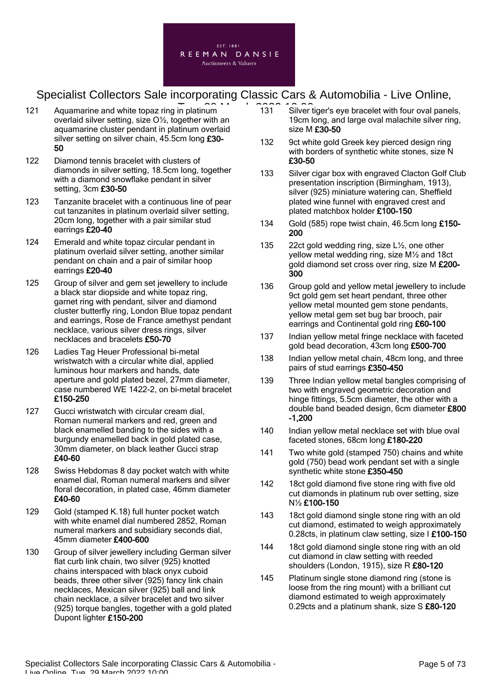

- 121 Aquamarine and white topaz ring in platinum<br>
131 Silver overlaid silver setting, size O½, together with an aquamarine cluster pendant in platinum overlaid silver setting on silver chain, 45.5cm long £30-50
- 122 Diamond tennis bracelet with clusters of diamonds in silver setting, 18.5cm long, together with a diamond snowflake pendant in silver setting, 3cm £30-50
- 123 Tanzanite bracelet with a continuous line of pear cut tanzanites in platinum overlaid silver setting, 20cm long, together with a pair similar stud earrings £20-40
- 124 Emerald and white topaz circular pendant in platinum overlaid silver setting, another similar pendant on chain and a pair of similar hoop earrings £20-40
- 125 Group of silver and gem set jewellery to include a black star diopside and white topaz ring, garnet ring with pendant, silver and diamond cluster butterfly ring, London Blue topaz pendant and earrings, Rose de France amethyst pendant necklace, various silver dress rings, silver necklaces and bracelets £50-70
- 126 Ladies Tag Heuer Professional bi-metal wristwatch with a circular white dial, applied luminous hour markers and hands, date aperture and gold plated bezel, 27mm diameter, case numbered WE 1422-2, on bi-metal bracelet £150-250
- 127 Gucci wristwatch with circular cream dial, Roman numeral markers and red, green and black enamelled banding to the sides with a burgundy enamelled back in gold plated case, 30mm diameter, on black leather Gucci strap £40-60
- 128 Swiss Hebdomas 8 day pocket watch with white enamel dial, Roman numeral markers and silver floral decoration, in plated case, 46mm diameter £40-60
- 129 Gold (stamped K.18) full hunter pocket watch with white enamel dial numbered 2852, Roman numeral markers and subsidiary seconds dial, 45mm diameter £400-600
- 130 Group of silver jewellery including German silver flat curb link chain, two silver (925) knotted chains interspaced with black onyx cuboid beads, three other silver (925) fancy link chain necklaces, Mexican silver (925) ball and link chain necklace, a silver bracelet and two silver (925) torque bangles, together with a gold plated Dupont lighter £150-200
- 131 Silver tiger's eye bracelet with four oval panels, 19cm long, and large oval malachite silver ring, size M £30-50
- 132 9ct white gold Greek key pierced design ring with borders of synthetic white stones, size N £30-50
- 133 Silver cigar box with engraved Clacton Golf Club presentation inscription (Birmingham, 1913), silver (925) miniature watering can, Sheffield plated wine funnel with engraved crest and plated matchbox holder £100-150
- 134 Gold (585) rope twist chain, 46.5cm long £150-200
- 135 22ct gold wedding ring, size L<sup>1</sup>/<sub>2</sub>, one other yellow metal wedding ring, size M½ and 18ct gold diamond set cross over ring, size M £200-300
- 136 Group gold and yellow metal jewellery to include 9ct gold gem set heart pendant, three other yellow metal mounted gem stone pendants, yellow metal gem set bug bar brooch, pair earrings and Continental gold ring £60-100
- 137 Indian yellow metal fringe necklace with faceted gold bead decoration, 43cm long £500-700
- 138 Indian vellow metal chain, 48cm long, and three pairs of stud earrings £350-450
- 139 Three Indian yellow metal bangles comprising of two with engraved geometric decoration and hinge fittings, 5.5cm diameter, the other with a double band beaded design, 6cm diameter £800 -1,200
- 140 Indian yellow metal necklace set with blue oval faceted stones, 68cm long £180-220
- 141 Two white gold (stamped 750) chains and white gold (750) bead work pendant set with a single synthetic white stone £350-450
- 142 18ct gold diamond five stone ring with five old cut diamonds in platinum rub over setting, size N½ £100-150
- 143 18ct gold diamond single stone ring with an old cut diamond, estimated to weigh approximately 0.28cts, in platinum claw setting, size I £100-150
- 144 18ct gold diamond single stone ring with an old cut diamond in claw setting with reeded shoulders (London, 1915), size R £80-120
- 145 Platinum single stone diamond ring (stone is loose from the ring mount) with a brilliant cut diamond estimated to weigh approximately 0.29cts and a platinum shank, size S £80-120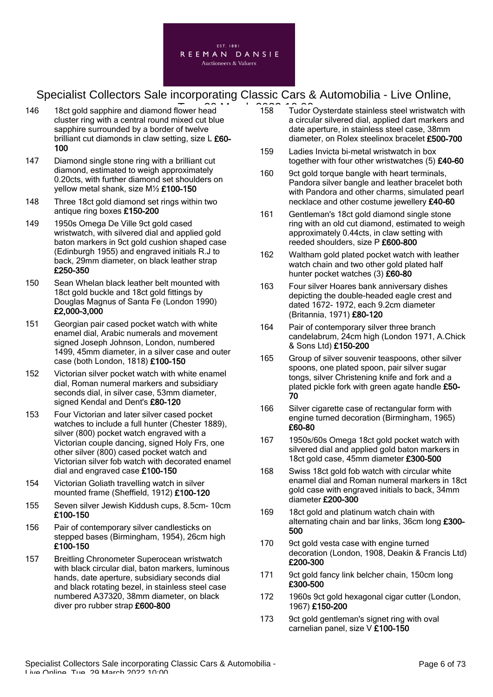

- 146 18ct gold sapphire and diamond flower head 158 16.00 cluster ring with a central round mixed cut blue sapphire surrounded by a border of twelve brilliant cut diamonds in claw setting, size L £60-100
- 147 Diamond single stone ring with a brilliant cut diamond, estimated to weigh approximately 0.20cts, with further diamond set shoulders on yellow metal shank, size M½ £100-150
- 148 Three 18ct gold diamond set rings within two antique ring boxes £150-200
- 149 1950s Omega De Ville 9ct gold cased wristwatch, with silvered dial and applied gold baton markers in 9ct gold cushion shaped case (Edinburgh 1955) and engraved initials R.J to back, 29mm diameter, on black leather strap £250-350
- 150 Sean Whelan black leather belt mounted with 18ct gold buckle and 18ct gold fittings by Douglas Magnus of Santa Fe (London 1990) £2,000-3,000
- 151 Georgian pair cased pocket watch with white enamel dial, Arabic numerals and movement signed Joseph Johnson, London, numbered 1499, 45mm diameter, in a silver case and outer case (both London, 1818) £100-150
- 152 Victorian silver pocket watch with white enamel dial, Roman numeral markers and subsidiary seconds dial, in silver case, 53mm diameter, signed Kendal and Dent's £80-120
- 153 Four Victorian and later silver cased pocket watches to include a full hunter (Chester 1889), silver (800) pocket watch engraved with a Victorian couple dancing, signed Holy Frs, one other silver (800) cased pocket watch and Victorian silver fob watch with decorated enamel dial and engraved case £100-150
- 154 Victorian Goliath travelling watch in silver mounted frame (Sheffield, 1912) £100-120
- 155 Seven silver Jewish Kiddush cups, 8.5cm- 10cm £100-150
- 156 Pair of contemporary silver candlesticks on stepped bases (Birmingham, 1954), 26cm high £100-150
- 157 Breitling Chronometer Superocean wristwatch with black circular dial, baton markers, luminous hands, date aperture, subsidiary seconds dial and black rotating bezel, in stainless steel case numbered A37320, 38mm diameter, on black diver pro rubber strap £600-800
- 158 Tudor Oysterdate stainless steel wristwatch with a circular silvered dial, applied dart markers and date aperture, in stainless steel case, 38mm diameter, on Rolex steelinox bracelet £500-700
- 159 Ladies Invicta bi-metal wristwatch in box together with four other wristwatches (5) £40-60
- 160 9ct gold torque bangle with heart terminals, Pandora silver bangle and leather bracelet both with Pandora and other charms, simulated pearl necklace and other costume jewellery £40-60
- 161 Gentleman's 18ct gold diamond single stone ring with an old cut diamond, estimated to weigh approximately 0.44cts, in claw setting with reeded shoulders, size P £600-800
- 162 Waltham gold plated pocket watch with leather watch chain and two other gold plated half hunter pocket watches (3) £60-80
- 163 Four silver Hoares bank anniversary dishes depicting the double-headed eagle crest and dated 1672- 1972, each 9.2cm diameter (Britannia, 1971) £80-120
- 164 Pair of contemporary silver three branch candelabrum, 24cm high (London 1971, A.Chick & Sons Ltd) £150-200
- 165 Group of silver souvenir teaspoons, other silver spoons, one plated spoon, pair silver sugar tongs, silver Christening knife and fork and a plated pickle fork with green agate handle £50-70
- 166 Silver cigarette case of rectangular form with engine turned decoration (Birmingham, 1965) £60-80
- 167 1950s/60s Omega 18ct gold pocket watch with silvered dial and applied gold baton markers in 18ct gold case, 45mm diameter £300-500
- 168 Swiss 18ct gold fob watch with circular white enamel dial and Roman numeral markers in 18ct gold case with engraved initials to back, 34mm diameter £200-300
- 169 18ct gold and platinum watch chain with alternating chain and bar links, 36cm long £300- 500
- 170 9ct gold vesta case with engine turned decoration (London, 1908, Deakin & Francis Ltd) £200-300
- 171 9ct gold fancy link belcher chain, 150cm long £300-500
- 172 1960s 9ct gold hexagonal cigar cutter (London, 1967) £150-200
- 173 9ct gold gentleman's signet ring with oval carnelian panel, size V £100-150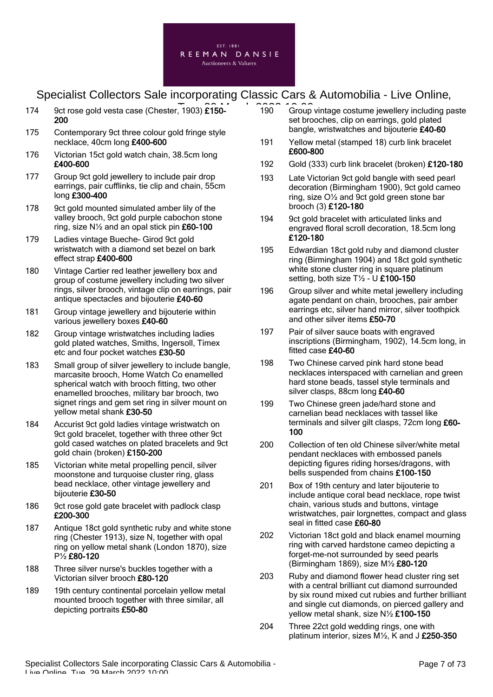

- 174 9ct rose gold vesta case (Chester, 1903)  $\widehat{E150}$  190 Group 200
- 175 Contemporary 9ct three colour gold fringe style necklace, 40cm long £400-600
- 176 Victorian 15ct gold watch chain, 38.5cm long £400-600
- 177 Group 9ct gold jewellery to include pair drop earrings, pair cufflinks, tie clip and chain, 55cm long £300-400
- 178 9ct gold mounted simulated amber lily of the valley brooch, 9ct gold purple cabochon stone ring, size N½ and an opal stick pin £60-100
- 179 Ladies vintage Bueche- Girod 9ct gold wristwatch with a diamond set bezel on bark effect strap £400-600
- 180 Vintage Cartier red leather jewellery box and group of costume jewellery including two silver rings, silver brooch, vintage clip on earrings, pair antique spectacles and bijouterie £40-60
- 181 Group vintage jewellery and bijouterie within various jewellery boxes £40-60
- 182 Group vintage wristwatches including ladies gold plated watches, Smiths, Ingersoll, Timex etc and four pocket watches £30-50
- 183 Small group of silver jewellery to include bangle, marcasite brooch, Home Watch Co enamelled spherical watch with brooch fitting, two other enamelled brooches, military bar brooch, two signet rings and gem set ring in silver mount on yellow metal shank £30-50
- 184 Accurist 9ct gold ladies vintage wristwatch on 9ct gold bracelet, together with three other 9ct gold cased watches on plated bracelets and 9ct gold chain (broken) £150-200
- 185 Victorian white metal propelling pencil, silver moonstone and turquoise cluster ring, glass bead necklace, other vintage jewellery and bijouterie £30-50
- 186 9ct rose gold gate bracelet with padlock clasp £200-300
- 187 Antique 18ct gold synthetic ruby and white stone ring (Chester 1913), size N, together with opal ring on yellow metal shank (London 1870), size P½ £80-120
- 188 Three silver nurse's buckles together with a Victorian silver brooch £80-120
- 189 19th century continental porcelain yellow metal mounted brooch together with three similar, all depicting portraits £50-80
- 190 Group vintage costume jewellery including paste set brooches, clip on earrings, gold plated bangle, wristwatches and bijouterie £40-60
- 191 Yellow metal (stamped 18) curb link bracelet £600-800
- 192 Gold (333) curb link bracelet (broken) £120-180
- 193 Late Victorian 9ct gold bangle with seed pearl decoration (Birmingham 1900), 9ct gold cameo ring, size O½ and 9ct gold green stone bar brooch (3) £120-180
- 194 9ct gold bracelet with articulated links and engraved floral scroll decoration, 18.5cm long £120-180
- 195 Edwardian 18ct gold ruby and diamond cluster ring (Birmingham 1904) and 18ct gold synthetic white stone cluster ring in square platinum setting, both size  $T\frac{1}{2}$  - U £100-150
- 196 Group silver and white metal jewellery including agate pendant on chain, brooches, pair amber earrings etc, silver hand mirror, silver toothpick and other silver items £50-70
- 197 Pair of silver sauce boats with engraved inscriptions (Birmingham, 1902), 14.5cm long, in fitted case £40-60
- 198 Two Chinese carved pink hard stone bead necklaces interspaced with carnelian and green hard stone beads, tassel style terminals and silver clasps, 88cm long £40-60
- 199 Two Chinese green jade/hard stone and carnelian bead necklaces with tassel like terminals and silver gilt clasps, 72cm long £60-100
- 200 Collection of ten old Chinese silver/white metal pendant necklaces with embossed panels depicting figures riding horses/dragons, with bells suspended from chains £100-150
- 201 Box of 19th century and later bijouterie to include antique coral bead necklace, rope twist chain, various studs and buttons, vintage wristwatches, pair lorgnettes, compact and glass seal in fitted case £60-80
- 202 Victorian 18ct gold and black enamel mourning ring with carved hardstone cameo depicting a forget-me-not surrounded by seed pearls (Birmingham 1869), size M½ £80-120
- 203 Ruby and diamond flower head cluster ring set with a central brilliant cut diamond surrounded by six round mixed cut rubies and further brilliant and single cut diamonds, on pierced gallery and yellow metal shank, size N½ £100-150
- 204 Three 22ct gold wedding rings, one with platinum interior, sizes M½, K and J £250-350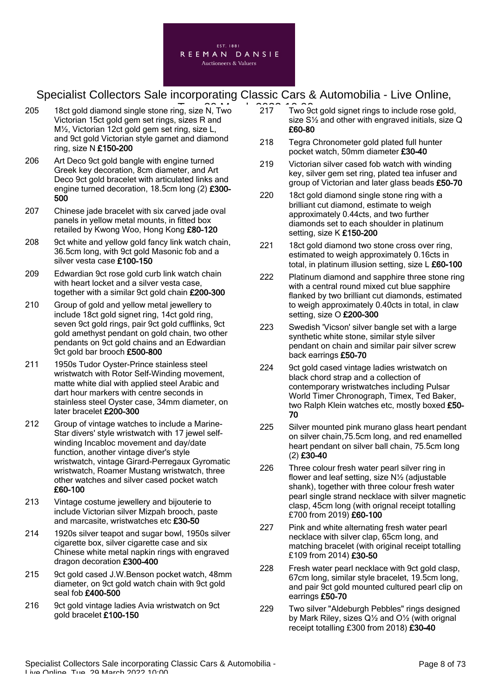

- 205 18ct gold diamond single stone ring, size N, Two 217 Two 9 Victorian 15ct gold gem set rings, sizes R and M½, Victorian 12ct gold gem set ring, size L, and 9ct gold Victorian style garnet and diamond ring, size N £150-200
- 206 Art Deco 9ct gold bangle with engine turned Greek key decoration, 8cm diameter, and Art Deco 9ct gold bracelet with articulated links and engine turned decoration, 18.5cm long (2) £300- 500
- 207 Chinese jade bracelet with six carved jade oval panels in yellow metal mounts, in fitted box retailed by Kwong Woo, Hong Kong £80-120
- 208 9ct white and yellow gold fancy link watch chain, 36.5cm long, with 9ct gold Masonic fob and a silver vesta case £100-150
- 209 Edwardian 9ct rose gold curb link watch chain with heart locket and a silver vesta case, together with a similar 9ct gold chain £200-300
- 210 Group of gold and yellow metal jewellery to include 18ct gold signet ring, 14ct gold ring, seven 9ct gold rings, pair 9ct gold cufflinks, 9ct gold amethyst pendant on gold chain, two other pendants on 9ct gold chains and an Edwardian 9ct gold bar brooch £500-800
- 211 1950s Tudor Oyster-Prince stainless steel wristwatch with Rotor Self-Winding movement, matte white dial with applied steel Arabic and dart hour markers with centre seconds in stainless steel Oyster case, 34mm diameter, on later bracelet £200-300
- 212 Group of vintage watches to include a Marine-Star divers' style wristwatch with 17 jewel selfwinding Incabloc movement and day/date function, another vintage diver's style wristwatch, vintage Girard-Perregaux Gyromatic wristwatch, Roamer Mustang wristwatch, three other watches and silver cased pocket watch £60-100
- 213 Vintage costume jewellery and bijouterie to include Victorian silver Mizpah brooch, paste and marcasite, wristwatches etc £30-50
- 214 1920s silver teapot and sugar bowl, 1950s silver cigarette box, silver cigarette case and six Chinese white metal napkin rings with engraved dragon decoration £300-400
- 215 9ct gold cased J.W.Benson pocket watch, 48mm diameter, on 9ct gold watch chain with 9ct gold seal fob £400-500
- 216 9ct gold vintage ladies Avia wristwatch on 9ct gold bracelet £100-150
- 217 Two 9ct gold signet rings to include rose gold, size S½ and other with engraved initials, size Q £60-80
- 218 Tegra Chronometer gold plated full hunter pocket watch, 50mm diameter £30-40
- 219 Victorian silver cased fob watch with winding key, silver gem set ring, plated tea infuser and group of Victorian and later glass beads £50-70
- 220 18ct gold diamond single stone ring with a brilliant cut diamond, estimate to weigh approximately 0.44cts, and two further diamonds set to each shoulder in platinum setting, size K £150-200
- 221 18ct gold diamond two stone cross over ring, estimated to weigh approximately 0.16cts in total, in platinum illusion setting, size L £60-100
- 222 Platinum diamond and sapphire three stone ring with a central round mixed cut blue sapphire flanked by two brilliant cut diamonds, estimated to weigh approximately 0.40cts in total, in claw setting, size O £200-300
- 223 Swedish 'Vicson' silver bangle set with a large synthetic white stone, similar style silver pendant on chain and similar pair silver screw back earrings £50-70
- 224 9ct gold cased vintage ladies wristwatch on black chord strap and a collection of contemporary wristwatches including Pulsar World Timer Chronograph, Timex, Ted Baker, two Ralph Klein watches etc, mostly boxed £50-70
- 225 Silver mounted pink murano glass heart pendant on silver chain,75.5cm long, and red enamelled heart pendant on silver ball chain, 75.5cm long (2) £30-40
- 226 Three colour fresh water pearl silver ring in flower and leaf setting, size N½ (adjustable shank), together with three colour fresh water pearl single strand necklace with silver magnetic clasp, 45cm long (with orignal receipt totalling £700 from 2019) £60-100
- 227 Pink and white alternating fresh water pearl necklace with silver clap, 65cm long, and matching bracelet (with original receipt totalling £109 from 2014) £30-50
- 228 Fresh water pearl necklace with 9ct gold clasp. 67cm long, similar style bracelet, 19.5cm long, and pair 9ct gold mounted cultured pearl clip on earrings £50-70
- 229 Two silver "Aldeburgh Pebbles" rings designed by Mark Riley, sizes Q½ and O½ (with orignal receipt totalling £300 from 2018) £30-40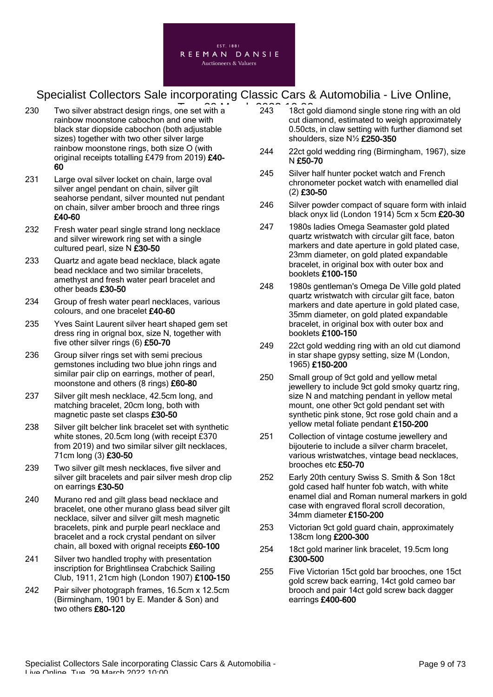

- 230 Two silver abstract design rings, one set with a  $\overline{243}$  18ct go rainbow moonstone cabochon and one with black star diopside cabochon (both adjustable sizes) together with two other silver large rainbow moonstone rings, both size O (with original receipts totalling £479 from 2019) £40- 60
- 231 Large oval silver locket on chain, large oval silver angel pendant on chain, silver gilt seahorse pendant, silver mounted nut pendant on chain, silver amber brooch and three rings £40-60
- 232 Fresh water pearl single strand long necklace and silver wirework ring set with a single cultured pearl, size N £30-50
- 233 Quartz and agate bead necklace, black agate bead necklace and two similar bracelets, amethyst and fresh water pearl bracelet and other beads £30-50
- 234 Group of fresh water pearl necklaces, various colours, and one bracelet £40-60
- 235 Yves Saint Laurent silver heart shaped gem set dress ring in orignal box, size N, together with five other silver rings (6) £50-70
- 236 Group silver rings set with semi precious gemstones including two blue john rings and similar pair clip on earrings, mother of pearl, moonstone and others (8 rings) £60-80
- 237 Silver gilt mesh necklace, 42.5cm long, and matching bracelet, 20cm long, both with magnetic paste set clasps £30-50
- 238 Silver gilt belcher link bracelet set with synthetic white stones, 20.5cm long (with receipt £370 from 2019) and two similar silver gilt necklaces. 71cm long (3) £30-50
- 239 Two silver gilt mesh necklaces, five silver and silver gilt bracelets and pair silver mesh drop clip on earrings £30-50
- 240 Murano red and gilt glass bead necklace and bracelet, one other murano glass bead silver gilt necklace, silver and silver gilt mesh magnetic bracelets, pink and purple pearl necklace and bracelet and a rock crystal pendant on silver chain, all boxed with orignal receipts £60-100
- 241 Silver two handled trophy with presentation inscription for Brightlinsea Crabchick Sailing Club, 1911, 21cm high (London 1907) £100-150
- 242 Pair silver photograph frames, 16.5cm x 12.5cm (Birmingham, 1901 by E. Mander & Son) and two others £80-120
- 243 18ct gold diamond single stone ring with an old cut diamond, estimated to weigh approximately 0.50cts, in claw setting with further diamond set shoulders, size N½ £250-350
- 244 22ct gold wedding ring (Birmingham, 1967), size N £50-70
- 245 Silver half hunter pocket watch and French chronometer pocket watch with enamelled dial (2) £30-50
- 246 Silver powder compact of square form with inlaid black onyx lid (London 1914) 5cm x 5cm £20-30
- 247 1980s ladies Omega Seamaster gold plated quartz wristwatch with circular gilt face, baton markers and date aperture in gold plated case, 23mm diameter, on gold plated expandable bracelet, in original box with outer box and booklets £100-150
- 248 1980s gentleman's Omega De Ville gold plated quartz wristwatch with circular gilt face, baton markers and date aperture in gold plated case. 35mm diameter, on gold plated expandable bracelet, in original box with outer box and booklets £100-150
- 249 22ct gold wedding ring with an old cut diamond in star shape gypsy setting, size M (London, 1965) £150-200
- 250 Small group of 9ct gold and yellow metal jewellery to include 9ct gold smoky quartz ring, size N and matching pendant in yellow metal mount, one other 9ct gold pendant set with synthetic pink stone, 9ct rose gold chain and a yellow metal foliate pendant £150-200
- 251 Collection of vintage costume jewellery and bijouterie to include a silver charm bracelet, various wristwatches, vintage bead necklaces, brooches etc £50-70
- 252 Early 20th century Swiss S. Smith & Son 18ct gold cased half hunter fob watch, with white enamel dial and Roman numeral markers in gold case with engraved floral scroll decoration, 34mm diameter £150-200
- 253 Victorian 9ct gold guard chain, approximately 138cm long £200-300
- 254 18ct gold mariner link bracelet, 19.5cm long £300-500
- 255 Five Victorian 15ct gold bar brooches, one 15ct gold screw back earring, 14ct gold cameo bar brooch and pair 14ct gold screw back dagger earrings £400-600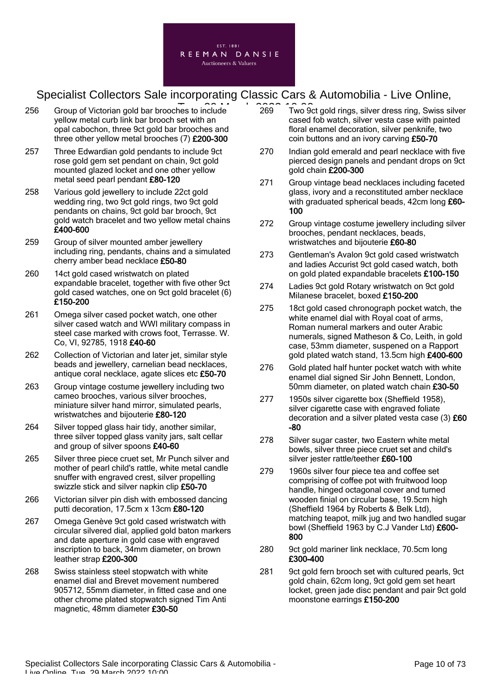

- 256 Group of Victorian gold bar brooches to include 269 Two 9 yellow metal curb link bar brooch set with an opal cabochon, three 9ct gold bar brooches and three other yellow metal brooches (7) £200-300
- 257 Three Edwardian gold pendants to include 9ct rose gold gem set pendant on chain, 9ct gold mounted glazed locket and one other yellow metal seed pearl pendant £80-120
- 258 Various gold jewellery to include 22ct gold wedding ring, two 9ct gold rings, two 9ct gold pendants on chains, 9ct gold bar brooch, 9ct gold watch bracelet and two yellow metal chains £400-600
- 259 Group of silver mounted amber jewellery including ring, pendants, chains and a simulated cherry amber bead necklace £50-80
- 260 14ct gold cased wristwatch on plated expandable bracelet, together with five other 9ct gold cased watches, one on 9ct gold bracelet (6) £150-200
- 261 Omega silver cased pocket watch, one other silver cased watch and WWI military compass in steel case marked with crows foot, Terrasse. W. Co, VI, 92785, 1918 £40-60
- 262 Collection of Victorian and later jet, similar style beads and jewellery, carnelian bead necklaces, antique coral necklace, agate slices etc £50-70
- 263 Group vintage costume jewellery including two cameo brooches, various silver brooches, miniature silver hand mirror, simulated pearls, wristwatches and bijouterie £80-120
- 264 Silver topped glass hair tidy, another similar, three silver topped glass vanity jars, salt cellar and group of silver spoons £40-60
- 265 Silver three piece cruet set, Mr Punch silver and mother of pearl child's rattle, white metal candle snuffer with engraved crest, silver propelling swizzle stick and silver napkin clip £50-70
- 266 Victorian silver pin dish with embossed dancing putti decoration, 17.5cm x 13cm £80-120
- 267 Omega Genève 9ct gold cased wristwatch with circular silvered dial, applied gold baton markers and date aperture in gold case with engraved inscription to back, 34mm diameter, on brown leather strap £200-300
- 268 Swiss stainless steel stopwatch with white enamel dial and Brevet movement numbered 905712, 55mm diameter, in fitted case and one other chrome plated stopwatch signed Tim Anti magnetic, 48mm diameter £30-50
- 269 Two 9ct gold rings, silver dress ring, Swiss silver cased fob watch, silver vesta case with painted floral enamel decoration, silver penknife, two coin buttons and an ivory carving £50-70
- 270 Indian gold emerald and pearl necklace with five pierced design panels and pendant drops on 9ct gold chain £200-300
- 271 Group vintage bead necklaces including faceted glass, ivory and a reconstituted amber necklace with graduated spherical beads, 42cm long £60-100
- 272 Group vintage costume jewellery including silver brooches, pendant necklaces, beads, wristwatches and bijouterie £60-80
- 273 Gentleman's Avalon 9ct gold cased wristwatch and ladies Accurist 9ct gold cased watch, both on gold plated expandable bracelets £100-150
- 274 Ladies 9ct gold Rotary wristwatch on 9ct gold Milanese bracelet, boxed £150-200
- 275 18ct gold cased chronograph pocket watch, the white enamel dial with Royal coat of arms, Roman numeral markers and outer Arabic numerals, signed Matheson & Co, Leith, in gold case, 53mm diameter, suspened on a Rapport gold plated watch stand, 13.5cm high £400-600
- 276 Gold plated half hunter pocket watch with white enamel dial signed Sir John Bennett, London, 50mm diameter, on plated watch chain £30-50
- 277 1950s silver cigarette box (Sheffield 1958), silver cigarette case with engraved foliate decoration and a silver plated vesta case (3) £60 -80
- 278 Silver sugar caster, two Eastern white metal bowls, silver three piece cruet set and child's silver jester rattle/teether £60-100
- 279 1960s silver four piece tea and coffee set comprising of coffee pot with fruitwood loop handle, hinged octagonal cover and turned wooden finial on circular base, 19.5cm high (Sheffield 1964 by Roberts & Belk Ltd), matching teapot, milk jug and two handled sugar bowl (Sheffield 1963 by C.J Vander Ltd) £600- 800
- 280 9ct gold mariner link necklace, 70.5cm long £300-400
- 281 9ct gold fern brooch set with cultured pearls, 9ct gold chain, 62cm long, 9ct gold gem set heart locket, green jade disc pendant and pair 9ct gold moonstone earrings £150-200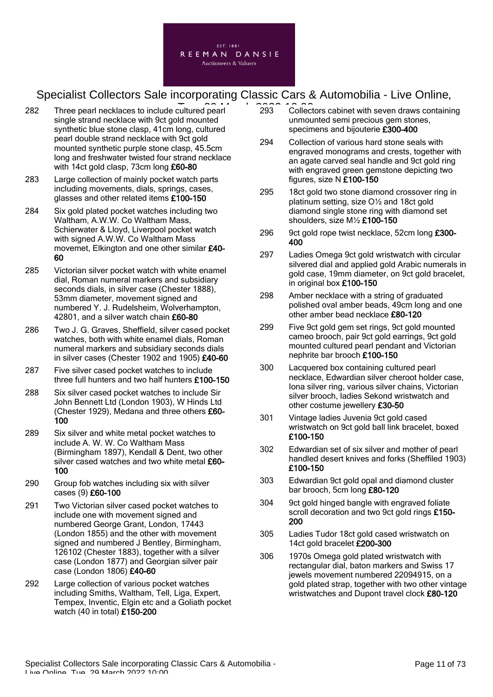

- 282 Three pearl necklaces to include cultured pearl 293 Collect single strand necklace with 9ct gold mounted synthetic blue stone clasp, 41cm long, cultured pearl double strand necklace with 9ct gold mounted synthetic purple stone clasp, 45.5cm long and freshwater twisted four strand necklace with 14ct gold clasp, 73cm long £60-80
- 283 Large collection of mainly pocket watch parts including movements, dials, springs, cases, glasses and other related items £100-150
- 284 Six gold plated pocket watches including two Waltham, A.W.W. Co Waltham Mass, Schierwater & Lloyd, Liverpool pocket watch with signed A.W.W. Co Waltham Mass movemet, Elkington and one other similar £40- 60
- 285 Victorian silver pocket watch with white enamel dial, Roman numeral markers and subsidiary seconds dials, in silver case (Chester 1888), 53mm diameter, movement signed and numbered Y. J. Rudelsheim, Wolverhampton, 42801, and a silver watch chain £60-80
- 286 Two J. G. Graves, Sheffield, silver cased pocket watches, both with white enamel dials, Roman numeral markers and subsidiary seconds dials in silver cases (Chester 1902 and 1905) £40-60
- 287 Five silver cased pocket watches to include three full hunters and two half hunters £100-150
- 288 Six silver cased pocket watches to include Sir John Bennett Ltd (London 1903), W Hinds Ltd (Chester 1929), Medana and three others £60- 100
- 289 Six silver and white metal pocket watches to include A. W. W. Co Waltham Mass (Birmingham 1897), Kendall & Dent, two other silver cased watches and two white metal £60-100
- 290 Group fob watches including six with silver cases (9) £60-100
- 291 Two Victorian silver cased pocket watches to include one with movement signed and numbered George Grant, London, 17443 (London 1855) and the other with movement signed and numbered J Bentley, Birmingham, 126102 (Chester 1883), together with a silver case (London 1877) and Georgian silver pair case (London 1806) £40-60
- 292 Large collection of various pocket watches including Smiths, Waltham, Tell, Liga, Expert, Tempex, Inventic, Elgin etc and a Goliath pocket watch (40 in total) £150-200
- 293 Collectors cabinet with seven draws containing unmounted semi precious gem stones, specimens and bijouterie £300-400
- 294 Collection of various hard stone seals with engraved monograms and crests, together with an agate carved seal handle and 9ct gold ring with engraved green gemstone depicting two figures, size N £100-150
- 295 18ct gold two stone diamond crossover ring in platinum setting, size O½ and 18ct gold diamond single stone ring with diamond set shoulders, size M½ £100-150
- 296 9ct gold rope twist necklace, 52cm long £300-400
- 297 Ladies Omega 9ct gold wristwatch with circular silvered dial and applied gold Arabic numerals in gold case, 19mm diameter, on 9ct gold bracelet, in original box £100-150
- 298 Amber necklace with a string of graduated polished oval amber beads, 49cm long and one other amber bead necklace £80-120
- 299 Five 9ct gold gem set rings, 9ct gold mounted cameo brooch, pair 9ct gold earrings, 9ct gold mounted cultured pearl pendant and Victorian nephrite bar brooch £100-150
- 300 Lacquered box containing cultured pearl necklace, Edwardian silver cheroot holder case, Iona silver ring, various silver chains, Victorian silver brooch, ladies Sekond wristwatch and other costume jewellery £30-50
- 301 Vintage ladies Juvenia 9ct gold cased wristwatch on 9ct gold ball link bracelet, boxed £100-150
- 302 Edwardian set of six silver and mother of pearl handled desert knives and forks (Sheffiled 1903) £100-150
- 303 Edwardian 9ct gold opal and diamond cluster bar brooch, 5cm long £80-120
- 304 9ct gold hinged bangle with engraved foliate scroll decoration and two 9ct gold rings £150-200
- 305 Ladies Tudor 18ct gold cased wristwatch on 14ct gold bracelet £200-300
- 306 1970s Omega gold plated wristwatch with rectangular dial, baton markers and Swiss 17 jewels movement numbered 22094915, on a gold plated strap, together with two other vintage wristwatches and Dupont travel clock £80-120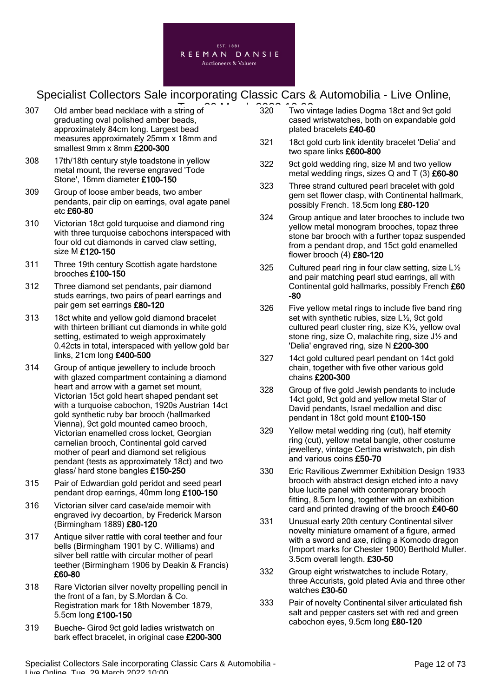

- 307 Old amber bead necklace with a string of  $\overline{320}$  Two vi graduating oval polished amber beads, approximately 84cm long. Largest bead measures approximately 25mm x 18mm and smallest 9mm x 8mm £200-300
- 308 17th/18th century style toadstone in yellow metal mount, the reverse engraved 'Tode Stone', 16mm diameter £100-150
- 309 Group of loose amber beads, two amber pendants, pair clip on earrings, oval agate panel etc £60-80
- 310 Victorian 18ct gold turquoise and diamond ring with three turquoise cabochons interspaced with four old cut diamonds in carved claw setting, size M £120-150
- 311 Three 19th century Scottish agate hardstone brooches £100-150
- 312 Three diamond set pendants, pair diamond studs earrings, two pairs of pearl earrings and pair gem set earrings £80-120
- 313 18ct white and yellow gold diamond bracelet with thirteen brilliant cut diamonds in white gold setting, estimated to weigh approximately 0.42cts in total, interspaced with yellow gold bar links, 21cm long £400-500
- 314 Group of antique jewellery to include brooch with glazed compartment containing a diamond heart and arrow with a garnet set mount, Victorian 15ct gold heart shaped pendant set with a turquoise cabochon, 1920s Austrian 14ct gold synthetic ruby bar brooch (hallmarked Vienna), 9ct gold mounted cameo brooch, Victorian enamelled cross locket, Georgian carnelian brooch, Continental gold carved mother of pearl and diamond set religious pendant (tests as approximately 18ct) and two glass/ hard stone bangles £150-250
- 315 Pair of Edwardian gold peridot and seed pearl pendant drop earrings, 40mm long £100-150
- 316 Victorian silver card case/aide memoir with engraved ivy decoartion, by Frederick Marson (Birmingham 1889) £80-120
- 317 Antique silver rattle with coral teether and four bells (Birmingham 1901 by C. Williams) and silver bell rattle with circular mother of pearl teether (Birmingham 1906 by Deakin & Francis) £60-80
- 318 Rare Victorian silver novelty propelling pencil in the front of a fan, by S.Mordan & Co. Registration mark for 18th November 1879, 5.5cm long £100-150
- 319 Bueche- Girod 9ct gold ladies wristwatch on bark effect bracelet, in original case £200-300
- 320 Two vintage ladies Dogma 18ct and 9ct gold cased wristwatches, both on expandable gold plated bracelets £40-60
- 321 18ct gold curb link identity bracelet 'Delia' and two spare links £600-800
- 322 9ct gold wedding ring, size M and two yellow metal wedding rings, sizes  $Q$  and  $T(3)$  £60-80
- 323 Three strand cultured pearl bracelet with gold gem set flower clasp, with Continental hallmark, possibly French. 18.5cm long £80-120
- 324 Group antique and later brooches to include two yellow metal monogram brooches, topaz three stone bar brooch with a further topaz suspended from a pendant drop, and 15ct gold enamelled flower brooch (4) £80-120
- 325 Cultured pearl ring in four claw setting, size L½ and pair matching pearl stud earrings, all with Continental gold hallmarks, possibly French £60 -80
- 326 Five yellow metal rings to include five band ring set with synthetic rubies, size L½, 9ct gold cultured pearl cluster ring, size K½, yellow oval stone ring, size O, malachite ring, size J½ and 'Delia' engraved ring, size N £200-300
- 327 14ct gold cultured pearl pendant on 14ct gold chain, together with five other various gold chains £200-300
- 328 Group of five gold Jewish pendants to include 14ct gold, 9ct gold and yellow metal Star of David pendants, Israel medallion and disc pendant in 18ct gold mount £100-150
- 329 Yellow metal wedding ring (cut), half eternity ring (cut), yellow metal bangle, other costume jewellery, vintage Certina wristwatch, pin dish and various coins £50-70
- 330 Eric Ravilious Zwemmer Exhibition Design 1933 brooch with abstract design etched into a navy blue lucite panel with contemporary brooch fitting, 8.5cm long, together with an exhibition card and printed drawing of the brooch £40-60
- 331 Unusual early 20th century Continental silver novelty miniature ornament of a figure, armed with a sword and axe, riding a Komodo dragon (Import marks for Chester 1900) Berthold Muller. 3.5cm overall length. £30-50
- 332 Group eight wristwatches to include Rotary, three Accurists, gold plated Avia and three other watches £30-50
- 333 Pair of novelty Continental silver articulated fish salt and pepper casters set with red and green cabochon eyes, 9.5cm long £80-120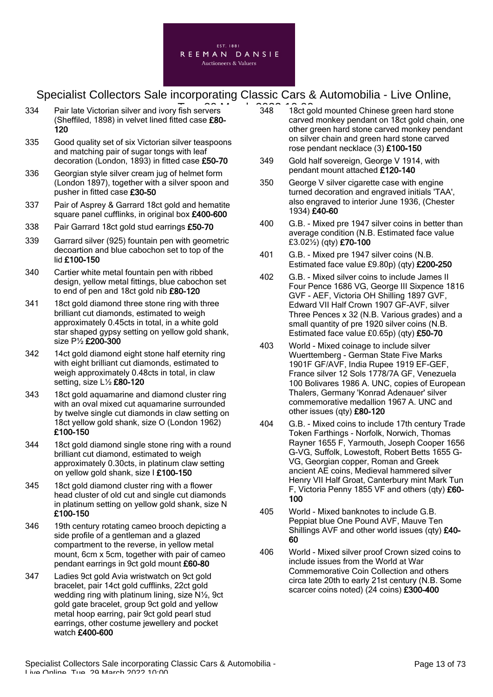

- 334 Pair late Victorian silver and ivory fish servers **2022 12:00 Pair late** 348 18ct go (Sheffiled, 1898) in velvet lined fitted case £80- 120
- 335 Good quality set of six Victorian silver teaspoons and matching pair of sugar tongs with leaf decoration (London, 1893) in fitted case £50-70
- 336 Georgian style silver cream jug of helmet form (London 1897), together with a silver spoon and pusher in fitted case £30-50
- 337 Pair of Asprey & Garrard 18ct gold and hematite square panel cufflinks, in original box £400-600
- 338 Pair Garrard 18ct gold stud earrings £50-70
- 339 Garrard silver (925) fountain pen with geometric decoartion and blue cabochon set to top of the lid £100-150
- 340 Cartier white metal fountain pen with ribbed design, yellow metal fittings, blue cabochon set to end of pen and 18ct gold nib £80-120
- 341 18ct gold diamond three stone ring with three brilliant cut diamonds, estimated to weigh approximately 0.45cts in total, in a white gold star shaped gypsy setting on yellow gold shank, size P½ £200-300
- 342 14ct gold diamond eight stone half eternity ring with eight brilliant cut diamonds, estimated to weigh approximately 0.48cts in total, in claw setting, size L½ £80-120
- 343 18ct gold aquamarine and diamond cluster ring with an oval mixed cut aquamarine surrounded by twelve single cut diamonds in claw setting on 18ct yellow gold shank, size O (London 1962) £100-150
- 344 18ct gold diamond single stone ring with a round brilliant cut diamond, estimated to weigh approximately 0.30cts, in platinum claw setting on yellow gold shank, size I £100-150
- 345 18ct gold diamond cluster ring with a flower head cluster of old cut and single cut diamonds in platinum setting on yellow gold shank, size N £100-150
- 346 19th century rotating cameo brooch depicting a side profile of a gentleman and a glazed compartment to the reverse, in yellow metal mount, 6cm x 5cm, together with pair of cameo pendant earrings in 9ct gold mount £60-80
- 347 Ladies 9ct gold Avia wristwatch on 9ct gold bracelet, pair 14ct gold cufflinks, 22ct gold wedding ring with platinum lining, size N½, 9ct gold gate bracelet, group 9ct gold and yellow metal hoop earring, pair 9ct gold pearl stud earrings, other costume jewellery and pocket watch £400-600
- 348 18ct gold mounted Chinese green hard stone carved monkey pendant on 18ct gold chain, one other green hard stone carved monkey pendant on silver chain and green hard stone carved rose pendant necklace (3) £100-150
- 349 Gold half sovereign, George V 1914, with pendant mount attached £120-140
- 350 George V silver cigarette case with engine turned decoration and engraved initials 'TAA', also engraved to interior June 1936, (Chester 1934) £40-60
- 400 G.B. Mixed pre 1947 silver coins in better than average condition (N.B. Estimated face value £3.02½) (qty) £70-100
- 401 G.B. Mixed pre 1947 silver coins (N.B. Estimated face value £9.80p) (qty) £200-250
- 402 G.B. Mixed silver coins to include James II Four Pence 1686 VG, George III Sixpence 1816 GVF - AEF, Victoria OH Shilling 1897 GVF, Edward VII Half Crown 1907 GF-AVF, silver Three Pences x 32 (N.B. Various grades) and a small quantity of pre 1920 silver coins (N.B. Estimated face value £0.65p) (qty) £50-70
- 403 World Mixed coinage to include silver Wuerttemberg - German State Five Marks 1901F GF/AVF, India Rupee 1919 EF-GEF, France silver 12 Sols 1778/7A GF, Venezuela 100 Bolivares 1986 A. UNC, copies of European Thalers, Germany 'Konrad Adenauer' silver commemorative medallion 1967 A. UNC and other issues (qty) £80-120
- 404 G.B. Mixed coins to include 17th century Trade Token Farthings - Norfolk, Norwich, Thomas Rayner 1655 F, Yarmouth, Joseph Cooper 1656 G-VG, Suffolk, Lowestoft, Robert Betts 1655 G-VG, Georgian copper, Roman and Greek ancient AE coins, Medieval hammered silver Henry VII Half Groat, Canterbury mint Mark Tun F, Victoria Penny 1855 VF and others (qty) £60- 100
- 405 World Mixed banknotes to include G.B. Peppiat blue One Pound AVF, Mauve Ten Shillings AVF and other world issues (qty) £40- 60
- 406 World Mixed silver proof Crown sized coins to include issues from the World at War Commemorative Coin Collection and others circa late 20th to early 21st century (N.B. Some scarcer coins noted) (24 coins) £300-400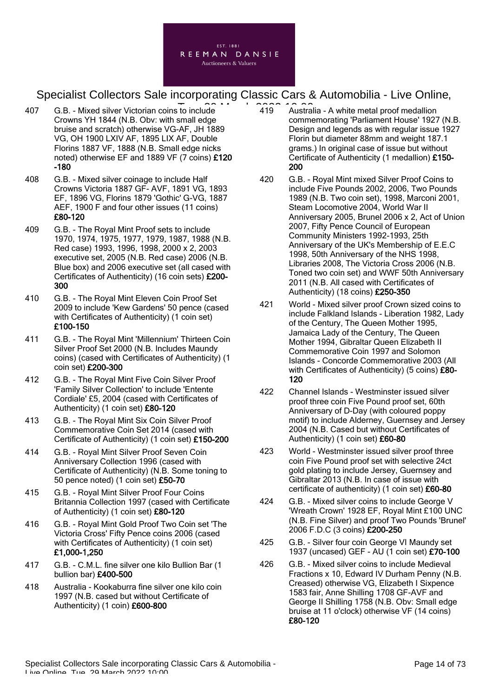

- 407 G.B. Mixed silver Victorian coins to include **19 Austral** Crowns YH 1844 (N.B. Obv: with small edge bruise and scratch) otherwise VG-AF, JH 1889 VG, OH 1900 LXIV AF, 1895 LIX AF, Double Florins 1887 VF, 1888 (N.B. Small edge nicks noted) otherwise EF and 1889 VF (7 coins) £120 -180
- 408 G.B. Mixed silver coinage to include Half Crowns Victoria 1887 GF- AVF, 1891 VG, 1893 EF, 1896 VG, Florins 1879 'Gothic' G-VG, 1887 AEF, 1900 F and four other issues (11 coins) £80-120
- 409 G.B. The Royal Mint Proof sets to include 1970, 1974, 1975, 1977, 1979, 1987, 1988 (N.B. Red case) 1993, 1996, 1998, 2000 x 2, 2003 executive set, 2005 (N.B. Red case) 2006 (N.B. Blue box) and 2006 executive set (all cased with Certificates of Authenticity) (16 coin sets) £200- 300
- 410 G.B. The Royal Mint Eleven Coin Proof Set 2009 to include 'Kew Gardens' 50 pence (cased with Certificates of Authenticity) (1 coin set) £100-150
- 411 G.B. The Royal Mint 'Millennium' Thirteen Coin Silver Proof Set 2000 (N.B. Includes Maundy coins) (cased with Certificates of Authenticity) (1 coin set) £200-300
- 412 G.B. The Royal Mint Five Coin Silver Proof 'Family Silver Collection' to include 'Entente Cordiale' £5, 2004 (cased with Certificates of Authenticity) (1 coin set) £80-120
- 413 G.B. The Royal Mint Six Coin Silver Proof Commemorative Coin Set 2014 (cased with Certificate of Authenticity) (1 coin set) £150-200
- 414 G.B. Royal Mint Silver Proof Seven Coin Anniversary Collection 1996 (cased with Certificate of Authenticity) (N.B. Some toning to 50 pence noted) (1 coin set) £50-70
- 415 G.B. Royal Mint Silver Proof Four Coins Britannia Collection 1997 (cased with Certificate of Authenticity) (1 coin set) £80-120
- 416 G.B. Royal Mint Gold Proof Two Coin set 'The Victoria Cross' Fifty Pence coins 2006 (cased with Certificates of Authenticity) (1 coin set) £1,000-1,250
- 417 G.B. C.M.L. fine silver one kilo Bullion Bar (1 bullion bar) £400-500
- 418 Australia Kookaburra fine silver one kilo coin 1997 (N.B. cased but without Certificate of Authenticity) (1 coin) £600-800
- 419 Australia A white metal proof medallion commemorating 'Parliament House' 1927 (N.B. Design and legends as with regular issue 1927 Florin but diameter 88mm and weight 187.1 grams.) In original case of issue but without Certificate of Authenticity (1 medallion) £150- 200
- 420 G.B. Royal Mint mixed Silver Proof Coins to include Five Pounds 2002, 2006, Two Pounds 1989 (N.B. Two coin set), 1998, Marconi 2001, Steam Locomotive 2004, World War II Anniversary 2005, Brunel 2006 x 2, Act of Union 2007, Fifty Pence Council of European Community Ministers 1992-1993, 25th Anniversary of the UK's Membership of E.E.C 1998, 50th Anniversary of the NHS 1998, Libraries 2008, The Victoria Cross 2006 (N.B. Toned two coin set) and WWF 50th Anniversary 2011 (N.B. All cased with Certificates of Authenticity) (18 coins) £250-350
- 421 World Mixed silver proof Crown sized coins to include Falkland Islands - Liberation 1982, Lady of the Century, The Queen Mother 1995, Jamaica Lady of the Century, The Queen Mother 1994, Gibraltar Queen Elizabeth II Commemorative Coin 1997 and Solomon Islands - Concorde Commemorative 2003 (All with Certificates of Authenticity) (5 coins) £80-120
- 422 Channel Islands Westminster issued silver proof three coin Five Pound proof set, 60th Anniversary of D-Day (with coloured poppy motif) to include Alderney, Guernsey and Jersey 2004 (N.B. Cased but without Certificates of Authenticity) (1 coin set) £60-80
- 423 World Westminster issued silver proof three coin Five Pound proof set with selective 24ct gold plating to include Jersey, Guernsey and Gibraltar 2013 (N.B. In case of issue with certificate of authenticity) (1 coin set) £60-80
- 424 G.B. Mixed silver coins to include George V 'Wreath Crown' 1928 EF, Royal Mint £100 UNC (N.B. Fine Silver) and proof Two Pounds 'Brunel' 2006 F.D.C (3 coins) £200-250
- 425 G.B. Silver four coin George VI Maundy set 1937 (uncased) GEF - AU (1 coin set) £70-100
- 426 G.B. Mixed silver coins to include Medieval Fractions x 10, Edward IV Durham Penny (N.B. Creased) otherwise VG, Elizabeth I Sixpence 1583 fair, Anne Shilling 1708 GF-AVF and George II Shilling 1758 (N.B. Obv: Small edge bruise at 11 o'clock) otherwise VF (14 coins) £80-120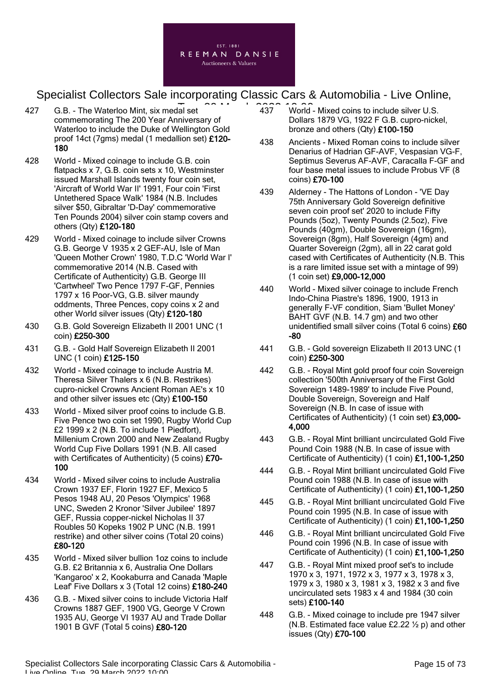

- 427 G.B. The Waterloo Mint, six medal set commemorating The 200 Year Anniversary of Waterloo to include the Duke of Wellington Gold proof 14ct (7gms) medal (1 medallion set) £120- 180
- 428 World Mixed coinage to include G.B. coin flatpacks x 7, G.B. coin sets x 10, Westminster issued Marshall Islands twenty four coin set, 'Aircraft of World War II' 1991, Four coin 'First Untethered Space Walk' 1984 (N.B. Includes silver \$50, Gibraltar 'D-Day' commemorative Ten Pounds 2004) silver coin stamp covers and others (Qty) £120-180
- 429 World Mixed coinage to include silver Crowns G.B. George V 1935 x 2 GEF-AU, Isle of Man 'Queen Mother Crown' 1980, T.D.C 'World War I' commemorative 2014 (N.B. Cased with Certificate of Authenticity) G.B. George III 'Cartwheel' Two Pence 1797 F-GF, Pennies 1797 x 16 Poor-VG, G.B. silver maundy oddments, Three Pences, copy coins x 2 and other World silver issues (Qty) £120-180
- 430 G.B. Gold Sovereign Elizabeth II 2001 UNC (1 coin) £250-300
- 431 G.B. Gold Half Sovereign Elizabeth II 2001 UNC (1 coin) £125-150
- 432 World Mixed coinage to include Austria M. Theresa Silver Thalers x 6 (N.B. Restrikes) cupro-nickel Crowns Ancient Roman AE's x 10 and other silver issues etc (Qty) £100-150
- 433 World Mixed silver proof coins to include G.B. Five Pence two coin set 1990, Rugby World Cup £2 1999 x 2 (N.B. To include 1 Piedfort), Millenium Crown 2000 and New Zealand Rugby World Cup Five Dollars 1991 (N.B. All cased with Certificates of Authenticity) (5 coins) £70-100
- 434 World Mixed silver coins to include Australia Crown 1937 EF, Florin 1927 EF, Mexico 5 Pesos 1948 AU, 20 Pesos 'Olympics' 1968 UNC, Sweden 2 Kronor 'Silver Jubilee' 1897 GEF, Russia copper-nickel Nicholas II 37 Roubles 50 Kopeks 1902 P UNC (N.B. 1991 restrike) and other silver coins (Total 20 coins) £80-120
- 435 World Mixed silver bullion 1oz coins to include G.B. £2 Britannia x 6, Australia One Dollars 'Kangaroo' x 2, Kookaburra and Canada 'Maple Leaf' Five Dollars x 3 (Total 12 coins) £180-240
- 436 G.B. Mixed silver coins to include Victoria Half Crowns 1887 GEF, 1900 VG, George V Crown 1935 AU, George VI 1937 AU and Trade Dollar 1901 B GVF (Total 5 coins) £80-120
- $\overline{a}$  at  $\overline{a}$   $\overline{a}$   $\overline{a}$   $\overline{a}$   $\overline{a}$   $\overline{a}$   $\overline{a}$   $\overline{a}$   $\overline{a}$   $\overline{a}$   $\overline{a}$   $\overline{a}$   $\overline{a}$   $\overline{a}$   $\overline{a}$   $\overline{a}$   $\overline{a}$   $\overline{a}$   $\overline{a}$   $\overline{a}$   $\overline{a}$   $\overline{a}$   $\overline{a}$   $\$ Dollars 1879 VG, 1922 F G.B. cupro-nickel, bronze and others (Qty) £100-150
	- 438 Ancients Mixed Roman coins to include silver Denarius of Hadrian GF-AVF, Vespasian VG-F, Septimus Severus AF-AVF, Caracalla F-GF and four base metal issues to include Probus VF (8 coins) £70-100
	- 439 Alderney The Hattons of London 'VE Day 75th Anniversary Gold Sovereign definitive seven coin proof set' 2020 to include Fifty Pounds (5oz), Twenty Pounds (2.5oz), Five Pounds (40gm), Double Sovereign (16gm), Sovereign (8gm), Half Sovereign (4gm) and Quarter Sovereign (2gm), all in 22 carat gold cased with Certificates of Authenticity (N.B. This is a rare limited issue set with a mintage of 99) (1 coin set) £9,000-12,000
	- 440 World Mixed silver coinage to include French Indo-China Piastre's 1896, 1900, 1913 in generally F-VF condition, Siam 'Bullet Money' BAHT GVF (N.B. 14.7 gm) and two other unidentified small silver coins (Total 6 coins) £60 -80
	- 441 G.B. Gold sovereign Elizabeth II 2013 UNC (1 coin) £250-300
	- 442 G.B. Royal Mint gold proof four coin Sovereign collection '500th Anniversary of the First Gold Sovereign 1489-1989' to include Five Pound, Double Sovereign, Sovereign and Half Sovereign (N.B. In case of issue with Certificates of Authenticity) (1 coin set) £3,000- 4,000
	- 443 G.B. Royal Mint brilliant uncirculated Gold Five Pound Coin 1988 (N.B. In case of issue with Certificate of Authenticity) (1 coin) £1,100-1,250
	- 444 G.B. Royal Mint brilliant uncirculated Gold Five Pound coin 1988 (N.B. In case of issue with Certificate of Authenticity) (1 coin) £1,100-1,250
	- 445 G.B. Royal Mint brilliant uncirculated Gold Five Pound coin 1995 (N.B. In case of issue with Certificate of Authenticity) (1 coin) £1,100-1,250
	- 446 G.B. Royal Mint brilliant uncirculated Gold Five Pound coin 1996 (N.B. In case of issue with Certificate of Authenticity) (1 coin) £1,100-1,250
	- 447 G.B. Royal Mint mixed proof set's to include 1970 x 3, 1971, 1972 x 3, 1977 x 3, 1978 x 3, 1979 x 3, 1980 x 3, 1981 x 3, 1982 x 3 and five uncirculated sets 1983 x 4 and 1984 (30 coin sets) £100-140
	- 448 G.B. Mixed coinage to include pre 1947 silver (N.B. Estimated face value £2.22  $\frac{1}{2}$  p) and other issues (Qty) £70-100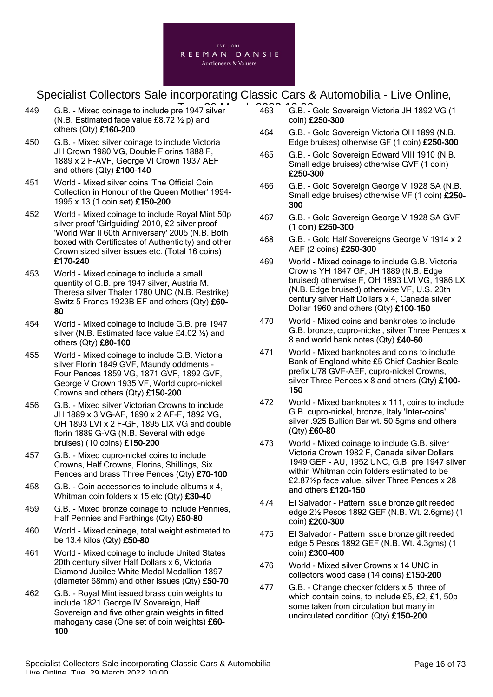

- 449 G.B. Mixed coinage to include pre 1947 silver **2022** 203 G.B. -(N.B. Estimated face value £8.72  $\frac{1}{2}$  p) and others (Qty) £160-200
- 450 G.B. Mixed silver coinage to include Victoria JH Crown 1980 VG, Double Florins 1888 F, 1889 x 2 F-AVF, George VI Crown 1937 AEF and others (Qty) £100-140
- 451 World Mixed silver coins 'The Official Coin Collection in Honour of the Queen Mother' 1994- 1995 x 13 (1 coin set) £150-200
- 452 World Mixed coinage to include Royal Mint 50p silver proof 'Girlguiding' 2010, £2 silver proof 'World War II 60th Anniversary' 2005 (N.B. Both boxed with Certificates of Authenticity) and other Crown sized silver issues etc. (Total 16 coins) £170-240
- 453 World Mixed coinage to include a small quantity of G.B. pre 1947 silver, Austria M. Theresa silver Thaler 1780 UNC (N.B. Restrike), Switz 5 Francs 1923B EF and others (Qty) £60- 80
- 454 World Mixed coinage to include G.B. pre 1947 silver (N.B. Estimated face value £4.02 ½) and others (Qty) £80-100
- 455 World Mixed coinage to include G.B. Victoria silver Florin 1849 GVF, Maundy oddments - Four Pences 1859 VG, 1871 GVF, 1892 GVF, George V Crown 1935 VF, World cupro-nickel Crowns and others (Qty) £150-200
- 456 G.B. Mixed silver Victorian Crowns to include JH 1889 x 3 VG-AF, 1890 x 2 AF-F, 1892 VG, OH 1893 LVI x 2 F-GF, 1895 LIX VG and double florin 1889 G-VG (N.B. Several with edge bruises) (10 coins) £150-200
- 457 G.B. Mixed cupro-nickel coins to include Crowns, Half Crowns, Florins, Shillings, Six Pences and brass Three Pences (Qty) £70-100
- 458 G.B. Coin accessories to include albums x 4, Whitman coin folders x 15 etc (Qty) £30-40
- 459 G.B. Mixed bronze coinage to include Pennies, Half Pennies and Farthings (Qty) £50-80
- 460 World Mixed coinage, total weight estimated to be 13.4 kilos (Qty) £50-80
- 461 World Mixed coinage to include United States 20th century silver Half Dollars x 6, Victoria Diamond Jubilee White Medal Medallion 1897 (diameter 68mm) and other issues (Qty) £50-70
- 462 G.B. Royal Mint issued brass coin weights to include 1821 George IV Sovereign, Half Sovereign and five other grain weights in fitted mahogany case (One set of coin weights) £60-100
- 463 G.B. Gold Sovereign Victoria JH 1892 VG (1 coin) £250-300
- 464 G.B. Gold Sovereign Victoria OH 1899 (N.B. Edge bruises) otherwise GF (1 coin) £250-300
- 465 G.B. Gold Sovereign Edward VIII 1910 (N.B. Small edge bruises) otherwise GVF (1 coin) £250-300
- 466 G.B. Gold Sovereign George V 1928 SA (N.B. Small edge bruises) otherwise VF (1 coin) £250-300
- 467 G.B. Gold Sovereign George V 1928 SA GVF (1 coin) £250-300
- 468 G.B. Gold Half Sovereigns George V 1914 x 2 AEF (2 coins) £250-300
- 469 World Mixed coinage to include G.B. Victoria Crowns YH 1847 GF, JH 1889 (N.B. Edge bruised) otherwise F, OH 1893 LVI VG, 1986 LX (N.B. Edge bruised) otherwise VF, U.S. 20th century silver Half Dollars x 4, Canada silver Dollar 1960 and others (Qty) £100-150
- 470 World Mixed coins and banknotes to include G.B. bronze, cupro-nickel, silver Three Pences x 8 and world bank notes (Qty) £40-60
- 471 World Mixed banknotes and coins to include Bank of England white £5 Chief Cashier Beale prefix U78 GVF-AEF, cupro-nickel Crowns, silver Three Pences  $x$  8 and others (Qty)  $£100-$ 150
- 472 World Mixed banknotes x 111, coins to include G.B. cupro-nickel, bronze, Italy 'Inter-coins' silver .925 Bullion Bar wt. 50.5gms and others (Qty) £60-80
- 473 World Mixed coinage to include G.B. silver Victoria Crown 1982 F, Canada silver Dollars 1949 GEF - AU, 1952 UNC, G.B. pre 1947 silver within Whitman coin folders estimated to be £2.87½p face value, silver Three Pences x 28 and others £120-150
- 474 El Salvador Pattern issue bronze gilt reeded edge 2½ Pesos 1892 GEF (N.B. Wt. 2.6gms) (1 coin) £200-300
- 475 El Salvador Pattern issue bronze gilt reeded edge 5 Pesos 1892 GEF (N.B. Wt. 4.3gms) (1 coin) £300-400
- 476 World Mixed silver Crowns x 14 UNC in collectors wood case (14 coins) £150-200
- 477 G.B. Change checker folders x 5, three of which contain coins, to include £5, £2, £1, 50p some taken from circulation but many in uncirculated condition (Qty) £150-200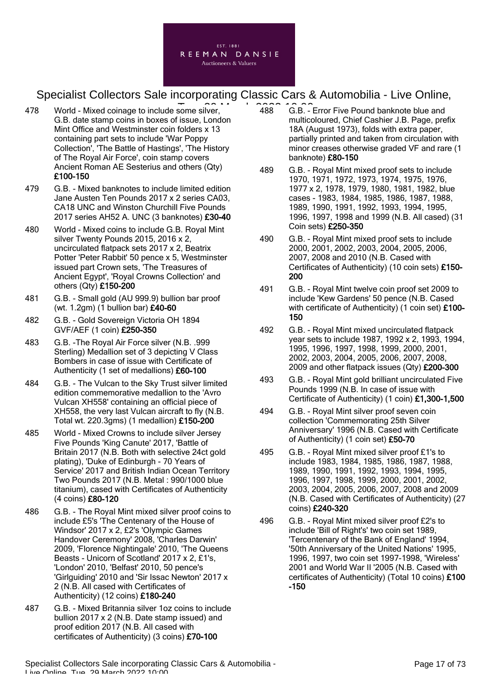

- 478 World Mixed coinage to include some silver, **2008** 2022 10:00 G.B. date stamp coins in boxes of issue, London Mint Office and Westminster coin folders x 13 containing part sets to include 'War Poppy Collection', 'The Battle of Hastings', 'The History of The Royal Air Force', coin stamp covers Ancient Roman AE Sesterius and others (Qty) £100-150
- 479 G.B. Mixed banknotes to include limited edition Jane Austen Ten Pounds 2017 x 2 series CA03, CA18 UNC and Winston Churchill Five Pounds 2017 series AH52 A. UNC (3 banknotes) £30-40
- 480 World Mixed coins to include G.B. Royal Mint silver Twenty Pounds 2015, 2016 x 2, uncirculated flatpack sets 2017 x 2, Beatrix Potter 'Peter Rabbit' 50 pence x 5, Westminster issued part Crown sets, 'The Treasures of Ancient Egypt', 'Royal Crowns Collection' and others (Qty) £150-200
- 481 G.B. Small gold (AU 999.9) bullion bar proof (wt. 1.2gm) (1 bullion bar) £40-60
- 482 G.B. Gold Sovereign Victoria OH 1894 GVF/AEF (1 coin) £250-350
- 483 G.B. -The Royal Air Force silver (N.B. .999 Sterling) Medallion set of 3 depicting V Class Bombers in case of issue with Certificate of Authenticity (1 set of medallions) £60-100
- 484 G.B. The Vulcan to the Sky Trust silver limited edition commemorative medallion to the 'Avro Vulcan XH558' containing an official piece of XH558, the very last Vulcan aircraft to fly (N.B. Total wt. 220.3gms) (1 medallion) £150-200
- 485 World Mixed Crowns to include silver Jersey Five Pounds 'King Canute' 2017, 'Battle of Britain 2017 (N.B. Both with selective 24ct gold plating), 'Duke of Edinburgh - 70 Years of Service' 2017 and British Indian Ocean Territory Two Pounds 2017 (N.B. Metal : 990/1000 blue titanium), cased with Certificates of Authenticity (4 coins) £80-120
- 486 G.B. The Royal Mint mixed silver proof coins to include £5's 'The Centenary of the House of Windsor' 2017 x 2, £2's 'Olympic Games Handover Ceremony' 2008, 'Charles Darwin' 2009, 'Florence Nightingale' 2010, 'The Queens Beasts - Unicorn of Scotland' 2017 x 2, £1's, 'London' 2010, 'Belfast' 2010, 50 pence's 'Girlguiding' 2010 and 'Sir Issac Newton' 2017 x 2 (N.B. All cased with Certificates of Authenticity) (12 coins) £180-240
- 487 G.B. Mixed Britannia silver 1oz coins to include bullion 2017 x 2 (N.B. Date stamp issued) and proof edition 2017 (N.B. All cased with certificates of Authenticity) (3 coins) £70-100
- 488 G.B. Error Five Pound banknote blue and multicoloured, Chief Cashier J.B. Page, prefix 18A (August 1973), folds with extra paper, partially printed and taken from circulation with minor creases otherwise graded VF and rare (1 banknote) £80-150
- 489 G.B. Royal Mint mixed proof sets to include 1970, 1971, 1972, 1973, 1974, 1975, 1976, 1977 x 2, 1978, 1979, 1980, 1981, 1982, blue cases - 1983, 1984, 1985, 1986, 1987, 1988, 1989, 1990, 1991, 1992, 1993, 1994, 1995, 1996, 1997, 1998 and 1999 (N.B. All cased) (31 Coin sets) £250-350
- 490 G.B. Royal Mint mixed proof sets to include 2000, 2001, 2002, 2003, 2004, 2005, 2006, 2007, 2008 and 2010 (N.B. Cased with Certificates of Authenticity) (10 coin sets) £150- 200
- 491 G.B. Royal Mint twelve coin proof set 2009 to include 'Kew Gardens' 50 pence (N.B. Cased with certificate of Authenticity) (1 coin set) £100-150
- 492 G.B. Royal Mint mixed uncirculated flatpack year sets to include 1987, 1992 x 2, 1993, 1994, 1995, 1996, 1997, 1998, 1999, 2000, 2001, 2002, 2003, 2004, 2005, 2006, 2007, 2008, 2009 and other flatpack issues (Qty) £200-300
- 493 G.B. Royal Mint gold brilliant uncirculated Five Pounds 1999 (N.B. In case of issue with Certificate of Authenticity) (1 coin) £1,300-1,500
- 494 G.B. Royal Mint silver proof seven coin collection 'Commemorating 25th Silver Anniversary' 1996 (N.B. Cased with Certificate of Authenticity) (1 coin set) £50-70
- 495 G.B. Royal Mint mixed silver proof £1's to include 1983, 1984, 1985, 1986, 1987, 1988, 1989, 1990, 1991, 1992, 1993, 1994, 1995, 1996, 1997, 1998, 1999, 2000, 2001, 2002, 2003, 2004, 2005, 2006, 2007, 2008 and 2009 (N.B. Cased with Certificates of Authenticity) (27 coins) £240-320
- 496 G.B. Royal Mint mixed silver proof £2's to include 'Bill of Right's' two coin set 1989, 'Tercentenary of the Bank of England' 1994, '50th Anniversary of the United Nations' 1995, 1996, 1997, two coin set 1997-1998, 'Wireless' 2001 and World War II '2005 (N.B. Cased with certificates of Authenticity) (Total 10 coins) £100 -150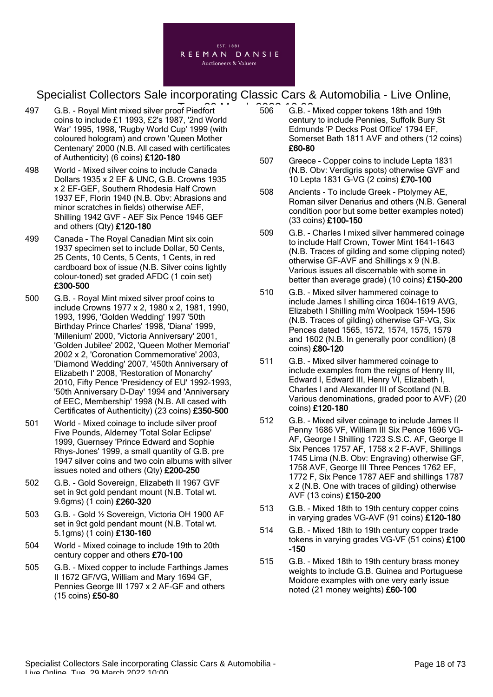

- 497 G.B. Royal Mint mixed silver proof Piedfort **10:000 G.B.** 2022 506 G.B. coins to include £1 1993, £2's 1987, '2nd World War' 1995, 1998, 'Rugby World Cup' 1999 (with coloured hologram) and crown 'Queen Mother Centenary' 2000 (N.B. All cased with certificates of Authenticity) (6 coins) £120-180
- 498 World Mixed silver coins to include Canada Dollars 1935 x 2 EF & UNC, G.B. Crowns 1935 x 2 EF-GEF, Southern Rhodesia Half Crown 1937 EF, Florin 1940 (N.B. Obv: Abrasions and minor scratches in fields) otherwise AEF, Shilling 1942 GVF - AEF Six Pence 1946 GEF and others (Qty) £120-180
- 499 Canada The Royal Canadian Mint six coin 1937 specimen set to include Dollar, 50 Cents, 25 Cents, 10 Cents, 5 Cents, 1 Cents, in red cardboard box of issue (N.B. Silver coins lightly colour-toned) set graded AFDC (1 coin set) £300-500
- 500 G.B. Royal Mint mixed silver proof coins to include Crowns 1977 x 2, 1980 x 2, 1981, 1990, 1993, 1996, 'Golden Wedding' 1997 '50th Birthday Prince Charles' 1998, 'Diana' 1999, 'Millenium' 2000, 'Victoria Anniversary' 2001, 'Golden Jubilee' 2002, 'Queen Mother Memorial' 2002 x 2, 'Coronation Commemorative' 2003, 'Diamond Wedding' 2007, '450th Anniversary of Elizabeth I' 2008, 'Restoration of Monarchy' 2010, Fifty Pence 'Presidency of EU' 1992-1993, '50th Anniversary D-Day' 1994 and 'Anniversary of EEC, Membership' 1998 (N.B. All cased with Certificates of Authenticity) (23 coins) £350-500
- 501 World Mixed coinage to include silver proof Five Pounds, Alderney 'Total Solar Eclipse' 1999, Guernsey 'Prince Edward and Sophie Rhys-Jones' 1999, a small quantity of G.B. pre 1947 silver coins and two coin albums with silver issues noted and others (Qty) £200-250
- 502 G.B. Gold Sovereign, Elizabeth II 1967 GVF set in 9ct gold pendant mount (N.B. Total wt. 9.6gms) (1 coin) £260-320
- 503 G.B. Gold ½ Sovereign, Victoria OH 1900 AF set in 9ct gold pendant mount (N.B. Total wt. 5.1gms) (1 coin) £130-160
- 504 World Mixed coinage to include 19th to 20th century copper and others £70-100
- 505 G.B. Mixed copper to include Farthings James II 1672 GF/VG, William and Mary 1694 GF, Pennies George III 1797 x 2 AF-GF and others (15 coins) £50-80
- 506 G.B. Mixed copper tokens 18th and 19th century to include Pennies, Suffolk Bury St Edmunds 'P Decks Post Office' 1794 EF, Somerset Bath 1811 AVF and others (12 coins) £60-80
- 507 Greece Copper coins to include Lepta 1831 (N.B. Obv: Verdigris spots) otherwise GVF and 10 Lepta 1831 G-VG (2 coins) £70-100
- 508 Ancients To include Greek Ptolymey AE, Roman silver Denarius and others (N.B. General condition poor but some better examples noted) (33 coins) £100-150
- 509 G.B. Charles I mixed silver hammered coinage to include Half Crown, Tower Mint 1641-1643 (N.B. Traces of gilding and some clipping noted) otherwise GF-AVF and Shillings x 9 (N.B. Various issues all discernable with some in better than average grade) (10 coins) £150-200
- 510 G.B. Mixed silver hammered coinage to include James I shilling circa 1604-1619 AVG, Elizabeth I Shilling m/m Woolpack 1594-1596 (N.B. Traces of gilding) otherwise GF-VG, Six Pences dated 1565, 1572, 1574, 1575, 1579 and 1602 (N.B. In generally poor condition) (8 coins) £80-120
- 511 G.B. Mixed silver hammered coinage to include examples from the reigns of Henry III, Edward I, Edward III, Henry VI, Elizabeth I, Charles I and Alexander III of Scotland (N.B. Various denominations, graded poor to AVF) (20 coins) £120-180
- 512 G.B. Mixed silver coinage to include James II Penny 1686 VF, William III Six Pence 1696 VG-AF, George I Shilling 1723 S.S.C. AF, George II Six Pences 1757 AF, 1758 x 2 F-AVF, Shillings 1745 Lima (N.B. Obv: Engraving) otherwise GF, 1758 AVF, George III Three Pences 1762 EF, 1772 F, Six Pence 1787 AEF and shillings 1787 x 2 (N.B. One with traces of gilding) otherwise AVF (13 coins) £150-200
- 513 G.B. Mixed 18th to 19th century copper coins in varying grades VG-AVF (91 coins) £120-180
- 514 G.B. Mixed 18th to 19th century copper trade tokens in varying grades VG-VF (51 coins) £100 -150
- 515 G.B. Mixed 18th to 19th century brass money weights to include G.B. Guinea and Portuguese Moidore examples with one very early issue noted (21 money weights) £60-100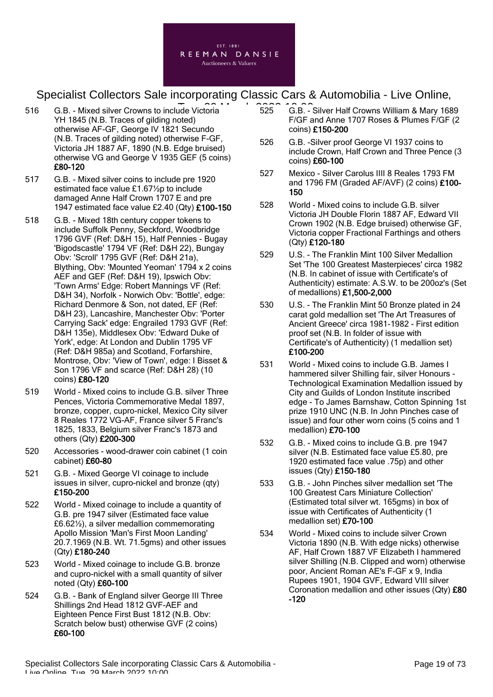

- 516 G.B. Mixed silver Crowns to include Victoria **Tue, 2022** 6.B. YH 1845 (N.B. Traces of gilding noted) otherwise AF-GF, George IV 1821 Secundo (N.B. Traces of gilding noted) otherwise F-GF, Victoria JH 1887 AF, 1890 (N.B. Edge bruised) otherwise VG and George V 1935 GEF (5 coins) £80-120
- 517 G.B. Mixed silver coins to include pre 1920 estimated face value £1.67½p to include damaged Anne Half Crown 1707 E and pre 1947 estimated face value £2.40 (Qty) £100-150
- 518 G.B. Mixed 18th century copper tokens to include Suffolk Penny, Seckford, Woodbridge 1796 GVF (Ref: D&H 15), Half Pennies - Bugay 'Bigodscastle' 1794 VF (Ref: D&H 22), Bungay Obv: 'Scroll' 1795 GVF (Ref: D&H 21a), Blything, Obv: 'Mounted Yeoman' 1794 x 2 coins AEF and GEF (Ref: D&H 19), Ipswich Obv: 'Town Arms' Edge: Robert Mannings VF (Ref: D&H 34), Norfolk - Norwich Obv: 'Bottle', edge: Richard Denmore & Son, not dated, EF (Ref: D&H 23), Lancashire, Manchester Obv: 'Porter Carrying Sack' edge: Engrailed 1793 GVF (Ref: D&H 135e), Middlesex Obv: 'Edward Duke of York', edge: At London and Dublin 1795 VF (Ref: D&H 985a) and Scotland, Forfarshire, Montrose, Obv: 'View of Town', edge: I Bisset & Son 1796 VF and scarce (Ref: D&H 28) (10 coins) £80-120
- 519 World Mixed coins to include G.B. silver Three Pences, Victoria Commemorative Medal 1897, bronze, copper, cupro-nickel, Mexico City silver 8 Reales 1772 VG-AF, France silver 5 Franc's 1825, 1833, Belgium silver Franc's 1873 and others (Qty) £200-300
- 520 Accessories wood-drawer coin cabinet (1 coin cabinet) £60-80
- 521 G.B. Mixed George VI coinage to include issues in silver, cupro-nickel and bronze (qty) £150-200
- 522 World Mixed coinage to include a quantity of G.B. pre 1947 silver (Estimated face value £6.62½), a silver medallion commemorating Apollo Mission 'Man's First Moon Landing' 20.7.1969 (N.B. Wt. 71.5gms) and other issues (Qty) £180-240
- 523 World Mixed coinage to include G.B. bronze and cupro-nickel with a small quantity of silver noted (Qty) £60-100
- 524 G.B. Bank of England silver George III Three Shillings 2nd Head 1812 GVF-AEF and Eighteen Pence First Bust 1812 (N.B. Obv: Scratch below bust) otherwise GVF (2 coins) £60-100
- 525 G.B. Silver Half Crowns William & Mary 1689 F/GF and Anne 1707 Roses & Plumes F/GF (2 coins) £150-200
- 526 G.B. -Silver proof George VI 1937 coins to include Crown, Half Crown and Three Pence (3 coins) £60-100
- 527 Mexico Silver Carolus IIII 8 Reales 1793 FM and 1796 FM (Graded AF/AVF) (2 coins) £100-150
- 528 World Mixed coins to include G.B. silver Victoria JH Double Florin 1887 AF, Edward VII Crown 1902 (N.B. Edge bruised) otherwise GF, Victoria copper Fractional Farthings and others (Qty) £120-180
- 529 U.S. The Franklin Mint 100 Silver Medallion Set 'The 100 Greatest Masterpieces' circa 1982 (N.B. In cabinet of issue with Certificate's of Authenticity) estimate: A.S.W. to be 200oz's (Set of medallions) £1,500-2,000
- 530 U.S. The Franklin Mint 50 Bronze plated in 24 carat gold medallion set 'The Art Treasures of Ancient Greece' circa 1981-1982 - First edition proof set (N.B. In folder of issue with Certificate's of Authenticity) (1 medallion set) £100-200
- 531 World Mixed coins to include G.B. James I hammered silver Shilling fair, silver Honours - Technological Examination Medallion issued by City and Guilds of London Institute inscribed edge - To James Barnshaw, Cotton Spinning 1st prize 1910 UNC (N.B. In John Pinches case of issue) and four other worn coins (5 coins and 1 medallion) £70-100
- 532 G.B. Mixed coins to include G.B. pre 1947 silver (N.B. Estimated face value £5.80, pre 1920 estimated face value .75p) and other issues (Qty) £150-180
- 533 G.B. John Pinches silver medallion set 'The 100 Greatest Cars Miniature Collection' (Estimated total silver wt. 165gms) in box of issue with Certificates of Authenticity (1 medallion set) £70-100
- 534 World Mixed coins to include silver Crown Victoria 1890 (N.B. With edge nicks) otherwise AF, Half Crown 1887 VF Elizabeth I hammered silver Shilling (N.B. Clipped and worn) otherwise poor, Ancient Roman AE's F-GF x 9, India Rupees 1901, 1904 GVF, Edward VIII silver Coronation medallion and other issues (Qty) £80 -120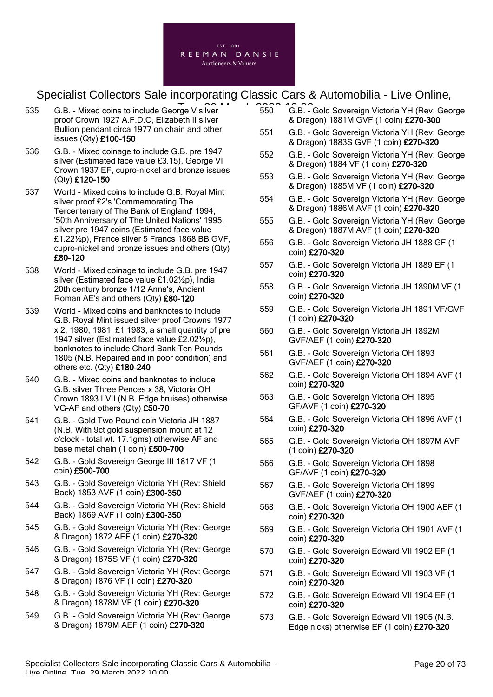

- 535 G.B. Mixed coins to include George V silver **1986** 6.B. 1986 G.B. 1996 proof Crown 1927 A.F.D.C, Elizabeth II silver Bullion pendant circa 1977 on chain and other issues (Qty) £100-150
- 536 G.B. Mixed coinage to include G.B. pre 1947 silver (Estimated face value £3.15), George VI Crown 1937 EF, cupro-nickel and bronze issues (Qty) £120-150
- 537 World Mixed coins to include G.B. Royal Mint silver proof £2's 'Commemorating The Tercentenary of The Bank of England' 1994, '50th Anniversary of The United Nations' 1995, silver pre 1947 coins (Estimated face value £1.22½p), France silver 5 Francs 1868 BB GVF, cupro-nickel and bronze issues and others (Qty) £80-120
- 538 World Mixed coinage to include G.B. pre 1947 silver (Estimated face value £1.02½p), India 20th century bronze 1/12 Anna's, Ancient Roman AE's and others (Qty) £80-120
- 539 World Mixed coins and banknotes to include G.B. Royal Mint issued silver proof Crowns 1977 x 2, 1980, 1981, £1 1983, a small quantity of pre 1947 silver (Estimated face value £2.02½p), banknotes to include Chard Bank Ten Pounds 1805 (N.B. Repaired and in poor condition) and others etc. (Qty) £180-240
- 540 G.B. Mixed coins and banknotes to include G.B. silver Three Pences x 38, Victoria OH Crown 1893 LVII (N.B. Edge bruises) otherwise VG-AF and others (Qty) £50-70
- 541 G.B. Gold Two Pound coin Victoria JH 1887 (N.B. With 9ct gold suspension mount at 12 o'clock - total wt. 17.1gms) otherwise AF and base metal chain (1 coin) £500-700
- 542 G.B. Gold Sovereign George III 1817 VF (1 coin) £500-700
- 543 G.B. Gold Sovereign Victoria YH (Rev: Shield Back) 1853 AVF (1 coin) £300-350
- 544 G.B. Gold Sovereign Victoria YH (Rev: Shield Back) 1869 AVF (1 coin) £300-350
- 545 G.B. Gold Sovereign Victoria YH (Rev: George & Dragon) 1872 AEF (1 coin) £270-320
- 546 G.B. Gold Sovereign Victoria YH (Rev: George & Dragon) 1875S VF (1 coin) £270-320
- 547 G.B. Gold Sovereign Victoria YH (Rev: George & Dragon) 1876 VF (1 coin) £270-320
- 548 G.B. Gold Sovereign Victoria YH (Rev: George & Dragon) 1878M VF (1 coin) £270-320
- 549 G.B. Gold Sovereign Victoria YH (Rev: George & Dragon) 1879M AEF (1 coin) £270-320
- 550 G.B. Gold Sovereign Victoria YH (Rev: George & Dragon) 1881M GVF (1 coin) £270-300
- 551 G.B. Gold Sovereign Victoria YH (Rev: George & Dragon) 1883S GVF (1 coin) £270-320
- 552 G.B. Gold Sovereign Victoria YH (Rev: George & Dragon) 1884 VF (1 coin) £270-320
- 553 G.B. Gold Sovereign Victoria YH (Rev: George & Dragon) 1885M VF (1 coin) £270-320
- 554 G.B. Gold Sovereign Victoria YH (Rev: George & Dragon) 1886M AVF (1 coin) £270-320
- 555 G.B. Gold Sovereign Victoria YH (Rev: George & Dragon) 1887M AVF (1 coin) £270-320
- 556 G.B. Gold Sovereign Victoria JH 1888 GF (1 coin) £270-320
- 557 G.B. Gold Sovereign Victoria JH 1889 EF (1 coin) £270-320
- 558 G.B. Gold Sovereign Victoria JH 1890M VF (1 coin) £270-320
- 559 G.B. Gold Sovereign Victoria JH 1891 VF/GVF (1 coin) £270-320
- 560 G.B. Gold Sovereign Victoria JH 1892M GVF/AEF (1 coin) £270-320
- 561 G.B. Gold Sovereign Victoria OH 1893 GVF/AEF (1 coin) £270-320
- 562 G.B. Gold Sovereign Victoria OH 1894 AVF (1 coin) £270-320
- 563 G.B. Gold Sovereign Victoria OH 1895 GF/AVF (1 coin) £270-320
- 564 G.B. Gold Sovereign Victoria OH 1896 AVF (1 coin) £270-320
- 565 G.B. Gold Sovereign Victoria OH 1897M AVF (1 coin) £270-320
- 566 G.B. Gold Sovereign Victoria OH 1898 GF/AVF (1 coin) £270-320
- 567 G.B. Gold Sovereign Victoria OH 1899 GVF/AEF (1 coin) £270-320
- 568 G.B. Gold Sovereign Victoria OH 1900 AEF (1 coin) £270-320
- 569 G.B. Gold Sovereign Victoria OH 1901 AVF (1 coin) £270-320
- 570 G.B. Gold Sovereign Edward VII 1902 EF (1 coin) £270-320
- 571 G.B. Gold Sovereign Edward VII 1903 VF (1 coin) £270-320
- 572 G.B. Gold Sovereign Edward VII 1904 EF (1 coin) £270-320
- 573 G.B. Gold Sovereign Edward VII 1905 (N.B. Edge nicks) otherwise EF (1 coin) £270-320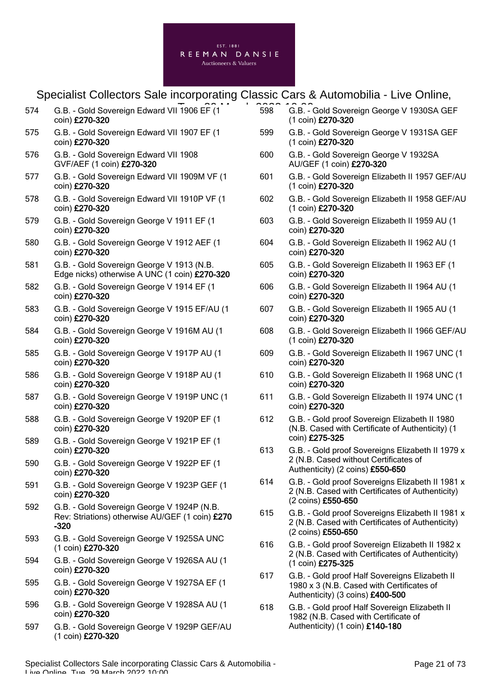|     | J<br>$\mathbf{L}$                                                                                       |
|-----|---------------------------------------------------------------------------------------------------------|
| 574 | G.B. - Gold Sovereign Edward VII 1906 EF (1<br>coin) £270-320                                           |
| 575 | G.B. - Gold Sovereign Edward VII 1907 EF (1<br>coin) £270-320                                           |
| 576 | G.B. - Gold Sovereign Edward VII 1908<br>GVF/AEF (1 coin) £270-320                                      |
| 577 | G.B. - Gold Sovereign Edward VII 1909M VF (1<br>coin) £270-320                                          |
| 578 | G.B. - Gold Sovereign Edward VII 1910P VF (1<br>coin) £270-320                                          |
| 579 | G.B. - Gold Sovereign George V 1911 EF (1<br>coin) £270-320                                             |
| 580 | G.B. - Gold Sovereign George V 1912 AEF (1<br>coin) £270-320                                            |
| 581 | G.B. - Gold Sovereign George V 1913 (N.B.<br>Edge nicks) otherwise A UNC (1 coin) £270-320              |
| 582 | G.B. - Gold Sovereign George V 1914 EF (1<br>coin) £270-320                                             |
| 583 | G.B. - Gold Sovereign George V 1915 EF/AU (1<br>coin) £270-320                                          |
| 584 | G.B. - Gold Sovereign George V 1916M AU (1<br>coin) £270-320                                            |
| 585 | G.B. - Gold Sovereign George V 1917P AU (1<br>coin) £270-320                                            |
| 586 | G.B. - Gold Sovereign George V 1918P AU (1<br>coin) £270-320                                            |
| 587 | G.B. - Gold Sovereign George V 1919P UNC (1<br>coin) £270-320                                           |
| 588 | G.B. - Gold Sovereign George V 1920P EF (1<br>coin) £270-320                                            |
| 589 | G.B. - Gold Sovereign George V 1921P EF (1<br>coin) £270-320                                            |
| 590 | G.B. - Gold Sovereign George V 1922P EF (1<br>coin) £270-320                                            |
| 591 | G.B. - Gold Sovereign George V 1923P GEF (1<br>coin) £270-320                                           |
| 592 | G.B. - Gold Sovereign George V 1924P (N.B.<br>Rev: Striations) otherwise AU/GEF (1 coin) £270<br>$-320$ |
| 593 | G.B. - Gold Sovereign George V 1925SA UNC<br>(1 coin) £270-320                                          |
| 594 | G.B. - Gold Sovereign George V 1926SA AU (1<br>coin) £270-320                                           |
| 595 | G.B. - Gold Sovereign George V 1927SA EF (1<br>coin) £270-320                                           |

- 596 G.B. Gold Sovereign George V 1928SA AU (1 coin) £270-320
- 597 G.B. Gold Sovereign George V 1929P GEF/AU (1 coin) £270-320
- To Barnes Canada Canada G.B. Gold Sovereign George V 1930SA GEF (1 coin) £270-320
	- 599 G.B. Gold Sovereign George V 1931SA GEF (1 coin) £270-320
	- 600 G.B. Gold Sovereign George V 1932SA AU/GEF (1 coin) £270-320
	- 601 G.B. Gold Sovereign Elizabeth II 1957 GEF/AU (1 coin) £270-320
	- 602 G.B. Gold Sovereign Elizabeth II 1958 GEF/AU (1 coin) £270-320
	- 603 G.B. Gold Sovereign Elizabeth II 1959 AU (1 coin) £270-320
	- 604 G.B. Gold Sovereign Elizabeth II 1962 AU (1 coin) £270-320
	- 605 G.B. Gold Sovereign Elizabeth II 1963 EF (1 coin) £270-320
	- 606 G.B. Gold Sovereign Elizabeth II 1964 AU (1 coin) £270-320
	- 607 G.B. Gold Sovereign Elizabeth II 1965 AU (1 coin) £270-320
	- 608 G.B. Gold Sovereign Elizabeth II 1966 GEF/AU (1 coin) £270-320
	- 609 G.B. Gold Sovereign Elizabeth II 1967 UNC (1 coin) £270-320
	- 610 G.B. Gold Sovereign Elizabeth II 1968 UNC (1 coin) £270-320
	- 611 G.B. Gold Sovereign Elizabeth II 1974 UNC (1 coin) £270-320
	- 612 G.B. Gold proof Sovereign Elizabeth II 1980 (N.B. Cased with Certificate of Authenticity) (1 coin) £275-325
	- 613 G.B. Gold proof Sovereigns Elizabeth II 1979 x 2 (N.B. Cased without Certificates of Authenticity) (2 coins) £550-650
	- 614 G.B. Gold proof Sovereigns Elizabeth II 1981 x 2 (N.B. Cased with Certificates of Authenticity) (2 coins) £550-650
	- 615 G.B. Gold proof Sovereigns Elizabeth II 1981 x 2 (N.B. Cased with Certificates of Authenticity) (2 coins) £550-650
	- 616 G.B. Gold proof Sovereign Elizabeth II 1982 x 2 (N.B. Cased with Certificates of Authenticity) (1 coin) £275-325
	- 617 G.B. Gold proof Half Sovereigns Elizabeth II 1980 x 3 (N.B. Cased with Certificates of Authenticity) (3 coins) £400-500
	- 618 G.B. Gold proof Half Sovereign Elizabeth II 1982 (N.B. Cased with Certificate of Authenticity) (1 coin) £140-180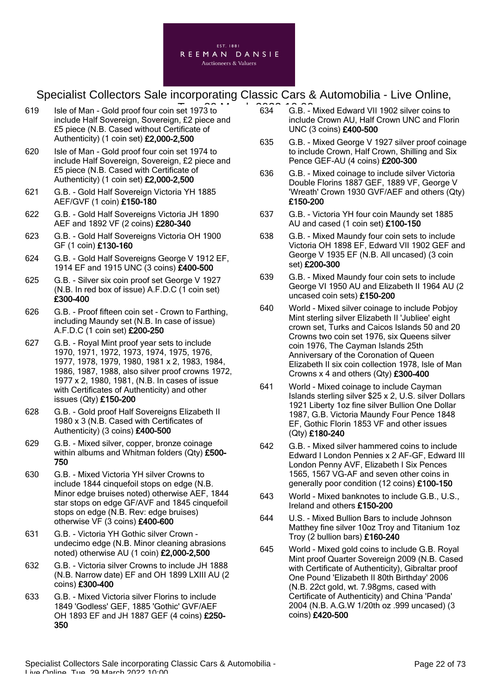

- $619$  Isle of Man Gold proof four coin set 1973 to  $634$   $6.8$ . include Half Sovereign, Sovereign, £2 piece and £5 piece (N.B. Cased without Certificate of Authenticity) (1 coin set) £2,000-2,500
- 620 Isle of Man Gold proof four coin set 1974 to include Half Sovereign, Sovereign, £2 piece and £5 piece (N.B. Cased with Certificate of Authenticity) (1 coin set) £2,000-2,500
- 621 G.B. Gold Half Sovereign Victoria YH 1885 AEF/GVF (1 coin) £150-180
- 622 G.B. Gold Half Sovereigns Victoria JH 1890 AEF and 1892 VF (2 coins) £280-340
- 623 G.B. Gold Half Sovereigns Victoria OH 1900 GF (1 coin) £130-160
- 624 G.B. Gold Half Sovereigns George V 1912 EF, 1914 EF and 1915 UNC (3 coins) £400-500
- 625 G.B. Silver six coin proof set George V 1927 (N.B. In red box of issue) A.F.D.C (1 coin set) £300-400
- 626 G.B. Proof fifteen coin set Crown to Farthing, including Maundy set (N.B. In case of issue) A.F.D.C (1 coin set) £200-250
- 627 G.B. Royal Mint proof year sets to include 1970, 1971, 1972, 1973, 1974, 1975, 1976, 1977, 1978, 1979, 1980, 1981 x 2, 1983, 1984, 1986, 1987, 1988, also silver proof crowns 1972, 1977 x 2, 1980, 1981, (N.B. In cases of issue with Certificates of Authenticity) and other issues (Qty) £150-200
- 628 G.B. Gold proof Half Sovereigns Elizabeth II 1980 x 3 (N.B. Cased with Certificates of Authenticity) (3 coins) £400-500
- 629 G.B. Mixed silver, copper, bronze coinage within albums and Whitman folders (Qty) £500-750
- 630 G.B. Mixed Victoria YH silver Crowns to include 1844 cinquefoil stops on edge (N.B. Minor edge bruises noted) otherwise AEF, 1844 star stops on edge GF/AVF and 1845 cinquefoil stops on edge (N.B. Rev: edge bruises) otherwise VF (3 coins) £400-600
- 631 G.B. Victoria YH Gothic silver Crown undecimo edge (N.B. Minor cleaning abrasions noted) otherwise AU (1 coin) £2,000-2,500
- 632 G.B. Victoria silver Crowns to include JH 1888 (N.B. Narrow date) EF and OH 1899 LXIII AU (2 coins) £300-400
- 633 G.B. Mixed Victoria silver Florins to include 1849 'Godless' GEF, 1885 'Gothic' GVF/AEF OH 1893 EF and JH 1887 GEF (4 coins) £250- 350
- 634 G.B. Mixed Edward VII 1902 silver coins to include Crown AU, Half Crown UNC and Florin UNC (3 coins) £400-500
- 635 G.B. Mixed George V 1927 silver proof coinage to include Crown, Half Crown, Shilling and Six Pence GEF-AU (4 coins) £200-300
- 636 G.B. Mixed coinage to include silver Victoria Double Florins 1887 GEF, 1889 VF, George V 'Wreath' Crown 1930 GVF/AEF and others (Qty) £150-200
- 637 G.B. Victoria YH four coin Maundy set 1885 AU and cased (1 coin set) £100-150
- 638 G.B. Mixed Maundy four coin sets to include Victoria OH 1898 EF, Edward VII 1902 GEF and George V 1935 EF (N.B. All uncased) (3 coin set) £200-300
- 639 G.B. Mixed Maundy four coin sets to include George VI 1950 AU and Elizabeth II 1964 AU (2 uncased coin sets) £150-200
- 640 World Mixed silver coinage to include Pobjoy Mint sterling silver Elizabeth II 'Jubliee' eight crown set, Turks and Caicos Islands 50 and 20 Crowns two coin set 1976, six Queens silver coin 1976, The Cayman Islands 25th Anniversary of the Coronation of Queen Elizabeth II six coin collection 1978, Isle of Man Crowns x 4 and others (Qty) £300-400
- 641 World Mixed coinage to include Cayman Islands sterling silver \$25 x 2, U.S. silver Dollars 1921 Liberty 1oz fine silver Bullion One Dollar 1987, G.B. Victoria Maundy Four Pence 1848 EF, Gothic Florin 1853 VF and other issues (Qty) £180-240
- 642 G.B. Mixed silver hammered coins to include Edward I London Pennies x 2 AF-GF, Edward III London Penny AVF, Elizabeth I Six Pences 1565, 1567 VG-AF and seven other coins in generally poor condition (12 coins) £100-150
- 643 World Mixed banknotes to include G.B., U.S., Ireland and others £150-200
- 644 U.S. Mixed Bullion Bars to include Johnson Matthey fine silver 10oz Troy and Titanium 1oz Troy (2 bullion bars) £160-240
- 645 World Mixed gold coins to include G.B. Royal Mint proof Quarter Sovereign 2009 (N.B. Cased with Certificate of Authenticity), Gibraltar proof One Pound 'Elizabeth II 80th Birthday' 2006 (N.B. 22ct gold, wt. 7.98gms, cased with Certificate of Authenticity) and China 'Panda' 2004 (N.B. A.G.W 1/20th oz .999 uncased) (3 coins) £420-500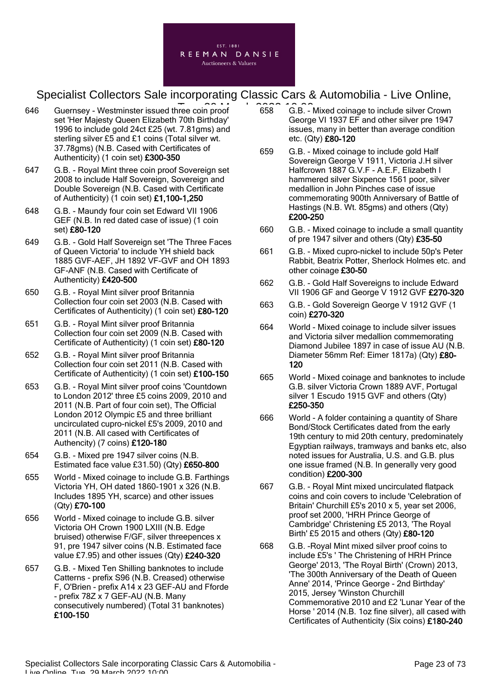

- 646 Guernsey Westminster issued three coin proof 658 G.B. set 'Her Majesty Queen Elizabeth 70th Birthday' 1996 to include gold 24ct £25 (wt. 7.81gms) and sterling silver £5 and £1 coins (Total silver wt. 37.78gms) (N.B. Cased with Certificates of Authenticity) (1 coin set) £300-350
- 647 G.B. Royal Mint three coin proof Sovereign set 2008 to include Half Sovereign, Sovereign and Double Sovereign (N.B. Cased with Certificate of Authenticity) (1 coin set) £1,100-1,250
- 648 G.B. Maundy four coin set Edward VII 1906 GEF (N.B. In red dated case of issue) (1 coin set) £80-120
- 649 G.B. Gold Half Sovereign set 'The Three Faces of Queen Victoria' to include YH shield back 1885 GVF-AEF, JH 1892 VF-GVF and OH 1893 GF-ANF (N.B. Cased with Certificate of Authenticity) £420-500
- 650 G.B. Royal Mint silver proof Britannia Collection four coin set 2003 (N.B. Cased with Certificates of Authenticity) (1 coin set) £80-120
- 651 G.B. Royal Mint silver proof Britannia Collection four coin set 2009 (N.B. Cased with Certificate of Authenticity) (1 coin set) £80-120
- 652 G.B. Royal Mint silver proof Britannia Collection four coin set 2011 (N.B. Cased with Certificate of Authenticity) (1 coin set) £100-150
- 653 G.B. Royal Mint silver proof coins 'Countdown to London 2012' three £5 coins 2009, 2010 and 2011 (N.B. Part of four coin set), The Official London 2012 Olympic £5 and three brilliant uncirculated cupro-nickel £5's 2009, 2010 and 2011 (N.B. All cased with Certificates of Authencity) (7 coins) £120-180
- 654 G.B. Mixed pre 1947 silver coins (N.B. Estimated face value £31.50) (Qty) £650-800
- 655 World Mixed coinage to include G.B. Farthings Victoria YH, OH dated 1860-1901 x 326 (N.B. Includes 1895 YH, scarce) and other issues (Qty) £70-100
- 656 World Mixed coinage to include G.B. silver Victoria OH Crown 1900 LXIII (N.B. Edge bruised) otherwise F/GF, silver threepences x 91, pre 1947 silver coins (N.B. Estimated face value £7.95) and other issues (Qty) £240-320
- 657 G.B. Mixed Ten Shilling banknotes to include Catterns - prefix S96 (N.B. Creased) otherwise F, O'Brien - prefix A14 x 23 GEF-AU and Fforde - prefix 78Z x 7 GEF-AU (N.B. Many consecutively numbered) (Total 31 banknotes) £100-150
- 658 G.B. Mixed coinage to include silver Crown George VI 1937 EF and other silver pre 1947 issues, many in better than average condition etc. (Qty) £80-120
- 659 G.B. Mixed coinage to include gold Half Sovereign George V 1911, Victoria J.H silver Halfcrown 1887 G.V.F - A.E.F, Elizabeth I hammered silver Sixpence 1561 poor, silver medallion in John Pinches case of issue commemorating 900th Anniversary of Battle of Hastings (N.B. Wt. 85gms) and others (Qty) £200-250
- 660 G.B. Mixed coinage to include a small quantity of pre 1947 silver and others (Qty) £35-50
- 661 G.B. Mixed cupro-nickel to include 50p's Peter Rabbit, Beatrix Potter, Sherlock Holmes etc. and other coinage £30-50
- 662 G.B. Gold Half Sovereigns to include Edward VII 1906 GF and George V 1912 GVF £270-320
- 663 G.B. Gold Sovereign George V 1912 GVF (1 coin) £270-320
- 664 World Mixed coinage to include silver issues and Victoria silver medallion commemorating Diamond Jubilee 1897 in case of issue AU (N.B. Diameter 56mm Ref: Eimer 1817a) (Qty) £80- 120
- 665 World Mixed coinage and banknotes to include G.B. silver Victoria Crown 1889 AVF, Portugal silver 1 Escudo 1915 GVF and others (Qty) £250-350
- 666 World A folder containing a quantity of Share Bond/Stock Certificates dated from the early 19th century to mid 20th century, predominately Egyptian railways, tramways and banks etc, also noted issues for Australia, U.S. and G.B. plus one issue framed (N.B. In generally very good condition) £200-300
- 667 G.B. Royal Mint mixed uncirculated flatpack coins and coin covers to include 'Celebration of Britain' Churchill £5's 2010 x 5, year set 2006, proof set 2000, 'HRH Prince George of Cambridge' Christening £5 2013, 'The Royal Birth' £5 2015 and others (Qty) £80-120
- 668 G.B. -Royal Mint mixed silver proof coins to include £5's ' The Christening of HRH Prince George' 2013, 'The Royal Birth' (Crown) 2013, 'The 300th Anniversary of the Death of Queen Anne' 2014, 'Prince George - 2nd Birthday' 2015, Jersey 'Winston Churchill Commemorative 2010 and £2 'Lunar Year of the Horse ' 2014 (N.B. 1oz fine silver), all cased with Certificates of Authenticity (Six coins) £180-240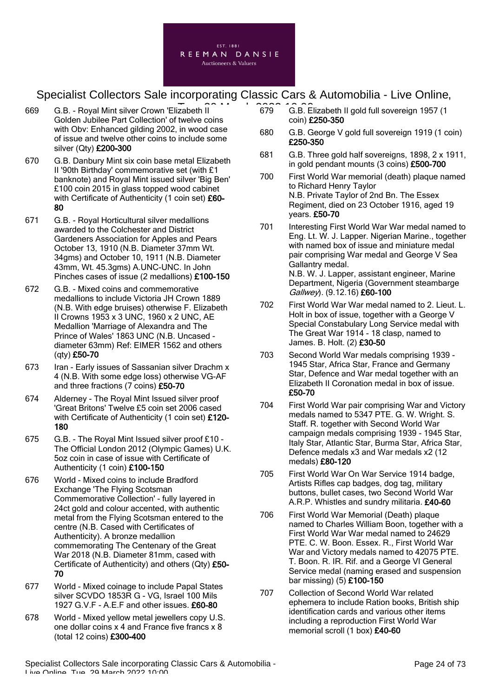

- 669 G.B. Royal Mint silver Crown 'Elizabeth II Tue, 29 March 2022 10:00Golden Jubilee Part Collection' of twelve coins with Obv: Enhanced gilding 2002, in wood case of issue and twelve other coins to include some silver (Qty) £200-300
- 670 G.B. Danbury Mint six coin base metal Elizabeth II '90th Birthday' commemorative set (with £1 banknote) and Royal Mint issued silver 'Big Ben' £100 coin 2015 in glass topped wood cabinet with Certificate of Authenticity (1 coin set) £60-80
- 671 G.B. Royal Horticultural silver medallions awarded to the Colchester and District Gardeners Association for Apples and Pears October 13, 1910 (N.B. Diameter 37mm Wt. 34gms) and October 10, 1911 (N.B. Diameter 43mm, Wt. 45.3gms) A.UNC-UNC. In John Pinches cases of issue (2 medallions) £100-150
- 672 G.B. Mixed coins and commemorative medallions to include Victoria JH Crown 1889 (N.B. With edge bruises) otherwise F. Elizabeth II Crowns 1953 x 3 UNC, 1960 x 2 UNC, AE Medallion 'Marriage of Alexandra and The Prince of Wales' 1863 UNC (N.B. Uncased diameter 63mm) Ref: EIMER 1562 and others (qty) £50-70
- 673 Iran Early issues of Sassanian silver Drachm x 4 (N.B. With some edge loss) otherwise VG-AF and three fractions (7 coins) £50-70
- 674 Alderney The Royal Mint Issued silver proof 'Great Britons' Twelve £5 coin set 2006 cased with Certificate of Authenticity (1 coin set) £120-180
- 675 G.B. The Royal Mint Issued silver proof £10 The Official London 2012 (Olympic Games) U.K. 5oz coin in case of issue with Certificate of Authenticity (1 coin) £100-150
- 676 World Mixed coins to include Bradford Exchange 'The Flying Scotsman Commemorative Collection' - fully layered in 24ct gold and colour accented, with authentic metal from the Flying Scotsman entered to the centre (N.B. Cased with Certificates of Authenticity). A bronze medallion commemorating The Centenary of the Great War 2018 (N.B. Diameter 81mm, cased with Certificate of Authenticity) and others (Qty) £50- 70
- 677 World Mixed coinage to include Papal States silver SCVDO 1853R G - VG, Israel 100 Mils 1927 G.V.F - A.E.F and other issues. £60-80
- 678 World Mixed yellow metal jewellers copy U.S. one dollar coins x 4 and France five francs x 8 (total 12 coins) £300-400
- 679 G.B. Elizabeth II gold full sovereign 1957 (1 coin) £250-350
- 680 G.B. George V gold full sovereign 1919 (1 coin) £250-350
- 681 G.B. Three gold half sovereigns, 1898, 2 x 1911, in gold pendant mounts (3 coins) £500-700
- 700 First World War memorial (death) plaque named to Richard Henry Taylor N.B. Private Taylor of 2nd Bn. The Essex Regiment, died on 23 October 1916, aged 19 years. £50-70
- 701 Interesting First World War War medal named to Eng. Lt. W. J. Lapper. Nigerian Marine., together with named box of issue and miniature medal pair comprising War medal and George V Sea Gallantry medal. N.B. W. J. Lapper, assistant engineer, Marine Department, Nigeria (Government steambarge
- 702 First World War War medal named to 2. Lieut. L. Holt in box of issue, together with a George V Special Constabulary Long Service medal with The Great War 1914 - 18 clasp, named to James. B. Holt. (2) £30-50

Gallwey). (9.12.16) £60-100

- 703 Second World War medals comprising 1939 1945 Star, Africa Star, France and Germany Star, Defence and War medal together with an Elizabeth II Coronation medal in box of issue. £50-70
- 704 First World War pair comprising War and Victory medals named to 5347 PTE. G. W. Wright. S. Staff. R. together with Second World War campaign medals comprising 1939 - 1945 Star, Italy Star, Atlantic Star, Burma Star, Africa Star, Defence medals x3 and War medals x2 (12 medals) £80-120
- 705 First World War On War Service 1914 badge, Artists Rifles cap badges, dog tag, military buttons, bullet cases, two Second World War A.R.P. Whistles and sundry militaria. £40-60
- 706 First World War Memorial (Death) plaque named to Charles William Boon, together with a First World War War medal named to 24629 PTE. C. W. Boon. Essex. R., First World War War and Victory medals named to 42075 PTE. T. Boon. R. IR. Rif. and a George VI General Service medal (naming erased and suspension bar missing) (5) £100-150
- 707 Collection of Second World War related ephemera to include Ration books, British ship identification cards and various other items including a reproduction First World War memorial scroll (1 box) £40-60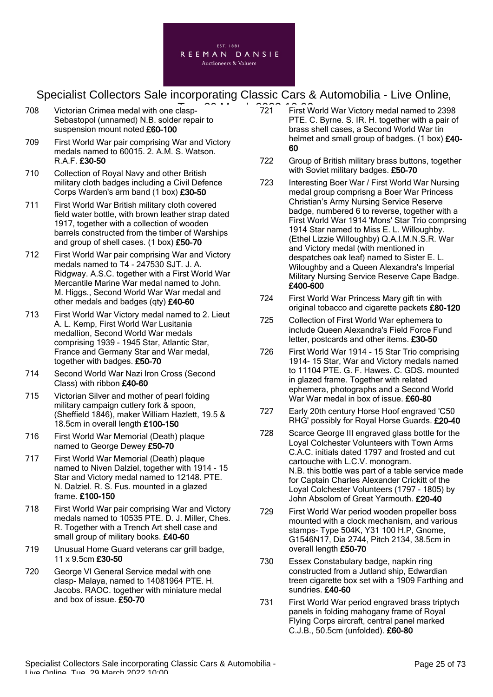

- 708 Victorian Crimea medal with one clasp-Sebastopol (unnamed) N.B. solder repair to suspension mount noted £60-100
- 709 First World War pair comprising War and Victory medals named to 60015. 2. A.M. S. Watson. R.A.F. £30-50
- 710 Collection of Royal Navy and other British military cloth badges including a Civil Defence Corps Warden's arm band (1 box) £30-50
- 711 First World War British military cloth covered field water bottle, with brown leather strap dated 1917, together with a collection of wooden barrels constructed from the timber of Warships and group of shell cases. (1 box) £50-70
- 712 First World War pair comprising War and Victory medals named to T4 - 247530 SJT. J. A. Ridgway. A.S.C. together with a First World War Mercantile Marine War medal named to John. M. Higgs., Second World War War medal and other medals and badges (qty) £40-60
- 713 First World War Victory medal named to 2. Lieut A. L. Kemp, First World War Lusitania medallion, Second World War medals comprising 1939 - 1945 Star, Atlantic Star, France and Germany Star and War medal, together with badges. £50-70
- 714 Second World War Nazi Iron Cross (Second Class) with ribbon £40-60
- 715 Victorian Silver and mother of pearl folding military campaign cutlery fork & spoon, (Sheffield 1846), maker William Hazlett, 19.5 & 18.5cm in overall length £100-150
- 716 First World War Memorial (Death) plaque named to George Dewey £50-70
- 717 First World War Memorial (Death) plaque named to Niven Dalziel, together with 1914 - 15 Star and Victory medal named to 12148. PTE. N. Dalziel. R. S. Fus. mounted in a glazed frame. £100-150
- 718 First World War pair comprising War and Victory medals named to 10535 PTE. D. J. Miller, Ches. R. Together with a Trench Art shell case and small group of military books. £40-60
- 719 Unusual Home Guard veterans car grill badge, 11 x 9.5cm £30-50
- 720 George VI General Service medal with one clasp- Malaya, named to 14081964 PTE. H. Jacobs. RAOC. together with miniature medal and box of issue. £50-70
- <sup>-</sup><br>- xlasp- 2001 10:000 721 First World War Victory medal named to 2398 PTE. C. Byrne. S. IR. H. together with a pair of brass shell cases, a Second World War tin helmet and small group of badges. (1 box) £40-60
	- 722 Group of British military brass buttons, together with Soviet military badges. £50-70
	- 723 Interesting Boer War / First World War Nursing medal group comprisng a Boer War Princess Christian's Army Nursing Service Reserve badge, numbered 6 to reverse, together with a First World War 1914 'Mons' Star Trio comprsing 1914 Star named to Miss E. L. Willoughby. (Ethel Lizzie Willoughby) Q.A.I.M.N.S.R. War and Victory medal (with mentioned in despatches oak leaf) named to Sister E. L. Wiloughby and a Queen Alexandra's Imperial Military Nursing Service Reserve Cape Badge. £400-600
	- 724 First World War Princess Mary gift tin with original tobacco and cigarette packets £80-120
	- 725 Collection of First World War ephemera to include Queen Alexandra's Field Force Fund letter, postcards and other items. £30-50
	- 726 First World War 1914 15 Star Trio comprising 1914- 15 Star, War and Victory medals named to 11104 PTE. G. F. Hawes. C. GDS. mounted in glazed frame. Together with related ephemera, photographs and a Second World War War medal in box of issue. £60-80
	- 727 Early 20th century Horse Hoof engraved 'C50 RHG' possibly for Royal Horse Guards. £20-40
	- 728 Scarce George III engraved glass bottle for the Loyal Colchester Volunteers with Town Arms C.A.C. initials dated 1797 and frosted and cut cartouche with L.C.V. monogram. N.B. this bottle was part of a table service made for Captain Charles Alexander Crickitt of the Loyal Colchester Volunteers (1797 - 1805) by John Absolom of Great Yarmouth. £20-40
	- 729 First World War period wooden propeller boss mounted with a clock mechanism, and various stamps- Type 504K, Y31 100 H.P, Gnome, G1546N17, Dia 2744, Pitch 2134, 38.5cm in overall length £50-70
	- 730 Essex Constabulary badge, napkin ring constructed from a Jutland ship, Edwardian treen cigarette box set with a 1909 Farthing and sundries. £40-60
	- 731 First World War period engraved brass triptych panels in folding mahogany frame of Royal Flying Corps aircraft, central panel marked C.J.B., 50.5cm (unfolded). £60-80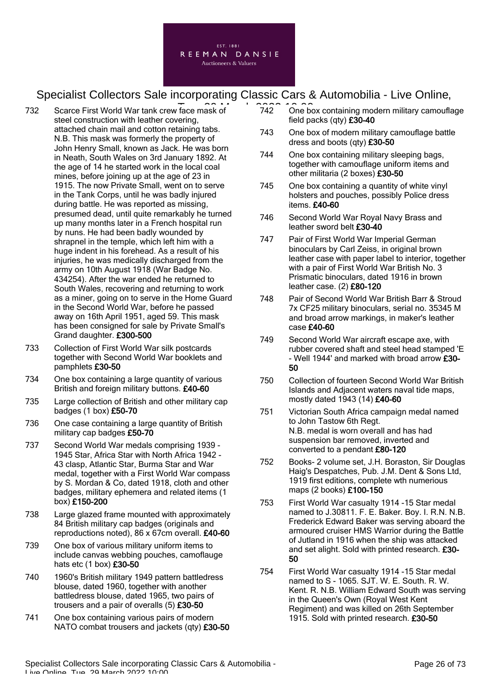

- 732 Scarce First World War tank crew face mask of 742 One both steel construction with leather covering, attached chain mail and cotton retaining tabs. N.B. This mask was formerly the property of John Henry Small, known as Jack. He was born in Neath, South Wales on 3rd January 1892. At the age of 14 he started work in the local coal mines, before joining up at the age of 23 in 1915. The now Private Small, went on to serve in the Tank Corps, until he was badly injured during battle. He was reported as missing, presumed dead, until quite remarkably he turned up many months later in a French hospital run by nuns. He had been badly wounded by shrapnel in the temple, which left him with a huge indent in his forehead. As a result of his injuries, he was medically discharged from the army on 10th August 1918 (War Badge No. 434254). After the war ended he returned to South Wales, recovering and returning to work as a miner, going on to serve in the Home Guard in the Second World War, before he passed away on 16th April 1951, aged 59. This mask has been consigned for sale by Private Small's Grand daughter. £300-500
- 733 Collection of First World War silk postcards together with Second World War booklets and pamphlets £30-50
- 734 One box containing a large quantity of various British and foreign military buttons. £40-60
- 735 Large collection of British and other military cap badges (1 box) £50-70
- 736 One case containing a large quantity of British military cap badges £50-70
- 737 Second World War medals comprising 1939 1945 Star, Africa Star with North Africa 1942 - 43 clasp, Atlantic Star, Burma Star and War medal, together with a First World War compass by S. Mordan & Co, dated 1918, cloth and other badges, military ephemera and related items (1 box) £150-200
- 738 Large glazed frame mounted with approximately 84 British military cap badges (originals and reproductions noted), 86 x 67cm overall. £40-60
- 739 One box of various military uniform items to include canvas webbing pouches, camoflauge hats etc (1 box) £30-50
- 740 1960's British military 1949 pattern battledress blouse, dated 1960, together with another battledress blouse, dated 1965, two pairs of trousers and a pair of overalls (5) £30-50
- 741 One box containing various pairs of modern NATO combat trousers and jackets (qty) £30-50
- 742 One box containing modern military camouflage field packs (qty) £30-40
- 743 One box of modern military camouflage battle dress and boots (qty) £30-50
- 744 One box containing military sleeping bags, together with camouflage uniform items and other militaria (2 boxes) £30-50
- 745 One box containing a quantity of white vinyl holsters and pouches, possibly Police dress items. £40-60
- 746 Second World War Royal Navy Brass and leather sword belt £30-40
- 747 Pair of First World War Imperial German binoculars by Carl Zeiss, in original brown leather case with paper label to interior, together with a pair of First World War British No. 3 Prismatic binoculars, dated 1916 in brown leather case. (2) £80-120
- 748 Pair of Second World War British Barr & Stroud 7x CF25 military binoculars, serial no. 35345 M and broad arrow markings, in maker's leather case £40-60
- 749 Second World War aircraft escape axe, with rubber covered shaft and steel head stamped 'E - Well 1944' and marked with broad arrow £30- 50
- 750 Collection of fourteen Second World War British Islands and Adjacent waters naval tide maps, mostly dated 1943 (14) £40-60
- 751 Victorian South Africa campaign medal named to John Tastow 6th Regt. N.B. medal is worn overall and has had suspension bar removed, inverted and converted to a pendant £80-120
- 752 Books- 2 volume set, J.H. Boraston, Sir Douglas Haig's Despatches, Pub. J.M. Dent & Sons Ltd, 1919 first editions, complete wth numerious maps (2 books) £100-150
- 753 First World War casualty 1914 -15 Star medal named to J.30811. F. E. Baker. Boy. I. R.N. N.B. Frederick Edward Baker was serving aboard the armoured cruiser HMS Warrior during the Battle of Jutland in 1916 when the ship was attacked and set alight. Sold with printed research. £30- 50
- 754 First World War casualty 1914 -15 Star medal named to S - 1065. SJT. W. E. South. R. W. Kent. R. N.B. William Edward South was serving in the Queen's Own (Royal West Kent Regiment) and was killed on 26th September 1915. Sold with printed research. £30-50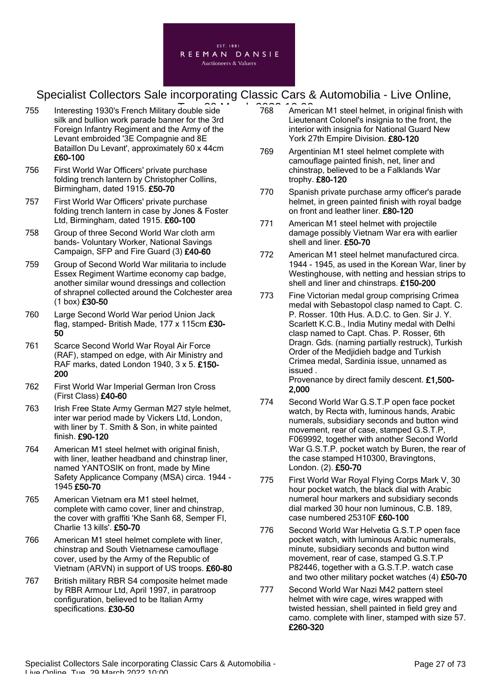

- 755 Interesting 1930's French Military double side 768 Americ silk and bullion work parade banner for the 3rd Foreign Infantry Regiment and the Army of the Levant embroided '3E Compagnie and 8E Bataillon Du Levant', approximately 60 x 44cm £60-100
- 756 First World War Officers' private purchase folding trench lantern by Christopher Collins, Birmingham, dated 1915. £50-70
- 757 First World War Officers' private purchase folding trench lantern in case by Jones & Foster Ltd, Birmingham, dated 1915. £60-100
- 758 Group of three Second World War cloth arm bands- Voluntary Worker, National Savings Campaign, SFP and Fire Guard (3) £40-60
- 759 Group of Second World War militaria to include Essex Regiment Wartime economy cap badge, another similar wound dressings and collection of shrapnel collected around the Colchester area (1 box) £30-50
- 760 Large Second World War period Union Jack flag, stamped- British Made, 177 x 115cm £30- 50
- 761 Scarce Second World War Royal Air Force (RAF), stamped on edge, with Air Ministry and RAF marks, dated London 1940, 3 x 5. £150- 200
- 762 First World War Imperial German Iron Cross (First Class) £40-60
- 763 Irish Free State Army German M27 style helmet, inter war period made by Vickers Ltd, London, with liner by T. Smith & Son, in white painted finish. £90-120
- 764 American M1 steel helmet with original finish, with liner, leather headband and chinstrap liner, named YANTOSIK on front, made by Mine Safety Applicance Company (MSA) circa. 1944 - 1945 £50-70
- 765 American Vietnam era M1 steel helmet, complete with camo cover, liner and chinstrap, the cover with graffiti 'Khe Sanh 68, Semper FI, Charlie 13 kills'. £50-70
- 766 American M1 steel helmet complete with liner, chinstrap and South Vietnamese camouflage cover, used by the Army of the Republic of Vietnam (ARVN) in support of US troops. £60-80
- 767 British military RBR S4 composite helmet made by RBR Armour Ltd, April 1997, in paratroop configuration, believed to be Italian Army specifications. £30-50
- 768 American M1 steel helmet, in original finish with Lieutenant Colonel's insignia to the front, the interior with insignia for National Guard New York 27th Empire Division. £80-120
- 769 Argentinian M1 steel helmet complete with camouflage painted finish, net, liner and chinstrap, believed to be a Falklands War trophy. £80-120
- 770 Spanish private purchase army officer's parade helmet, in green painted finish with royal badge on front and leather liner. £80-120
- 771 American M1 steel helmet with projectile damage possibly Vietnam War era with earlier shell and liner. £50-70
- 772 American M1 steel helmet manufactured circa. 1944 - 1945, as used in the Korean War, liner by Westinghouse, with netting and hessian strips to shell and liner and chinstraps. £150-200
- 773 Fine Victorian medal group comprising Crimea medal with Sebastopol clasp named to Capt. C. P. Rosser. 10th Hus. A.D.C. to Gen. Sir J. Y. Scarlett K.C.B., India Mutiny medal with Delhi clasp named to Capt. Chas. P. Rosser, 6th Dragn. Gds. (naming partially restruck), Turkish Order of the Medjidieh badge and Turkish Crimea medal, Sardinia issue, unnamed as issued .

Provenance by direct family descent. £1,500- 2,000

- 774 Second World War G.S.T.P open face pocket watch, by Recta with, luminous hands, Arabic numerals, subsidiary seconds and button wind movement, rear of case, stamped G.S.T.P, F069992, together with another Second World War G.S.T.P. pocket watch by Buren, the rear of the case stamped H10300, Bravingtons, London. (2). £50-70
- 775 First World War Royal Flying Corps Mark V, 30 hour pocket watch, the black dial with Arabic numeral hour markers and subsidiary seconds dial marked 30 hour non luminous, C.B. 189, case numbered 25310F £60-100
- 776 Second World War Helvetia G.S.T.P open face pocket watch, with luminous Arabic numerals, minute, subsidiary seconds and button wind movement, rear of case, stamped G.S.T.P P82446, together with a G.S.T.P. watch case and two other military pocket watches (4) £50-70
- 777 Second World War Nazi M42 pattern steel helmet with wire cage, wires wrapped with twisted hessian, shell painted in field grey and camo. complete with liner, stamped with size 57. £260-320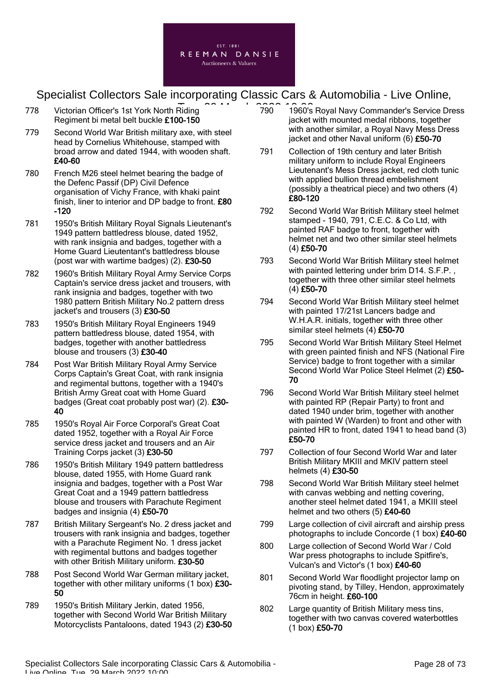

- 778 Victorian Officer's 1st York North Riding Regiment bi metal belt buckle £100-150
- 779 Second World War British military axe, with steel head by Cornelius Whitehouse, stamped with broad arrow and dated 1944, with wooden shaft. £40-60
- 780 French M26 steel helmet bearing the badge of the Defenc Passif (DP) Civil Defence organisation of Vichy France, with khaki paint finish, liner to interior and DP badge to front. £80 -120
- 781 1950's British Military Royal Signals Lieutenant's 1949 pattern battledress blouse, dated 1952, with rank insignia and badges, together with a Home Guard Lieutentant's battledress blouse (post war with wartime badges) (2). £30-50
- 782 1960's British Military Royal Army Service Corps Captain's service dress jacket and trousers, with rank insignia and badges, together with two 1980 pattern British Military No.2 pattern dress jacket's and trousers (3) £30-50
- 783 1950's British Military Royal Engineers 1949 pattern battledress blouse, dated 1954, with badges, together with another battledress blouse and trousers (3) £30-40
- 784 Post War British Military Royal Army Service Corps Captain's Great Coat, with rank insignia and regimental buttons, together with a 1940's British Army Great coat with Home Guard badges (Great coat probably post war) (2). £30- 40
- 785 1950's Royal Air Force Corporal's Great Coat dated 1952, together with a Royal Air Force service dress jacket and trousers and an Air Training Corps jacket (3) £30-50
- 786 1950's British Military 1949 pattern battledress blouse, dated 1955, with Home Guard rank insignia and badges, together with a Post War Great Coat and a 1949 pattern battledress blouse and trousers with Parachute Regiment badges and insignia (4) £50-70
- 787 British Military Sergeant's No. 2 dress jacket and trousers with rank insignia and badges, together with a Parachute Regiment No. 1 dress jacket with regimental buttons and badges together with other British Military uniform. £30-50
- 788 Post Second World War German military jacket, together with other military uniforms (1 box) £30-50
- 789 1950's British Military Jerkin, dated 1956, together with Second World War British Military Motorcyclists Pantaloons, dated 1943 (2) £30-50
- T<br>Riding 2022 1960 1960's Royal Navy Commander's Service Dress jacket with mounted medal ribbons, together with another similar, a Royal Navy Mess Dress jacket and other Naval uniform (6) £50-70
	- 791 Collection of 19th century and later British military uniform to include Royal Engineers Lieutenant's Mess Dress jacket, red cloth tunic with applied bullion thread embelishment (possibly a theatrical piece) and two others (4) £80-120
	- 792 Second World War British Military steel helmet stamped - 1940, 791, C.E.C. & Co Ltd, with painted RAF badge to front, together with helmet net and two other similar steel helmets (4) £50-70
	- 793 Second World War British Military steel helmet with painted lettering under brim D14. S.F.P. , together with three other similar steel helmets  $(4)$  £50-70
	- 794 Second World War British Military steel helmet with painted 17/21st Lancers badge and W.H.A.R. initials, together with three other similar steel helmets (4) £50-70
	- 795 Second World War British Military Steel Helmet with green painted finish and NFS (National Fire Service) badge to front together with a similar Second World War Police Steel Helmet (2) £50-70
	- 796 Second World War British Military steel helmet with painted RP (Repair Party) to front and dated 1940 under brim, together with another with painted W (Warden) to front and other with painted HR to front, dated 1941 to head band (3) £50-70
	- 797 Collection of four Second World War and later British Military MKIII and MKIV pattern steel helmets (4) £30-50
	- 798 Second World War British Military steel helmet with canvas webbing and netting covering, another steel helmet dated 1941, a MKIII steel helmet and two others (5) £40-60
	- 799 Large collection of civil aircraft and airship press photographs to include Concorde (1 box) £40-60
	- 800 Large collection of Second World War / Cold War press photographs to include Spitfire's, Vulcan's and Victor's (1 box) £40-60
	- 801 Second World War floodlight projector lamp on pivoting stand, by Tilley, Hendon, approximately 76cm in height. £60-100
	- 802 Large quantity of British Military mess tins, together with two canvas covered waterbottles (1 box) £50-70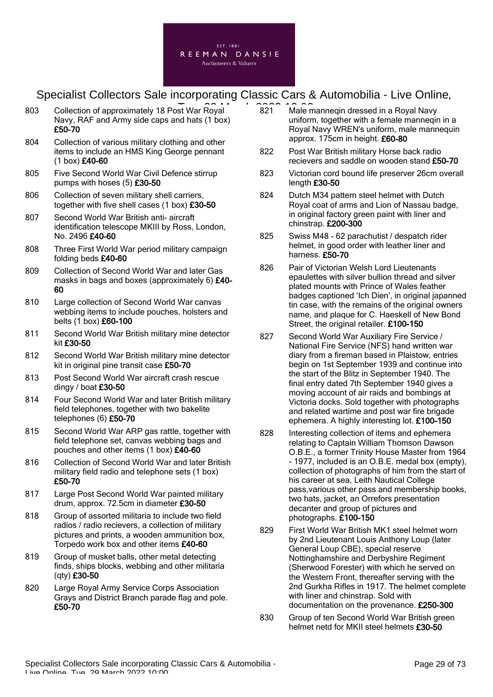

- 803 Collection of approximately 18 Post War Royal 2021 Male n Navy, RAF and Army side caps and hats (1 box) £50-70
- 804 Collection of various military clothing and other items to include an HMS King George pennant (1 box) £40-60
- 805 Five Second World War Civil Defence stirrup pumps with hoses (5) £30-50
- 806 Collection of seven military shell carriers, together with five shell cases (1 box) £30-50
- 807 Second World War British anti- aircraft identification telescope MKIII by Ross, London, No. 2496 £40-60
- 808 Three First World War period military campaign folding beds £40-60
- 809 Collection of Second World War and later Gas masks in bags and boxes (approximately 6) £40-60
- 810 Large collection of Second World War canvas webbing items to include pouches, holsters and belts (1 box) £60-100
- 811 Second World War British military mine detector kit £30-50
- 812 Second World War British military mine detector kit in original pine transit case £50-70
- 813 Post Second World War aircraft crash rescue dingy / boat £30-50
- 814 Four Second World War and later British military field telephones, together with two bakelite telephones (6) £50-70
- 815 Second World War ARP gas rattle, together with field telephone set, canvas webbing bags and pouches and other items (1 box) £40-60
- 816 Collection of Second World War and later British military field radio and telephone sets (1 box) £50-70
- 817 Large Post Second World War painted military drum, approx. 72.5cm in diameter £30-50
- 818 Group of assorted militaria to include two field radios / radio recievers, a collection of military pictures and prints, a wooden ammunition box, Torpedo work box and other items £40-60
- 819 Group of musket balls, other metal detecting finds, ships blocks, webbing and other militaria (qty) £30-50
- 820 Large Royal Army Service Corps Association Grays and District Branch parade flag and pole. £50-70
- 821 Male manneqin dressed in a Royal Navy uniform, together with a female manneqin in a Royal Navy WREN's uniform, male mannequin approx. 175cm in height. £60-80
- 822 Post War British military Horse back radio recievers and saddle on wooden stand £50-70
- 823 Victorian cord bound life preserver 26cm overall length £30-50
- 824 Dutch M34 pattern steel helmet with Dutch Royal coat of arms and Lion of Nassau badge, in original factory green paint with liner and chinstrap. £200-300
- 825 Swiss M48 62 parachutist / despatch rider helmet, in good order with leather liner and harness. £50-70
- 826 Pair of Victorian Welsh Lord Lieutenants epaulettes with silver bullion thread and silver plated mounts with Prince of Wales feather badges captioned 'Ich Dien', in original japanned tin case, with the remains of the original owners name, and plaque for C. Haeskell of New Bond Street, the original retailer. £100-150
- 827 Second World War Auxiliary Fire Service / National Fire Service (NFS) hand written war diary from a fireman based in Plaistow, entries begin on 1st September 1939 and continue into the start of the Blitz in September 1940. The final entry dated 7th September 1940 gives a moving account of air raids and bombings at Victoria docks. Sold together with photographs and related wartime and post war fire brigade ephemera. A highly interesting lot. £100-150
- 828 Interesting collection of items and ephemera relating to Captain William Thomson Dawson O.B.E., a former Trinity House Master from 1964 - 1977, included is an O.B.E. medal box (empty), collection of photographs of him from the start of his career at sea, Leith Nautical College pass,various other pass and membership books, two hats, jacket, an Orrefors presentation decanter and group of pictures and photographs. £100-150
- 829 First World War British MK1 steel helmet worn by 2nd Lieutenant Louis Anthony Loup (later General Loup CBE), special reserve Nottinghamshire and Derbyshire Regiment (Sherwood Forester) with which he served on the Western Front, thereafter serving with the 2nd Gurkha Rifles in 1917. The helmet complete with liner and chinstrap. Sold with documentation on the provenance. £250-300
- 830 Group of ten Second World War British green helmet netd for MKII steel helmets £30-50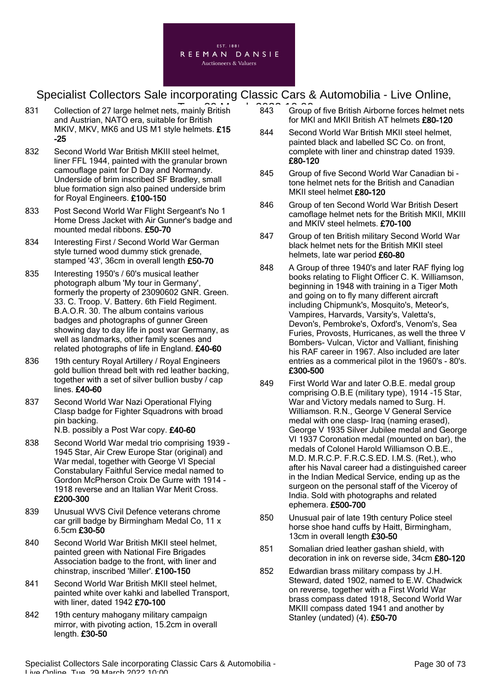

- 831 Collection of 27 large helmet nets, mainly British 243 Group and Austrian, NATO era, suitable for British MKIV, MKV, MK6 and US M1 style helmets. £15 -25
- 832 Second World War British MKIII steel helmet, liner FFL 1944, painted with the granular brown camouflage paint for D Day and Normandy. Underside of brim inscribed SF Bradley, small blue formation sign also pained underside brim for Royal Engineers. £100-150
- 833 Post Second World War Flight Sergeant's No 1 Home Dress Jacket with Air Gunner's badge and mounted medal ribbons. £50-70
- 834 Interesting First / Second World War German style turned wood dummy stick grenade, stamped '43', 36cm in overall length £50-70
- 835 Interesting 1950's / 60's musical leather photograph album 'My tour in Germany', formerly the property of 23090602 GNR. Green. 33. C. Troop. V. Battery. 6th Field Regiment. B.A.O.R. 30. The album contains various badges and photographs of gunner Green showing day to day life in post war Germany, as well as landmarks, other family scenes and related photographs of life in England. £40-60
- 836 19th century Royal Artillery / Royal Engineers gold bullion thread belt with red leather backing, together with a set of silver bullion busby / cap lines. £40-60
- 837 Second World War Nazi Operational Flying Clasp badge for Fighter Squadrons with broad pin backing.

N.B. possibly a Post War copy. £40-60

- 838 Second World War medal trio comprising 1939 1945 Star, Air Crew Europe Star (original) and War medal, together with George VI Special Constabulary Faithful Service medal named to Gordon McPherson Croix De Gurre with 1914 - 1918 reverse and an Italian War Merit Cross. £200-300
- 839 Unusual WVS Civil Defence veterans chrome car grill badge by Birmingham Medal Co, 11 x 6.5cm £30-50
- 840 Second World War British MKII steel helmet, painted green with National Fire Brigades Association badge to the front, with liner and chinstrap, inscribed 'Miller'. £100-150
- 841 Second World War British MKII steel helmet, painted white over kahki and labelled Transport, with liner, dated 1942 £70-100
- 842 19th century mahogany military campaign mirror, with pivoting action, 15.2cm in overall length. £30-50
- 843 Group of five British Airborne forces helmet nets for MKI and MKII British AT helmets £80-120
- 844 Second World War British MKII steel helmet, painted black and labelled SC Co. on front, complete with liner and chinstrap dated 1939. £80-120
- 845 Group of five Second World War Canadian bi tone helmet nets for the British and Canadian MKII steel helmet £80-120
- 846 Group of ten Second World War British Desert camoflage helmet nets for the British MKII, MKIII and MKIV steel helmets. £70-100
- 847 Group of ten British military Second World War black helmet nets for the British MKII steel helmets, late war period £60-80
- 848 A Group of three 1940's and later RAF flying log books relating to Flight Officer C. K. Williamson, beginning in 1948 with training in a Tiger Moth and going on to fly many different aircraft including Chipmunk's, Mosquito's, Meteor's, Vampires, Harvards, Varsity's, Valetta's, Devon's, Pembroke's, Oxford's, Venom's, Sea Furies, Provosts, Hurricanes, as well the three V Bombers- Vulcan, Victor and Valliant, finishing his RAF career in 1967. Also included are later entries as a commerical pilot in the 1960's - 80's. £300-500
- 849 First World War and later O.B.E. medal group comprising O.B.E (military type), 1914 -15 Star, War and Victory medals named to Surg. H. Williamson. R.N., George V General Service medal with one clasp- Iraq (naming erased), George V 1935 Silver Jubilee medal and George VI 1937 Coronation medal (mounted on bar), the medals of Colonel Harold Williamson O.B.E., M.D. M.R.C.P. F.R.C.S.ED. I.M.S. (Ret.), who after his Naval career had a distinguished career in the Indian Medical Service, ending up as the surgeon on the personal staff of the Viceroy of India. Sold with photographs and related ephemera. £500-700
- 850 Unusual pair of late 19th century Police steel horse shoe hand cuffs by Haitt, Birmingham, 13cm in overall length £30-50
- 851 Somalian dried leather gashan shield, with decoration in ink on reverse side, 34cm £80-120
- 852 Edwardian brass military compass by J.H. Steward, dated 1902, named to E.W. Chadwick on reverse, together with a First World War brass compass dated 1918, Second World War MKIII compass dated 1941 and another by Stanley (undated) (4). £50-70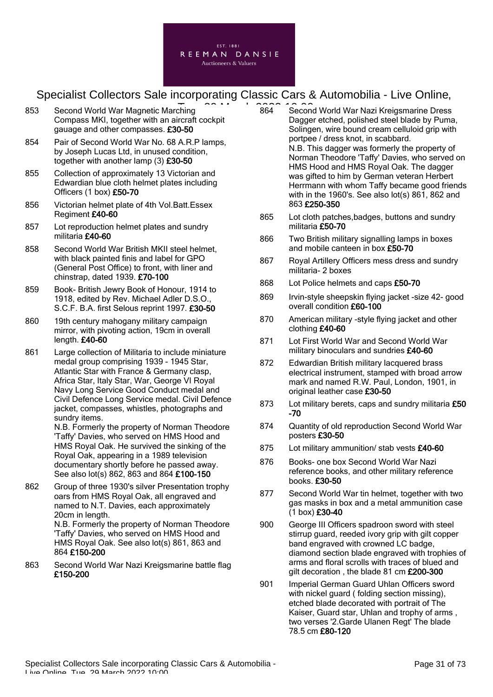

- 853 Second World War Magnetic Marching Compass MKI, together with an aircraft cockpit gauage and other compasses. £30-50
- 854 Pair of Second World War No. 68 A.R.P lamps, by Joseph Lucas Ltd, in unused condition, together with another lamp (3) £30-50
- 855 Collection of approximately 13 Victorian and Edwardian blue cloth helmet plates including Officers (1 box) £50-70
- 856 Victorian helmet plate of 4th Vol.Batt.Essex Regiment £40-60
- 857 Lot reproduction helmet plates and sundry militaria £40-60
- 858 Second World War British MKII steel helmet, with black painted finis and label for GPO (General Post Office) to front, with liner and chinstrap, dated 1939. £70-100
- 859 Book- British Jewry Book of Honour, 1914 to 1918, edited by Rev. Michael Adler D.S.O., S.C.F. B.A. first Selous reprint 1997. £30-50
- 860 19th century mahogany military campaign mirror, with pivoting action, 19cm in overall length. £40-60
- 861 Large collection of Militaria to include miniature medal group comprising 1939 - 1945 Star, Atlantic Star with France & Germany clasp, Africa Star, Italy Star, War, George VI Royal Navy Long Service Good Conduct medal and Civil Defence Long Service medal. Civil Defence jacket, compasses, whistles, photographs and sundry items.

N.B. Formerly the property of Norman Theodore 'Taffy' Davies, who served on HMS Hood and HMS Royal Oak. He survived the sinking of the Royal Oak, appearing in a 1989 television documentary shortly before he passed away. See also lot(s) 862, 863 and 864 £100-150

862 Group of three 1930's silver Presentation trophy oars from HMS Royal Oak, all engraved and named to N.T. Davies, each approximately 20cm in length. N.B. Formerly the property of Norman Theodore 'Taffy' Davies, who served on HMS Hood and

HMS Royal Oak. See also lot(s) 861, 863 and 864 £150-200

863 Second World War Nazi Kreigsmarine battle flag £150-200

- —<br>
Thing 2008 10:000 Second World War Nazi Kreigsmarine Dress Dagger etched, polished steel blade by Puma, Solingen, wire bound cream celluloid grip with portpee / dress knot, in scabbard. N.B. This dagger was formerly the property of Norman Theodore 'Taffy' Davies, who served on HMS Hood and HMS Royal Oak. The dagger was gifted to him by German veteran Herbert Herrmann with whom Taffy became good friends with in the 1960's. See also lot(s) 861, 862 and 863 £250-350
	- 865 Lot cloth patches,badges, buttons and sundry militaria £50-70
	- 866 Two British military signalling lamps in boxes and mobile canteen in box £50-70
	- 867 Royal Artillery Officers mess dress and sundry militaria- 2 boxes
	- 868 Lot Police helmets and caps £50-70
	- 869 Irvin-style sheepskin flying jacket -size 42- good overall condition £60-100
	- 870 American military -style flying jacket and other clothing £40-60
	- 871 Lot First World War and Second World War military binoculars and sundries £40-60
	- 872 Edwardian British military lacquered brass electrical instrument, stamped with broad arrow mark and named R.W. Paul, London, 1901, in original leather case £30-50
	- 873 Lot military berets, caps and sundry militaria £50 -70
	- 874 Quantity of old reproduction Second World War posters £30-50
	- 875 Lot military ammunition/ stab vests £40-60
	- 876 Books- one box Second World War Nazi reference books, and other military reference books. £30-50
	- 877 Second World War tin helmet, together with two gas masks in box and a metal ammunition case (1 box) £30-40
	- 900 George III Officers spadroon sword with steel stirrup guard, reeded ivory grip with gilt copper band engraved with crowned LC badge, diamond section blade engraved with trophies of arms and floral scrolls with traces of blued and gilt decoration, the blade 81 cm £200-300
	- 901 Imperial German Guard Uhlan Officers sword with nickel guard ( folding section missing), etched blade decorated with portrait of The Kaiser, Guard star, Uhlan and trophy of arms , two verses '2.Garde Ulanen Regt' The blade 78.5 cm £80-120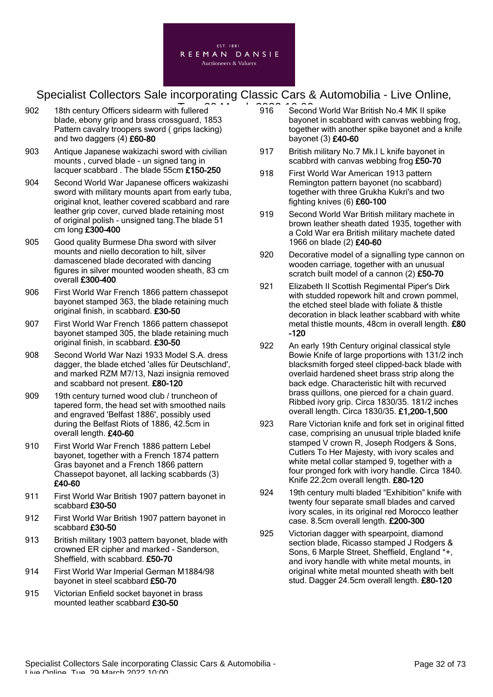

- 902 18th century Officers sidearm with fullered **Tuessean** 2022 18th century Officers sidearm with fullered blade, ebony grip and brass crossguard, 1853 Pattern cavalry troopers sword ( grips lacking) and two daggers (4) £60-80
- 903 Antique Japanese wakizachi sword with civilian mounts , curved blade - un signed tang in lacquer scabbard . The blade 55cm £150-250
- 904 Second World War Japanese officers wakizashi sword with military mounts apart from early tuba, original knot, leather covered scabbard and rare leather grip cover, curved blade retaining most of original polish - unsigned tang.The blade 51 cm long £300-400
- 905 Good quality Burmese Dha sword with silver mounts and niello decoration to hilt, silver damascened blade decorated with dancing figures in silver mounted wooden sheath, 83 cm overall £300-400
- 906 First World War French 1866 pattern chassepot bayonet stamped 363, the blade retaining much original finish, in scabbard. £30-50
- 907 First World War French 1866 pattern chassepot bayonet stamped 305, the blade retaining much original finish, in scabbard. £30-50
- 908 Second World War Nazi 1933 Model S.A. dress dagger, the blade etched 'alles für Deutschland', and marked RZM M7/13, Nazi insignia removed and scabbard not present. £80-120
- 909 19th century turned wood club / truncheon of tapered form, the head set with smoothed nails and engraved 'Belfast 1886', possibly used during the Belfast Riots of 1886, 42.5cm in overall length. £40-60
- 910 First World War French 1886 pattern Lebel bayonet, together with a French 1874 pattern Gras bayonet and a French 1866 pattern Chassepot bayonet, all lacking scabbards (3) £40-60
- 911 First World War British 1907 pattern bayonet in scabbard £30-50
- 912 First World War British 1907 pattern bayonet in scabbard £30-50
- 913 British military 1903 pattern bayonet, blade with crowned ER cipher and marked - Sanderson, Sheffield, with scabbard. £50-70
- 914 First World War Imperial German M1884/98 bayonet in steel scabbard £50-70
- 915 Victorian Enfield socket bayonet in brass mounted leather scabbard £30-50
- 916 Second World War British No.4 MK II spike bayonet in scabbard with canvas webbing frog, together with another spike bayonet and a knife bayonet (3) £40-60
- 917 British military No.7 Mk.I L knife bayonet in scabbrd with canvas webbing frog £50-70
- 918 First World War American 1913 pattern Remington pattern bayonet (no scabbard) together with three Grukha Kukri's and two fighting knives (6) £60-100
- 919 Second World War British military machete in brown leather sheath dated 1935, together with a Cold War era British military machete dated 1966 on blade (2) £40-60
- 920 Decorative model of a signalling type cannon on wooden carriage, together with an unusual scratch built model of a cannon (2) £50-70
- 921 Elizabeth II Scottish Regimental Piper's Dirk with studded ropework hilt and crown pommel, the etched steel blade with foliate & thistle decoration in black leather scabbard with white metal thistle mounts, 48cm in overall length. £80 -120
- 922 An early 19th Century original classical style Bowie Knife of large proportions with 131/2 inch blacksmith forged steel clipped-back blade with overlaid hardened sheet brass strip along the back edge. Characteristic hilt with recurved brass quillons, one pierced for a chain guard. Ribbed ivory grip. Circa 1830/35. 181/2 inches overall length. Circa 1830/35. £1,200-1,500
- 923 Rare Victorian knife and fork set in original fitted case, comprising an unusual triple bladed knife stamped V crown R, Joseph Rodgers & Sons, Cutlers To Her Majesty, with ivory scales and white metal collar stamped 9, together with a four pronged fork with ivory handle. Circa 1840. Knife 22.2cm overall length. £80-120
- 924 19th century multi bladed "Exhibition" knife with twenty four separate small blades and carved ivory scales, in its original red Morocco leather case. 8.5cm overall length. £200-300
- 925 Victorian dagger with spearpoint, diamond section blade, Ricasso stamped J Rodgers & Sons, 6 Marple Street, Sheffield, England \*+, and ivory handle with white metal mounts, in original white metal mounted sheath with belt stud. Dagger 24.5cm overall length. £80-120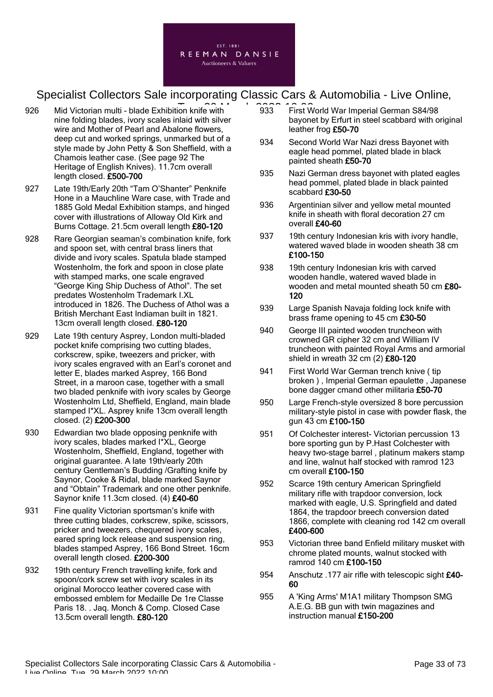

- 926 Mid Victorian multi blade Exhibition knife with **2006** 2033 First W nine folding blades, ivory scales inlaid with silver wire and Mother of Pearl and Abalone flowers, deep cut and worked springs, unmarked but of a style made by John Petty & Son Sheffield, with a Chamois leather case. (See page 92 The Heritage of English Knives). 11.7cm overall length closed. £500-700
- 927 Late 19th/Early 20th "Tam O'Shanter" Penknife Hone in a Mauchline Ware case, with Trade and 1885 Gold Medal Exhibition stamps, and hinged cover with illustrations of Alloway Old Kirk and Burns Cottage. 21.5cm overall length £80-120
- 928 Rare Georgian seaman's combination knife, fork and spoon set, with central brass liners that divide and ivory scales. Spatula blade stamped Wostenholm, the fork and spoon in close plate with stamped marks, one scale engraved "George King Ship Duchess of Athol". The set predates Wostenholm Trademark I.XL introduced in 1826. The Duchess of Athol was a British Merchant East Indiaman built in 1821. 13cm overall length closed. £80-120
- 929 Late 19th century Asprey, London multi-bladed pocket knife comprising two cutting blades, corkscrew, spike, tweezers and pricker, with ivory scales engraved with an Earl's coronet and letter E, blades marked Asprey, 166 Bond Street, in a maroon case, together with a small two bladed penknife with ivory scales by George Wostenholm Ltd, Sheffield, England, main blade stamped I\*XL. Asprey knife 13cm overall length closed. (2) £200-300
- 930 Edwardian two blade opposing penknife with ivory scales, blades marked I\*XL, George Wostenholm, Sheffield, England, together with original guarantee. A late 19th/early 20th century Gentleman's Budding /Grafting knife by Saynor, Cooke & Ridal, blade marked Saynor and "Obtain" Trademark and one other penknife. Saynor knife 11.3cm closed. (4) £40-60
- 931 Fine quality Victorian sportsman's knife with three cutting blades, corkscrew, spike, scissors, pricker and tweezers, chequered ivory scales, eared spring lock release and suspension ring, blades stamped Asprey, 166 Bond Street. 16cm overall length closed. £200-300
- 932 19th century French travelling knife, fork and spoon/cork screw set with ivory scales in its original Morocco leather covered case with embossed emblem for Medaille De 1re Classe Paris 18. . Jaq. Monch & Comp. Closed Case 13.5cm overall length. £80-120
- 933 First World War Imperial German S84/98 bayonet by Erfurt in steel scabbard with original leather frog £50-70
- 934 Second World War Nazi dress Bayonet with eagle head pommel, plated blade in black painted sheath £50-70
- 935 Nazi German dress bayonet with plated eagles head pommel, plated blade in black painted scabbard £30-50
- 936 Argentinian silver and yellow metal mounted knife in sheath with floral decoration 27 cm overall £40-60
- 937 19th century Indonesian kris with ivory handle, watered waved blade in wooden sheath 38 cm £100-150
- 938 19th century Indonesian kris with carved wooden handle, watered waved blade in wooden and metal mounted sheath 50 cm £80-120
- 939 Large Spanish Navaja folding lock knife with brass frame opening to 45 cm £30-50
- 940 George III painted wooden truncheon with crowned GR cipher 32 cm and William IV truncheon with painted Royal Arms and armorial shield in wreath 32 cm (2) £80-120
- 941 First World War German trench knive ( tip broken ) , Imperial German epaulette , Japanese bone dagger cmand other militaria £50-70
- 950 Large French-style oversized 8 bore percussion military-style pistol in case with powder flask, the gun 43 cm £100-150
- 951 Of Colchester interest- Victorian percussion 13 bore sporting gun by P.Hast Colchester with heavy two-stage barrel , platinum makers stamp and line, walnut half stocked with ramrod 123 cm overall £100-150
- 952 Scarce 19th century American Springfield military rifle with trapdoor conversion, lock marked with eagle, U.S. Springfield and dated 1864, the trapdoor breech conversion dated 1866, complete with cleaning rod 142 cm overall £400-600
- 953 Victorian three band Enfield military musket with chrome plated mounts, walnut stocked with ramrod 140 cm £100-150
- 954 Anschutz .177 air rifle with telescopic sight £40-60
- 955 A 'King Arms' M1A1 military Thompson SMG A.E.G. BB gun with twin magazines and instruction manual £150-200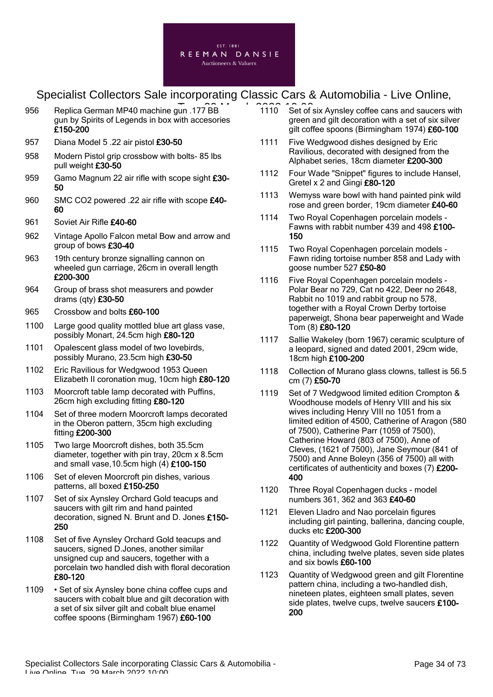

- 956 Replica German MP40 machine gun .177 BB<br>
956 Replica German MP40 machine gun .177 BB gun by Spirits of Legends in box with accesories £150-200
- 957 Diana Model 5 .22 air pistol £30-50
- 958 Modern Pistol grip crossbow with bolts- 85 lbs pull weight £30-50
- 959 Gamo Magnum 22 air rifle with scope sight £30-50
- 960 SMC CO2 powered .22 air rifle with scope £40-60
- 961 Soviet Air Rifle £40-60
- 962 Vintage Apollo Falcon metal Bow and arrow and group of bows £30-40
- 963 19th century bronze signalling cannon on wheeled gun carriage, 26cm in overall length £200-300
- 964 Group of brass shot measurers and powder drams (qty) £30-50
- 965 Crossbow and bolts £60-100
- 1100 Large good quality mottled blue art glass vase, possibly Monart, 24.5cm high £80-120
- 1101 Opalescent glass model of two lovebirds, possibly Murano, 23.5cm high £30-50
- 1102 Eric Ravilious for Wedgwood 1953 Queen Elizabeth II coronation mug, 10cm high £80-120
- 1103 Moorcroft table lamp decorated with Puffins, 26cm high excluding fitting £80-120
- 1104 Set of three modern Moorcroft lamps decorated in the Oberon pattern, 35cm high excluding fitting £200-300
- 1105 Two large Moorcroft dishes, both 35.5cm diameter, together with pin tray, 20cm x 8.5cm and small vase,10.5cm high (4) £100-150
- 1106 Set of eleven Moorcroft pin dishes, various patterns, all boxed £150-250
- 1107 Set of six Aynsley Orchard Gold teacups and saucers with gilt rim and hand painted decoration, signed N. Brunt and D. Jones £150- 250
- 1108 Set of five Aynsley Orchard Gold teacups and saucers, signed D.Jones, another similar unsigned cup and saucers, together with a porcelain two handled dish with floral decoration £80-120
- 1109 Set of six Aynsley bone china coffee cups and saucers with cobalt blue and gilt decoration with a set of six silver gilt and cobalt blue enamel coffee spoons (Birmingham 1967) £60-100
- 1110 Set of six Aynsley coffee cans and saucers with green and gilt decoration with a set of six silver gilt coffee spoons (Birmingham 1974) £60-100
- 1111 Five Wedgwood dishes designed by Eric Ravilious, decorated with designed from the Alphabet series, 18cm diameter £200-300
- 1112 Four Wade "Snippet" figures to include Hansel, Gretel x 2 and Gingi £80-120
- 1113 Wemyss ware bowl with hand painted pink wild rose and green border, 19cm diameter £40-60
- 1114 Two Royal Copenhagen porcelain models Fawns with rabbit number 439 and 498 £100- 150
- 1115 Two Royal Copenhagen porcelain models Fawn riding tortoise number 858 and Lady with goose number 527 £50-80
- 1116 Five Royal Copenhagen porcelain models Polar Bear no 729, Cat no 422, Deer no 2648, Rabbit no 1019 and rabbit group no 578, together with a Royal Crown Derby tortoise paperweigt, Shona bear paperweight and Wade Tom (8) £80-120
- 1117 Sallie Wakeley (born 1967) ceramic sculpture of a leopard, signed and dated 2001, 29cm wide, 18cm high £100-200
- 1118 Collection of Murano glass clowns, tallest is 56.5 cm (7) £50-70
- 1119 Set of 7 Wedgwood limited edition Crompton & Woodhouse models of Henry VIII and his six wives including Henry VIII no 1051 from a limited edition of 4500, Catherine of Aragon (580 of 7500), Catherine Parr (1059 of 7500), Catherine Howard (803 of 7500), Anne of Cleves, (1621 of 7500), Jane Seymour (841 of 7500) and Anne Boleyn (356 of 7500) all with certificates of authenticity and boxes (7) £200- 400
- 1120 Three Royal Copenhagen ducks model numbers 361, 362 and 363 £40-60
- 1121 Eleven Lladro and Nao porcelain figures including girl painting, ballerina, dancing couple, ducks etc £200-300
- 1122 Quantity of Wedgwood Gold Florentine pattern china, including twelve plates, seven side plates and six bowls £60-100
- 1123 Quantity of Wedgwood green and gilt Florentine pattern china, including a two-handled dish, nineteen plates, eighteen small plates, seven side plates, twelve cups, twelve saucers £100- 200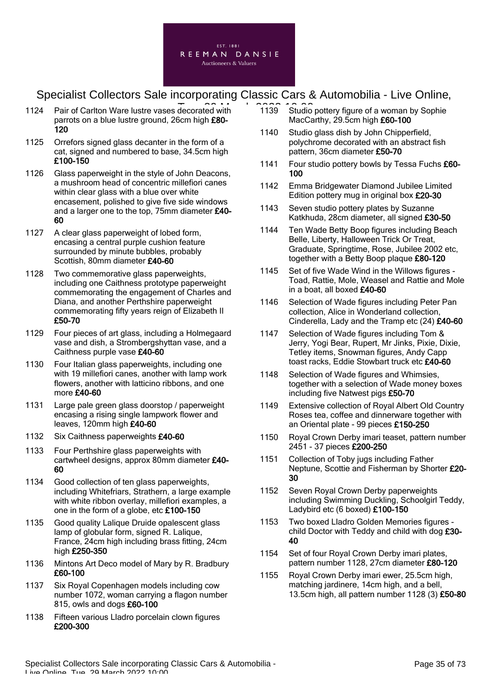

- 1124 Pair of Carlton Ware lustre vases decorated with 1139 Studio parrots on a blue lustre ground, 26cm high £80- 120
- 1125 Orrefors signed glass decanter in the form of a cat, signed and numbered to base, 34.5cm high £100-150
- 1126 Glass paperweight in the style of John Deacons, a mushroom head of concentric millefiori canes within clear glass with a blue over white encasement, polished to give five side windows and a larger one to the top, 75mm diameter £40-60
- 1127 A clear glass paperweight of lobed form, encasing a central purple cushion feature surrounded by minute bubbles, probably Scottish, 80mm diameter £40-60
- 1128 Two commemorative glass paperweights, including one Caithness prototype paperweight commemorating the engagement of Charles and Diana, and another Perthshire paperweight commemorating fifty years reign of Elizabeth II £50-70
- 1129 Four pieces of art glass, including a Holmegaard vase and dish, a Strombergshyttan vase, and a Caithness purple vase £40-60
- 1130 Four Italian glass paperweights, including one with 19 millefiori canes, another with lamp work flowers, another with latticino ribbons, and one more £40-60
- 1131 Large pale green glass doorstop / paperweight encasing a rising single lampwork flower and leaves, 120mm high £40-60
- 1132 Six Caithness paperweights £40-60
- 1133 Four Perthshire glass paperweights with cartwheel designs, approx 80mm diameter £40- 60
- 1134 Good collection of ten glass paperweights, including Whitefriars, Strathern, a large example with white ribbon overlay, millefiori examples, a one in the form of a globe, etc £100-150
- 1135 Good quality Lalique Druide opalescent glass lamp of globular form, signed R. Lalique. France, 24cm high including brass fitting, 24cm high £250-350
- 1136 Mintons Art Deco model of Mary by R. Bradbury £60-100
- 1137 Six Royal Copenhagen models including cow number 1072, woman carrying a flagon number 815, owls and dogs £60-100
- 1138 Fifteen various Lladro porcelain clown figures £200-300
- 1139 Studio pottery figure of a woman by Sophie MacCarthy, 29.5cm high £60-100
- 1140 Studio glass dish by John Chipperfield, polychrome decorated with an abstract fish pattern, 36cm diameter £50-70
- 1141 Four studio pottery bowls by Tessa Fuchs £60-100
- 1142 Emma Bridgewater Diamond Jubilee Limited Edition pottery mug in original box £20-30
- 1143 Seven studio pottery plates by Suzanne Katkhuda, 28cm diameter, all signed £30-50
- 1144 Ten Wade Betty Boop figures including Beach Belle, Liberty, Halloween Trick Or Treat, Graduate, Springtime, Rose, Jubilee 2002 etc, together with a Betty Boop plaque £80-120
- 1145 Set of five Wade Wind in the Willows figures Toad, Rattie, Mole, Weasel and Rattie and Mole in a boat, all boxed £40-60
- 1146 Selection of Wade figures including Peter Pan collection, Alice in Wonderland collection, Cinderella, Lady and the Tramp etc (24) £40-60
- 1147 Selection of Wade figures including Tom & Jerry, Yogi Bear, Rupert, Mr Jinks, Pixie, Dixie, Tetley items, Snowman figures, Andy Capp toast racks, Eddie Stowbart truck etc £40-60
- 1148 Selection of Wade figures and Whimsies, together with a selection of Wade money boxes including five Natwest pigs £50-70
- 1149 Extensive collection of Royal Albert Old Country Roses tea, coffee and dinnerware together with an Oriental plate - 99 pieces £150-250
- 1150 Royal Crown Derby imari teaset, pattern number 2451 - 37 pieces £200-250
- 1151 Collection of Toby jugs including Father Neptune, Scottie and Fisherman by Shorter £20- 30
- 1152 Seven Royal Crown Derby paperweights including Swimming Duckling, Schoolgirl Teddy, Ladybird etc (6 boxed) £100-150
- 1153 Two boxed Lladro Golden Memories figures child Doctor with Teddy and child with dog £30- 40
- 1154 Set of four Royal Crown Derby imari plates, pattern number 1128, 27cm diameter £80-120
- 1155 Royal Crown Derby imari ewer, 25.5cm high, matching jardinere, 14cm high, and a bell, 13.5cm high, all pattern number 1128 (3) £50-80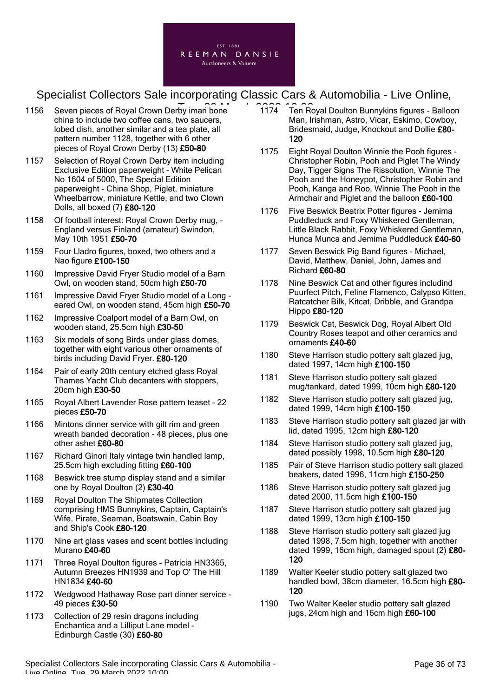

- 1156 Seven pieces of Royal Crown Derby imari bone 1174 Ten Ro china to include two coffee cans, two saucers, lobed dish, another similar and a tea plate, all pattern number 1128, together with 6 other pieces of Royal Crown Derby (13) £50-80
- 1157 Selection of Royal Crown Derby item including Exclusive Edition paperweight - White Pelican No 1604 of 5000, The Special Edition paperweight - China Shop, Piglet, miniature Wheelbarrow, miniature Kettle, and two Clown Dolls, all boxed (7) £80-120
- 1158 Of football interest: Royal Crown Derby mug, England versus Finland (amateur) Swindon, May 10th 1951 £50-70
- 1159 Four Lladro figures, boxed, two others and a Nao figure £100-150
- 1160 Impressive David Fryer Studio model of a Barn Owl, on wooden stand, 50cm high £50-70
- 1161 Impressive David Fryer Studio model of a Long eared Owl, on wooden stand, 45cm high £50-70
- 1162 Impressive Coalport model of a Barn Owl, on wooden stand, 25.5cm high £30-50
- 1163 Six models of song Birds under glass domes, together with eight various other ornaments of birds including David Fryer. £80-120
- 1164 Pair of early 20th century etched glass Royal Thames Yacht Club decanters with stoppers, 20cm high £30-50
- 1165 Royal Albert Lavender Rose pattern teaset 22 pieces £50-70
- 1166 Mintons dinner service with gilt rim and green wreath banded decoration - 48 pieces, plus one other ashet £60-80
- 1167 Richard Ginori Italy vintage twin handled lamp, 25.5cm high excluding fitting £60-100
- 1168 Beswick tree stump display stand and a similar one by Royal Doulton (2) £30-40
- 1169 Royal Doulton The Shipmates Collection comprising HMS Bunnykins, Captain, Captain's Wife, Pirate, Seaman, Boatswain, Cabin Boy and Ship's Cook £80-120
- 1170 Nine art glass vases and scent bottles including Murano £40-60
- 1171 Three Royal Doulton figures Patricia HN3365, Autumn Breezes HN1939 and Top O' The Hill HN1834 £40-60
- 1172 Wedgwood Hathaway Rose part dinner service 49 pieces £30-50
- 1173 Collection of 29 resin dragons including Enchantica and a Lilliput Lane model - Edinburgh Castle (30) £60-80
- 1174 Ten Royal Doulton Bunnykins figures Balloon Man, Irishman, Astro, Vicar, Eskimo, Cowboy, Bridesmaid, Judge, Knockout and Dollie £80- 120
- 1175 Eight Royal Doulton Winnie the Pooh figures Christopher Robin, Pooh and Piglet The Windy Day, Tigger Signs The Rissolution, Winnie The Pooh and the Honeypot, Christopher Robin and Pooh, Kanga and Roo, Winnie The Pooh in the Armchair and Piglet and the balloon £60-100
- 1176 Five Beswick Beatrix Potter figures Jemima Puddleduck and Foxy Whiskered Gentleman, Little Black Rabbit, Foxy Whiskered Gentleman, Hunca Munca and Jemima Puddleduck £40-60
- 1177 Seven Beswick Pig Band figures Michael, David, Matthew, Daniel, John, James and Richard £60-80
- 1178 Nine Beswick Cat and other figures includind Puurfect Pitch, Feline Flamenco, Calypso Kitten, Ratcatcher Bilk, Kitcat, Dribble, and Grandpa Hippo £80-120
- 1179 Beswick Cat, Beswick Dog, Royal Albert Old Country Roses teapot and other ceramics and ornaments £40-60
- 1180 Steve Harrison studio pottery salt glazed jug, dated 1997, 14cm high £100-150
- 1181 Steve Harrison studio pottery salt glazed mug/tankard, dated 1999, 10cm high £80-120
- 1182 Steve Harrison studio pottery salt glazed jug, dated 1999, 14cm high £100-150
- 1183 Steve Harrison studio pottery salt glazed jar with lid, dated 1995, 12cm high £80-120
- 1184 Steve Harrison studio pottery salt glazed jug, dated possibly 1998, 10.5cm high £80-120
- 1185 Pair of Steve Harrison studio pottery salt glazed beakers, dated 1996, 11cm high £150-250
- 1186 Steve Harrison studio pottery salt glazed jug dated 2000, 11.5cm high £100-150
- 1187 Steve Harrison studio pottery salt glazed jug dated 1999, 13cm high £100-150
- 1188 Steve Harrison studio pottery salt glazed jug dated 1998, 7.5cm high, together with another dated 1999, 16cm high, damaged spout (2) £80-120
- 1189 Walter Keeler studio pottery salt glazed two handled bowl, 38cm diameter, 16.5cm high £80- 120
- 1190 Two Walter Keeler studio pottery salt glazed jugs, 24cm high and 16cm high £60-100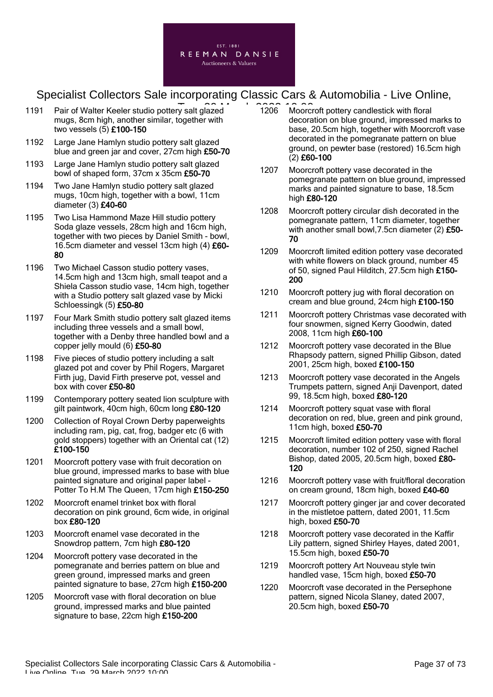

- 1191 Pair of Walter Keeler studio pottery salt glazed 1206 Moorci mugs, 8cm high, another similar, together with two vessels (5) £100-150
- 1192 Large Jane Hamlyn studio pottery salt glazed blue and green jar and cover, 27cm high £50-70
- 1193 Large Jane Hamlyn studio pottery salt glazed bowl of shaped form, 37cm x 35cm £50-70
- 1194 Two Jane Hamlyn studio pottery salt glazed mugs, 10cm high, together with a bowl, 11cm diameter (3) £40-60
- 1195 Two Lisa Hammond Maze Hill studio pottery Soda glaze vessels, 28cm high and 16cm high, together with two pieces by Daniel Smith - bowl, 16.5cm diameter and vessel 13cm high (4) £60- 80
- 1196 Two Michael Casson studio pottery vases, 14.5cm high and 13cm high, small teapot and a Shiela Casson studio vase, 14cm high, together with a Studio pottery salt glazed vase by Micki Schloessingk (5) £50-80
- 1197 Four Mark Smith studio pottery salt glazed items including three vessels and a small bowl, together with a Denby three handled bowl and a copper jelly mould (6) £50-80
- 1198 Five pieces of studio pottery including a salt glazed pot and cover by Phil Rogers, Margaret Firth jug, David Firth preserve pot, vessel and box with cover £50-80
- 1199 Contemporary pottery seated lion sculpture with gilt paintwork, 40cm high, 60cm long £80-120
- 1200 Collection of Royal Crown Derby paperweights including ram, pig, cat, frog, badger etc (6 with gold stoppers) together with an Oriental cat (12) £100-150
- 1201 Moorcroft pottery vase with fruit decoration on blue ground, impressed marks to base with blue painted signature and original paper label - Potter To H.M The Queen, 17cm high £150-250
- 1202 Moorcroft enamel trinket box with floral decoration on pink ground, 6cm wide, in original box £80-120
- 1203 Moorcroft enamel vase decorated in the Snowdrop pattern, 7cm high £80-120
- 1204 Moorcroft pottery vase decorated in the pomegranate and berries pattern on blue and green ground, impressed marks and green painted signature to base, 27cm high £150-200
- 1205 Moorcroft vase with floral decoration on blue ground, impressed marks and blue painted signature to base, 22cm high £150-200
- 1206 Moorcroft pottery candlestick with floral decoration on blue ground, impressed marks to base, 20.5cm high, together with Moorcroft vase decorated in the pomegranate pattern on blue ground, on pewter base (restored) 16.5cm high (2) £60-100
- 1207 Moorcroft pottery vase decorated in the pomegranate pattern on blue ground, impressed marks and painted signature to base, 18.5cm high £80-120
- 1208 Moorcroft pottery circular dish decorated in the pomegranate pattern, 11cm diameter, together with another small bowl, 7.5cn diameter (2) £50-70
- 1209 Moorcroft limited edition pottery vase decorated with white flowers on black ground, number 45 of 50, signed Paul Hilditch, 27.5cm high £150- 200
- 1210 Moorcroft pottery jug with floral decoration on cream and blue ground, 24cm high £100-150
- 1211 Moorcroft pottery Christmas vase decorated with four snowmen, signed Kerry Goodwin, dated 2008, 11cm high £60-100
- 1212 Moorcroft pottery vase decorated in the Blue Rhapsody pattern, signed Phillip Gibson, dated 2001, 25cm high, boxed £100-150
- 1213 Moorcroft pottery vase decorated in the Angels Trumpets pattern, signed Anji Davenport, dated 99, 18.5cm high, boxed £80-120
- 1214 Moorcroft pottery squat vase with floral decoration on red, blue, green and pink ground, 11cm high, boxed £50-70
- 1215 Moorcroft limited edition pottery vase with floral decoration, number 102 of 250, signed Rachel Bishop, dated 2005, 20.5cm high, boxed £80-120
- 1216 Moorcroft pottery vase with fruit/floral decoration on cream ground, 18cm high, boxed £40-60
- 1217 Moorcroft pottery ginger jar and cover decorated in the mistletoe pattern, dated 2001, 11.5cm high, boxed £50-70
- 1218 Moorcroft pottery vase decorated in the Kaffir Lily pattern, signed Shirley Hayes, dated 2001, 15.5cm high, boxed £50-70
- 1219 Moorcroft pottery Art Nouveau style twin handled vase, 15cm high, boxed £50-70
- 1220 Moorcroft vase decorated in the Persephone pattern, signed Nicola Slaney, dated 2007, 20.5cm high, boxed £50-70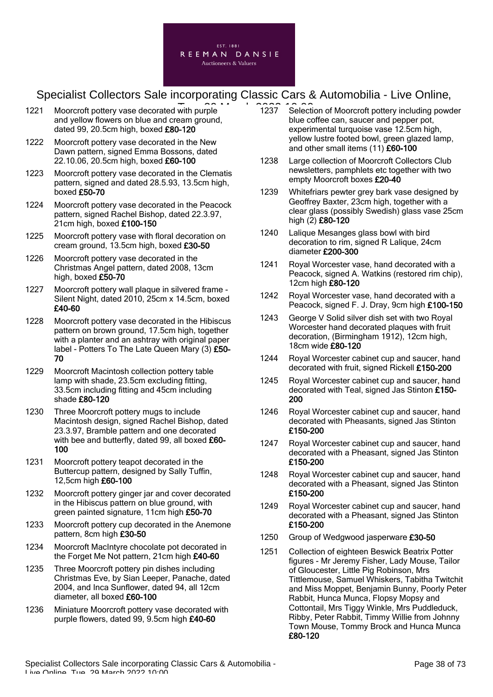

- 1221 Moorcroft pottery vase decorated with purple **1237** Selecti and yellow flowers on blue and cream ground, dated 99, 20.5cm high, boxed £80-120
- 1222 Moorcroft pottery vase decorated in the New Dawn pattern, signed Emma Bossons, dated 22.10.06, 20.5cm high, boxed £60-100
- 1223 Moorcroft pottery vase decorated in the Clematis pattern, signed and dated 28.5.93, 13.5cm high, boxed £50-70
- 1224 Moorcroft pottery vase decorated in the Peacock pattern, signed Rachel Bishop, dated 22.3.97, 21cm high, boxed £100-150
- 1225 Moorcroft pottery vase with floral decoration on cream ground, 13.5cm high, boxed £30-50
- 1226 Moorcroft pottery vase decorated in the Christmas Angel pattern, dated 2008, 13cm high, boxed £50-70
- 1227 Moorcroft pottery wall plaque in silvered frame Silent Night, dated 2010, 25cm x 14.5cm, boxed £40-60
- 1228 Moorcroft pottery vase decorated in the Hibiscus pattern on brown ground, 17.5cm high, together with a planter and an ashtray with original paper label - Potters To The Late Queen Mary (3) £50-70
- 1229 Moorcroft Macintosh collection pottery table lamp with shade, 23.5cm excluding fitting, 33.5cm including fitting and 45cm including shade £80-120
- 1230 Three Moorcroft pottery mugs to include Macintosh design, signed Rachel Bishop, dated 23.3.97, Bramble pattern and one decorated with bee and butterfly, dated 99, all boxed £60-100
- 1231 Moorcroft pottery teapot decorated in the Buttercup pattern, designed by Sally Tuffin, 12,5cm high £60-100
- 1232 Moorcroft pottery ginger jar and cover decorated in the Hibiscus pattern on blue ground, with green painted signature, 11cm high £50-70
- 1233 Moorcroft pottery cup decorated in the Anemone pattern, 8cm high £30-50
- 1234 Moorcroft MacIntyre chocolate pot decorated in the Forget Me Not pattern, 21cm high £40-60
- 1235 Three Moorcroft pottery pin dishes including Christmas Eve, by Sian Leeper, Panache, dated 2004, and Inca Sunflower, dated 94, all 12cm diameter, all boxed £60-100
- 1236 Miniature Moorcroft pottery vase decorated with purple flowers, dated 99, 9.5cm high £40-60
- 1237 Selection of Moorcroft pottery including powder blue coffee can, saucer and pepper pot, experimental turquoise vase 12.5cm high, yellow lustre footed bowl, green glazed lamp, and other small items (11) £60-100
- 1238 Large collection of Moorcroft Collectors Club newsletters, pamphlets etc together with two empty Moorcroft boxes £20-40
- 1239 Whitefriars pewter grey bark vase designed by Geoffrey Baxter, 23cm high, together with a clear glass (possibly Swedish) glass vase 25cm high (2) £80-120
- 1240 Lalique Mesanges glass bowl with bird decoration to rim, signed R Lalique, 24cm diameter £200-300
- 1241 Royal Worcester vase, hand decorated with a Peacock, signed A. Watkins (restored rim chip), 12cm high £80-120
- 1242 Royal Worcester vase, hand decorated with a Peacock, signed F. J. Dray, 9cm high £100-150
- 1243 George V Solid silver dish set with two Royal Worcester hand decorated plaques with fruit decoration, (Birmingham 1912), 12cm high, 18cm wide £80-120
- 1244 Royal Worcester cabinet cup and saucer, hand decorated with fruit, signed Rickell £150-200
- 1245 Royal Worcester cabinet cup and saucer, hand decorated with Teal, signed Jas Stinton £150- 200
- 1246 Royal Worcester cabinet cup and saucer, hand decorated with Pheasants, signed Jas Stinton £150-200
- 1247 Royal Worcester cabinet cup and saucer, hand decorated with a Pheasant, signed Jas Stinton £150-200
- 1248 Royal Worcester cabinet cup and saucer, hand decorated with a Pheasant, signed Jas Stinton £150-200
- 1249 Royal Worcester cabinet cup and saucer, hand decorated with a Pheasant, signed Jas Stinton £150-200
- 1250 Group of Wedgwood jasperware £30-50
- 1251 Collection of eighteen Beswick Beatrix Potter figures - Mr Jeremy Fisher, Lady Mouse, Tailor of Gloucester, Little Pig Robinson, Mrs Tittlemouse, Samuel Whiskers, Tabitha Twitchit and Miss Moppet, Benjamin Bunny, Poorly Peter Rabbit, Hunca Munca, Flopsy Mopsy and Cottontail, Mrs Tiggy Winkle, Mrs Puddleduck, Ribby, Peter Rabbit, Timmy Willie from Johnny Town Mouse, Tommy Brock and Hunca Munca £80-120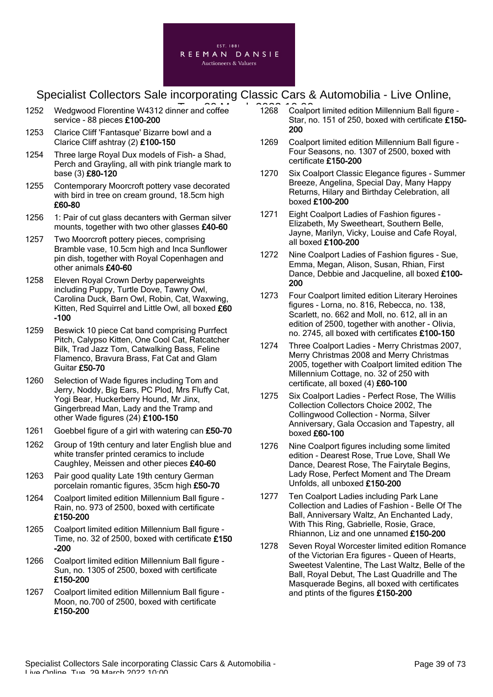

- 1252 Wedgwood Florentine W4312 dinner and coffee 1268 Coalpo service - 88 pieces £100-200
- 1253 Clarice Cliff 'Fantasque' Bizarre bowl and a Clarice Cliff ashtray (2) £100-150
- 1254 Three large Royal Dux models of Fish- a Shad, Perch and Grayling, all with pink triangle mark to base (3) £80-120
- 1255 Contemporary Moorcroft pottery vase decorated with bird in tree on cream ground, 18.5cm high £60-80
- 1256 1: Pair of cut glass decanters with German silver mounts, together with two other glasses £40-60
- 1257 Two Moorcroft pottery pieces, comprising Bramble vase, 10.5cm high and Inca Sunflower pin dish, together with Royal Copenhagen and other animals £40-60
- 1258 Eleven Royal Crown Derby paperweights including Puppy, Turtle Dove, Tawny Owl, Carolina Duck, Barn Owl, Robin, Cat, Waxwing, Kitten, Red Squirrel and Little Owl, all boxed £60 -100
- 1259 Beswick 10 piece Cat band comprising Purrfect Pitch, Calypso Kitten, One Cool Cat, Ratcatcher Bilk, Trad Jazz Tom, Catwalking Bass, Feline Flamenco, Bravura Brass, Fat Cat and Glam Guitar £50-70
- 1260 Selection of Wade figures including Tom and Jerry, Noddy, Big Ears, PC Plod, Mrs Fluffy Cat, Yogi Bear, Huckerberry Hound, Mr Jinx, Gingerbread Man, Lady and the Tramp and other Wade figures (24) £100-150
- 1261 Goebbel figure of a girl with watering can £50-70
- 1262 Group of 19th century and later English blue and white transfer printed ceramics to include Caughley, Meissen and other pieces £40-60
- 1263 Pair good quality Late 19th century German porcelain romantic figures, 35cm high £50-70
- 1264 Coalport limited edition Millennium Ball figure Rain, no. 973 of 2500, boxed with certificate £150-200
- 1265 Coalport limited edition Millennium Ball figure Time, no. 32 of 2500, boxed with certificate £150 -200
- 1266 Coalport limited edition Millennium Ball figure Sun, no. 1305 of 2500, boxed with certificate £150-200
- 1267 Coalport limited edition Millennium Ball figure Moon, no.700 of 2500, boxed with certificate £150-200
- 1268 Coalport limited edition Millennium Ball figure Star, no. 151 of 250, boxed with certificate £150-200
- 1269 Coalport limited edition Millennium Ball figure Four Seasons, no. 1307 of 2500, boxed with certificate £150-200
- 1270 Six Coalport Classic Elegance figures Summer Breeze, Angelina, Special Day, Many Happy Returns, Hilary and Birthday Celebration, all boxed £100-200
- 1271 Eight Coalport Ladies of Fashion figures Elizabeth, My Sweetheart, Southern Belle, Jayne, Marilyn, Vicky, Louise and Cafe Royal, all boxed £100-200
- 1272 Nine Coalport Ladies of Fashion figures Sue, Emma, Megan, Alison, Susan, Rhian, First Dance, Debbie and Jacqueline, all boxed £100-200
- 1273 Four Coalport limited edition Literary Heroines figures - Lorna, no. 816, Rebecca, no. 138, Scarlett, no. 662 and Moll, no. 612, all in an edition of 2500, together with another - Olivia, no. 2745, all boxed with certificates £100-150
- 1274 Three Coalport Ladies Merry Christmas 2007, Merry Christmas 2008 and Merry Christmas 2005, together with Coalport limited edition The Millennium Cottage, no. 32 of 250 with certificate, all boxed (4) £60-100
- 1275 Six Coalport Ladies Perfect Rose, The Willis Collection Collectors Choice 2002, The Collingwood Collection - Norma, Silver Anniversary, Gala Occasion and Tapestry, all boxed £60-100
- 1276 Nine Coalport figures including some limited edition - Dearest Rose, True Love, Shall We Dance, Dearest Rose, The Fairytale Begins, Lady Rose, Perfect Moment and The Dream Unfolds, all unboxed £150-200
- 1277 Ten Coalport Ladies including Park Lane Collection and Ladies of Fashion - Belle Of The Ball, Anniversary Waltz, An Enchanted Lady, With This Ring, Gabrielle, Rosie, Grace, Rhiannon, Liz and one unnamed £150-200
- 1278 Seven Royal Worcester limited edition Romance of the Victorian Era figures - Queen of Hearts, Sweetest Valentine, The Last Waltz, Belle of the Ball, Royal Debut, The Last Quadrille and The Masquerade Begins, all boxed with certificates and ptints of the figures £150-200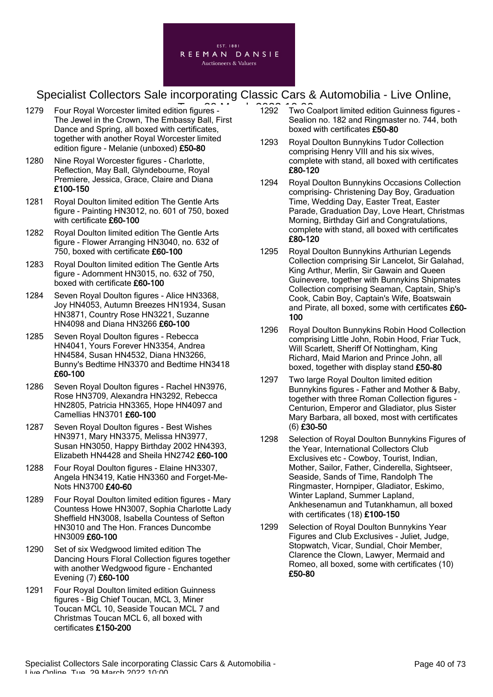

- 1279 Four Royal Worcester limited edition figures 1292 Two C The Jewel in the Crown, The Embassy Ball, First Dance and Spring, all boxed with certificates, together with another Royal Worcester limited edition figure - Melanie (unboxed) £50-80
- 1280 Nine Royal Worcester figures Charlotte, Reflection, May Ball, Glyndebourne, Royal Premiere, Jessica, Grace, Claire and Diana £100-150
- 1281 Royal Doulton limited edition The Gentle Arts figure - Painting HN3012, no. 601 of 750, boxed with certificate £60-100
- 1282 Royal Doulton limited edition The Gentle Arts figure - Flower Arranging HN3040, no. 632 of 750, boxed with certificate £60-100
- 1283 Royal Doulton limited edition The Gentle Arts figure - Adornment HN3015, no. 632 of 750, boxed with certificate £60-100
- 1284 Seven Royal Doulton figures Alice HN3368, Joy HN4053, Autumn Breezes HN1934, Susan HN3871, Country Rose HN3221, Suzanne HN4098 and Diana HN3266 £60-100
- 1285 Seven Royal Doulton figures Rebecca HN4041, Yours Forever HN3354, Andrea HN4584, Susan HN4532, Diana HN3266, Bunny's Bedtime HN3370 and Bedtime HN3418 £60-100
- 1286 Seven Royal Doulton figures Rachel HN3976, Rose HN3709, Alexandra HN3292, Rebecca HN2805, Patricia HN3365, Hope HN4097 and Camellias HN3701 £60-100
- 1287 Seven Royal Doulton figures Best Wishes HN3971, Mary HN3375, Melissa HN3977, Susan HN3050, Happy Birthday 2002 HN4393, Elizabeth HN4428 and Sheila HN2742 £60-100
- 1288 Four Royal Doulton figures Elaine HN3307, Angela HN3419, Katie HN3360 and Forget-Me-Nots HN3700 £40-60
- 1289 Four Royal Doulton limited edition figures Mary Countess Howe HN3007, Sophia Charlotte Lady Sheffield HN3008, Isabella Countess of Sefton HN3010 and The Hon. Frances Duncombe HN3009 £60-100
- 1290 Set of six Wedgwood limited edition The Dancing Hours Floral Collection figures together with another Wedgwood figure - Enchanted Evening (7) £60-100
- 1291 Four Royal Doulton limited edition Guinness figures - Big Chief Toucan, MCL 3, Miner Toucan MCL 10, Seaside Toucan MCL 7 and Christmas Toucan MCL 6, all boxed with certificates £150-200
- 1292 Two Coalport limited edition Guinness figures Sealion no. 182 and Ringmaster no. 744, both boxed with certificates £50-80
- 1293 Royal Doulton Bunnykins Tudor Collection comprising Henry VIII and his six wives, complete with stand, all boxed with certificates £80-120
- 1294 Royal Doulton Bunnykins Occasions Collection comprising- Christening Day Boy, Graduation Time, Wedding Day, Easter Treat, Easter Parade, Graduation Day, Love Heart, Christmas Morning, Birthday Girl and Congratulations, complete with stand, all boxed with certificates £80-120
- 1295 Royal Doulton Bunnykins Arthurian Legends Collection comprising Sir Lancelot, Sir Galahad, King Arthur, Merlin, Sir Gawain and Queen Guinevere, together with Bunnykins Shipmates Collection comprising Seaman, Captain, Ship's Cook, Cabin Boy, Captain's Wife, Boatswain and Pirate, all boxed, some with certificates £60-100
- 1296 Royal Doulton Bunnykins Robin Hood Collection comprising Little John, Robin Hood, Friar Tuck, Will Scarlett, Sheriff Of Nottingham, King Richard, Maid Marion and Prince John, all boxed, together with display stand £50-80
- 1297 Two large Royal Doulton limited edition Bunnykins figures - Father and Mother & Baby, together with three Roman Collection figures - Centurion, Emperor and Gladiator, plus Sister Mary Barbara, all boxed, most with certificates (6) £30-50
- 1298 Selection of Royal Doulton Bunnykins Figures of the Year, International Collectors Club Exclusives etc - Cowboy, Tourist, Indian, Mother, Sailor, Father, Cinderella, Sightseer, Seaside, Sands of Time, Randolph The Ringmaster, Hornpiper, Gladiator, Eskimo, Winter Lapland, Summer Lapland, Ankhesenamun and Tutankhamun, all boxed with certificates (18) £100-150
- 1299 Selection of Royal Doulton Bunnykins Year Figures and Club Exclusives - Juliet, Judge, Stopwatch, Vicar, Sundial, Choir Member, Clarence the Clown, Lawyer, Mermaid and Romeo, all boxed, some with certificates (10) £50-80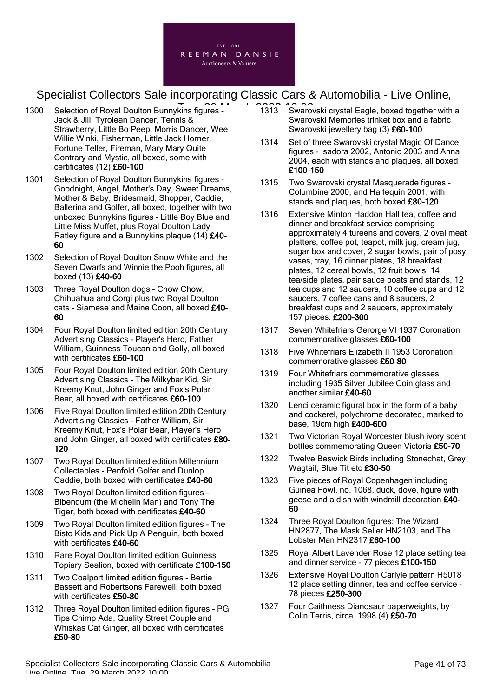

- 1300 Selection of Royal Doulton Bunnykins figures 1313 Swaro Jack & Jill, Tyrolean Dancer, Tennis & Strawberry, Little Bo Peep, Morris Dancer, Wee Willie Winki, Fisherman, Little Jack Horner, Fortune Teller, Fireman, Mary Mary Quite Contrary and Mystic, all boxed, some with certificates (12) £60-100
- 1301 Selection of Royal Doulton Bunnykins figures Goodnight, Angel, Mother's Day, Sweet Dreams, Mother & Baby, Bridesmaid, Shopper, Caddie, Ballerina and Golfer, all boxed, together with two unboxed Bunnykins figures - Little Boy Blue and Little Miss Muffet, plus Royal Doulton Lady Ratley figure and a Bunnykins plaque (14) £40- 60
- 1302 Selection of Royal Doulton Snow White and the Seven Dwarfs and Winnie the Pooh figures, all boxed (13) £40-60
- 1303 Three Royal Doulton dogs Chow Chow, Chihuahua and Corgi plus two Royal Doulton cats - Siamese and Maine Coon, all boxed £40- 60
- 1304 Four Royal Doulton limited edition 20th Century Advertising Classics - Player's Hero, Father William, Guinness Toucan and Golly, all boxed with certificates £60-100
- 1305 Four Royal Doulton limited edition 20th Century Advertising Classics - The Milkybar Kid, Sir Kreemy Knut, John Ginger and Fox's Polar Bear, all boxed with certificates £60-100
- 1306 Five Royal Doulton limited edition 20th Century Advertising Classics - Father William, Sir Kreemy Knut, Fox's Polar Bear, Player's Hero and John Ginger, all boxed with certificates £80- 120
- 1307 Two Royal Doulton limited edition Millennium Collectables - Penfold Golfer and Dunlop Caddie, both boxed with certificates £40-60
- 1308 Two Royal Doulton limited edition figures Bibendum (the Michelin Man) and Tony The Tiger, both boxed with certificates £40-60
- 1309 Two Royal Doulton limited edition figures The Bisto Kids and Pick Up A Penguin, both boxed with certificates £40-60
- 1310 Rare Royal Doulton limited edition Guinness Topiary Sealion, boxed with certificate £100-150
- 1311 Two Coalport limited edition figures Bertie Bassett and Robertsons Farewell, both boxed with certificates £50-80
- 1312 Three Royal Doulton limited edition figures PG Tips Chimp Ada, Quality Street Couple and Whiskas Cat Ginger, all boxed with certificates £50-80
- 1313 Swarovski crystal Eagle, boxed together with a Swarovski Memories trinket box and a fabric Swarovski jewellery bag (3) £60-100
- 1314 Set of three Swarovski crystal Magic Of Dance figures - Isadora 2002, Antonio 2003 and Anna 2004, each with stands and plaques, all boxed £100-150
- 1315 Two Swarovski crystal Masquerade figures Columbine 2000, and Harlequin 2001, with stands and plaques, both boxed £80-120
- 1316 Extensive Minton Haddon Hall tea, coffee and dinner and breakfast service comprising approximately 4 tureens and covers, 2 oval meat platters, coffee pot, teapot, milk jug, cream jug, sugar box and cover, 2 sugar bowls, pair of posy vases, tray, 16 dinner plates, 18 breakfast plates, 12 cereal bowls, 12 fruit bowls, 14 tea/side plates, pair sauce boats and stands, 12 tea cups and 12 saucers, 10 coffee cups and 12 saucers, 7 coffee cans and 8 saucers, 2 breakfast cups and 2 saucers, approximately 157 pieces. £200-300
- 1317 Seven Whitefriars Gerorge VI 1937 Coronation commemorative glasses £60-100
- 1318 Five Whitefriars Elizabeth II 1953 Coronation commemorative glasses £50-80
- 1319 Four Whitefriars commemorative glasses including 1935 Silver Jubilee Coin glass and another similar £40-60
- 1320 Lenci ceramic figural box in the form of a baby and cockerel, polychrome decorated, marked to base, 19cm high £400-600
- 1321 Two Victorian Royal Worcester blush ivory scent bottles commemorating Queen Victoria £50-70
- 1322 Twelve Beswick Birds including Stonechat, Grey Wagtail, Blue Tit etc £30-50
- 1323 Five pieces of Royal Copenhagen including Guinea Fowl, no. 1068, duck, dove, figure with geese and a dish with windmill decoration £40- 60
- 1324 Three Royal Doulton figures: The Wizard HN2877, The Mask Seller HN2103, and The Lobster Man HN2317 £60-100
- 1325 Royal Albert Lavender Rose 12 place setting tea and dinner service - 77 pieces £100-150
- 1326 Extensive Royal Doulton Carlyle pattern H5018 12 place setting dinner, tea and coffee service - 78 pieces £250-300
- 1327 Four Caithness Dianosaur paperweights, by Colin Terris, circa. 1998 (4) £50-70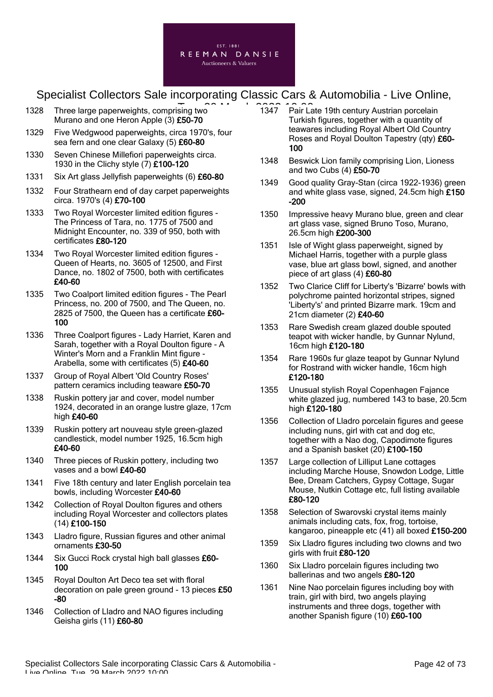

- 1328 Three large paperweights, comprising two **Tues 2022 10:000** Murano and one Heron Apple (3) £50-70
- 1329 Five Wedgwood paperweights, circa 1970's, four sea fern and one clear Galaxy (5) £60-80
- 1330 Seven Chinese Millefiori paperweights circa. 1930 in the Clichy style (7) £100-120
- 1331 Six Art glass Jellyfish paperweights (6) £60-80
- 1332 Four Strathearn end of day carpet paperweights circa. 1970's (4) £70-100
- 1333 Two Royal Worcester limited edition figures The Princess of Tara, no. 1775 of 7500 and Midnight Encounter, no. 339 of 950, both with certificates £80-120
- 1334 Two Royal Worcester limited edition figures Queen of Hearts, no. 3605 of 12500, and First Dance, no. 1802 of 7500, both with certificates £40-60
- 1335 Two Coalport limited edition figures The Pearl Princess, no. 200 of 7500, and The Queen, no. 2825 of 7500, the Queen has a certificate £60-100
- 1336 Three Coalport figures Lady Harriet, Karen and Sarah, together with a Royal Doulton figure - A Winter's Morn and a Franklin Mint figure - Arabella, some with certificates (5) £40-60
- 1337 Group of Royal Albert 'Old Country Roses' pattern ceramics including teaware £50-70
- 1338 Ruskin pottery jar and cover, model number 1924, decorated in an orange lustre glaze, 17cm high £40-60
- 1339 Ruskin pottery art nouveau style green-glazed candlestick, model number 1925, 16.5cm high £40-60
- 1340 Three pieces of Ruskin pottery, including two vases and a bowl £40-60
- 1341 Five 18th century and later English porcelain tea bowls, including Worcester £40-60
- 1342 Collection of Royal Doulton figures and others including Royal Worcester and collectors plates (14) £100-150
- 1343 Lladro figure, Russian figures and other animal ornaments £30-50
- 1344 Six Gucci Rock crystal high ball glasses £60-100
- 1345 Royal Doulton Art Deco tea set with floral decoration on pale green ground - 13 pieces £50 -80
- 1346 Collection of Lladro and NAO figures including Geisha girls (11) £60-80
- 1347 Pair Late 19th century Austrian porcelain Turkish figures, together with a quantity of teawares including Royal Albert Old Country Roses and Royal Doulton Tapestry (qty) £60- 100
- 1348 Beswick Lion family comprising Lion, Lioness and two Cubs (4) £50-70
- 1349 Good quality Gray-Stan (circa 1922-1936) green and white glass vase, signed, 24.5cm high £150 -200
- 1350 Impressive heavy Murano blue, green and clear art glass vase, signed Bruno Toso, Murano, 26.5cm high £200-300
- 1351 Isle of Wight glass paperweight, signed by Michael Harris, together with a purple glass vase, blue art glass bowl, signed, and another piece of art glass (4) £60-80
- 1352 Two Clarice Cliff for Liberty's 'Bizarre' bowls with polychrome painted horizontal stripes, signed 'Liberty's' and printed Bizarre mark. 19cm and 21cm diameter (2) £40-60
- 1353 Rare Swedish cream glazed double spouted teapot with wicker handle, by Gunnar Nylund, 16cm high £120-180
- 1354 Rare 1960s fur glaze teapot by Gunnar Nylund for Rostrand with wicker handle, 16cm high £120-180
- 1355 Unusual stylish Royal Copenhagen Fajance white glazed jug, numbered 143 to base, 20.5cm high £120-180
- 1356 Collection of Lladro porcelain figures and geese including nuns, girl with cat and dog etc, together with a Nao dog, Capodimote figures and a Spanish basket (20) £100-150
- 1357 Large collection of Lilliput Lane cottages including Marche House, Snowdon Lodge, Little Bee, Dream Catchers, Gypsy Cottage, Sugar Mouse, Nutkin Cottage etc, full listing available £80-120
- 1358 Selection of Swarovski crystal items mainly animals including cats, fox, frog, tortoise, kangaroo, pineapple etc (41) all boxed £150-200
- 1359 Six Lladro figures including two clowns and two girls with fruit £80-120
- 1360 Six Lladro porcelain figures including two ballerinas and two angels £80-120
- 1361 Nine Nao porcelain figures including boy with train, girl with bird, two angels playing instruments and three dogs, together with another Spanish figure (10) £60-100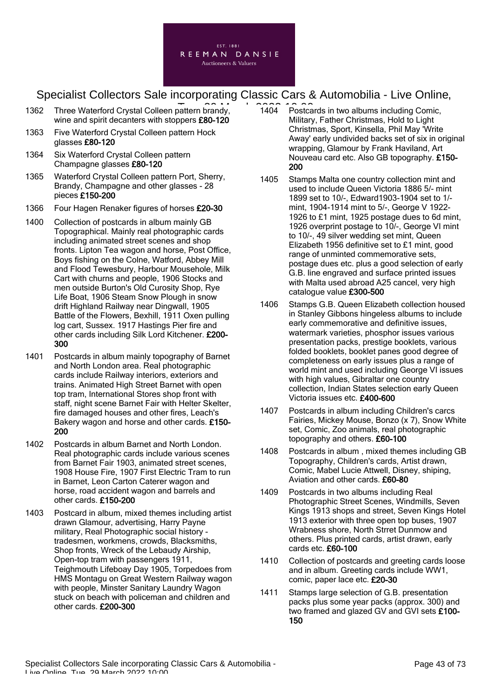

- 1362 Three Waterford Crystal Colleen pattern brandy, 1962 1996 wine and spirit decanters with stoppers £80-120
- 1363 Five Waterford Crystal Colleen pattern Hock glasses £80-120
- 1364 Six Waterford Crystal Colleen pattern Champagne glasses £80-120
- 1365 Waterford Crystal Colleen pattern Port, Sherry, Brandy, Champagne and other glasses - 28 pieces £150-200
- 1366 Four Hagen Renaker figures of horses £20-30
- 1400 Collection of postcards in album mainly GB Topographical. Mainly real photographic cards including animated street scenes and shop fronts. Lipton Tea wagon and horse, Post Office, Boys fishing on the Colne, Watford, Abbey Mill and Flood Tewesbury, Harbour Mousehole, Milk Cart with churns and people, 1906 Stocks and men outside Burton's Old Curosity Shop, Rye Life Boat, 1906 Steam Snow Plough in snow drift Highland Railway near Dingwall, 1905 Battle of the Flowers, Bexhill, 1911 Oxen pulling log cart, Sussex. 1917 Hastings Pier fire and other cards including Silk Lord Kitchener. £200- 300
- 1401 Postcards in album mainly topography of Barnet and North London area. Real photographic cards include Railway interiors, exteriors and trains. Animated High Street Barnet with open top tram, International Stores shop front with staff, night scene Barnet Fair with Helter Skelter, fire damaged houses and other fires, Leach's Bakery wagon and horse and other cards. £150- 200
- 1402 Postcards in album Barnet and North London. Real photographic cards include various scenes from Barnet Fair 1903, animated street scenes, 1908 House Fire, 1907 First Electric Tram to run in Barnet, Leon Carton Caterer wagon and horse, road accident wagon and barrels and other cards. £150-200
- 1403 Postcard in album, mixed themes including artist drawn Glamour, advertising, Harry Payne military, Real Photographic social history tradesmen, workmens, crowds, Blacksmiths, Shop fronts, Wreck of the Lebaudy Airship, Open-top tram with passengers 1911, Teighmouth Lifeboay Day 1905, Torpedoes from HMS Montagu on Great Western Railway wagon with people, Minster Sanitary Laundry Wagon stuck on beach with policeman and children and other cards. £200-300
- 1404 Postcards in two albums including Comic, Military, Father Christmas, Hold to Light Christmas, Sport, Kinsella, Phil May 'Write Away' early undivided backs set of six in original wrapping, Glamour by Frank Haviland, Art Nouveau card etc. Also GB topography. £150- 200
- 1405 Stamps Malta one country collection mint and used to include Queen Victoria 1886 5/- mint 1899 set to 10/-, Edward1903-1904 set to 1/ mint, 1904-1914 mint to 5/-, George V 1922- 1926 to £1 mint, 1925 postage dues to 6d mint, 1926 overprint postage to 10/-, George VI mint to 10/-, 49 silver wedding set mint, Queen Elizabeth 1956 definitive set to £1 mint, good range of unminted commemorative sets, postage dues etc. plus a good selection of early G.B. line engraved and surface printed issues with Malta used abroad A25 cancel, very high catalogue value £300-500
- 1406 Stamps G.B. Queen Elizabeth collection housed in Stanley Gibbons hingeless albums to include early commemorative and definitive issues, watermark varieties, phosphor issues various presentation packs, prestige booklets, various folded booklets, booklet panes good degree of completeness on early issues plus a range of world mint and used including George VI issues with high values, Gibraltar one country collection, Indian States selection early Queen Victoria issues etc. £400-600
- 1407 Postcards in album including Children's carcs Fairies, Mickey Mouse, Bonzo (x 7), Snow White set, Comic, Zoo animals, real photographic topography and others. £60-100
- 1408 Postcards in album , mixed themes including GB Topography, Children's cards, Artist drawn, Comic, Mabel Lucie Attwell, Disney, shiping, Aviation and other cards. £60-80
- 1409 Postcards in two albums including Real Photographic Street Scenes, Windmills, Seven Kings 1913 shops and street, Seven Kings Hotel 1913 exterior with three open top buses, 1907 Wrabness shore, North Strret Dunmow and others. Plus printed cards, artist drawn, early cards etc. £60-100
- 1410 Collection of postcards and greeting cards loose and in album. Greeting cards include WW1, comic, paper lace etc. £20-30
- 1411 Stamps large selection of G.B. presentation packs plus some year packs (approx. 300) and two framed and glazed GV and GVI sets £100- 150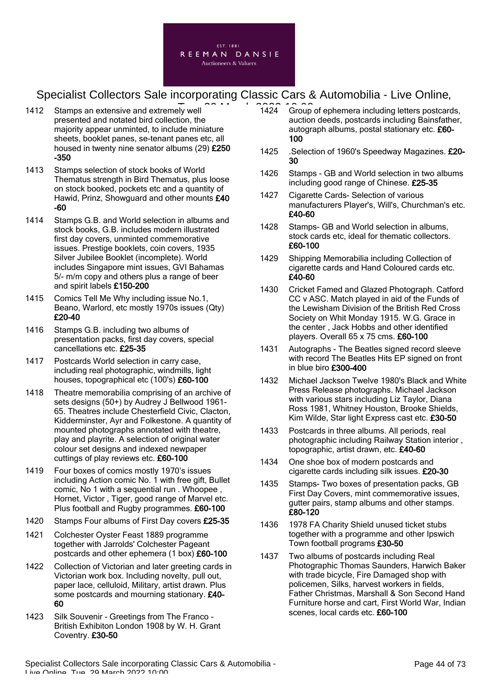

- 1412 Stamps an extensive and extremely well presented and notated bird collection, the majority appear unminted, to include miniature sheets, booklet panes, se-tenant panes etc, all housed in twenty nine senator albums (29) £250 -350
- 1413 Stamps selection of stock books of World Thematus strength in Bird Thematus, plus loose on stock booked, pockets etc and a quantity of Hawid, Prinz, Showguard and other mounts £40 -60
- 1414 Stamps G.B. and World selection in albums and stock books, G.B. includes modern illustrated first day covers, unminted commemorative issues. Prestige booklets, coin covers, 1935 Silver Jubilee Booklet (incomplete). World includes Singapore mint issues, GVI Bahamas 5/- m/m copy and others plus a range of beer and spirit labels £150-200
- 1415 Comics Tell Me Why including issue No.1, Beano, Warlord, etc mostly 1970s issues (Qty) £20-40
- 1416 Stamps G.B. including two albums of presentation packs, first day covers, special cancellations etc. £25-35
- 1417 Postcards World selection in carry case, including real photographic, windmills, light houses, topographical etc (100's) £60-100
- 1418 Theatre memorabilia comprising of an archive of sets designs (50+) by Audrey J Bellwood 1961- 65. Theatres include Chesterfield Civic, Clacton, Kidderminster, Ayr and Folkestone. A quantity of mounted photographs annotated with theatre, play and playrite. A selection of original water colour set designs and indexed newpaper cuttings of play reviews etc. £60-100
- 1419 Four boxes of comics mostly 1970's issues including Action comic No. 1 with free gift, Bullet comic, No 1 with a sequential run . Whoopee , Hornet, Victor , Tiger, good range of Marvel etc. Plus football and Rugby programmes. £60-100
- 1420 Stamps Four albums of First Day covers £25-35
- 1421 Colchester Oyster Feast 1889 programme together with Jarrolds' Colchester Pageant postcards and other ephemera (1 box) £60-100
- 1422 Collection of Victorian and later greeting cards in Victorian work box. Including novelty, pull out, paper lace, celluloid, Military, artist drawn. Plus some postcards and mourning stationary.  $£40-$ 60
- 1423 Silk Souvenir Greetings from The Franco British Exhibiton London 1908 by W. H. Grant Coventry. £30-50
- $\frac{1}{2}$  well  $\frac{1}{2}$   $\frac{1}{2}$   $\frac{1}{4}$   $\frac{1}{4}$  Group of ephemera including letters postcards, auction deeds, postcards including Bainsfather, autograph albums, postal stationary etc. £60-100
	- 1425 .Selection of 1960's Speedway Magazines. £20-30
	- 1426 Stamps GB and World selection in two albums including good range of Chinese. £25-35
	- 1427 Cigarette Cards- Selection of various manufacturers Player's, Will's, Churchman's etc. £40-60
	- 1428 Stamps- GB and World selection in albums, stock cards etc, ideal for thematic collectors. £60-100
	- 1429 Shipping Memorabilia including Collection of cigarette cards and Hand Coloured cards etc. £40-60
	- 1430 Cricket Famed and Glazed Photograph. Catford CC v ASC. Match played in aid of the Funds of the Lewisham Division of the British Red Cross Society on Whit Monday 1915. W.G. Grace in the center , Jack Hobbs and other identified players. Overall 65 x 75 cms. £60-100
	- 1431 Autographs The Beatles signed record sleeve with record The Beatles Hits EP signed on front in blue biro £300-400
	- 1432 Michael Jackson Twelve 1980's Black and White Press Release photographs. Michael Jackson with various stars including Liz Taylor, Diana Ross 1981, Whitney Houston, Brooke Shields, Kim Wilde, Star light Express cast etc. £30-50
	- 1433 Postcards in three albums. All periods, real photographic including Railway Station interior , topographic, artist drawn, etc. £40-60
	- 1434 One shoe box of modern postcards and cigarette cards including silk issues. £20-30
	- 1435 Stamps- Two boxes of presentation packs, GB First Day Covers, mint commemorative issues, gutter pairs, stamp albums and other stamps. £80-120
	- 1436 1978 FA Charity Shield unused ticket stubs together with a programme and other Ipswich Town football programs £30-50
	- 1437 Two albums of postcards including Real Photographic Thomas Saunders, Harwich Baker with trade bicycle, Fire Damaged shop with policemen, Silks, harvest workers in fields, Father Christmas, Marshall & Son Second Hand Furniture horse and cart, First World War, Indian scenes, local cards etc. £60-100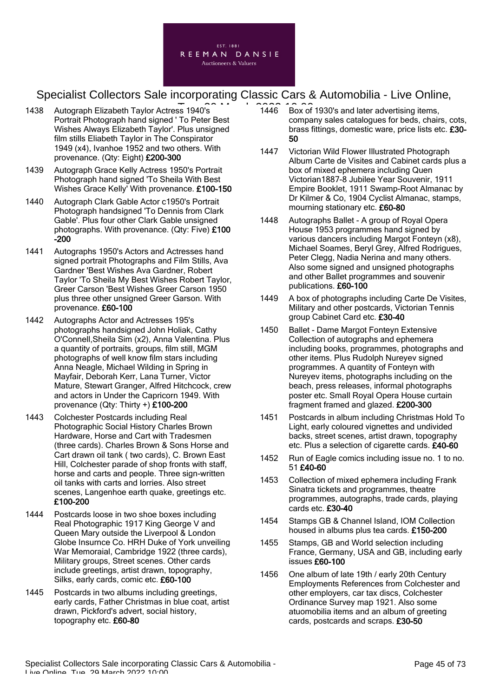

- 1438 Autograph Elizabeth Taylor Actress 1940's **The Contract Contract 2022** Portrait Photograph hand signed ' To Peter Best Wishes Always Elizabeth Taylor'. Plus unsigned film stills Eliabeth Taylor in The Conspirator 1949 (x4), Ivanhoe 1952 and two others. With provenance. (Qty: Eight) £200-300
- 1439 Autograph Grace Kelly Actress 1950's Portrait Photograph hand signed 'To Sheila With Best Wishes Grace Kelly' With provenance. £100-150
- 1440 Autograph Clark Gable Actor c1950's Portrait Photograph handsigned 'To Dennis from Clark Gable'. Plus four other Clark Gable unsigned photographs. With provenance. (Qty: Five) £100 -200
- 1441 Autographs 1950's Actors and Actresses hand signed portrait Photographs and Film Stills, Ava Gardner 'Best Wishes Ava Gardner, Robert Taylor 'To Sheila My Best Wishes Robert Taylor, Greer Carson 'Best Wishes Greer Carson 1950 plus three other unsigned Greer Garson. With provenance. £60-100
- 1442 Autographs Actor and Actresses 195's photographs handsigned John Holiak, Cathy O'Connell,Sheila Sim (x2), Anna Valentina. Plus a quantity of portraits, groups, film still, MGM photographs of well know film stars including Anna Neagle, Michael Wilding in Spring in Mayfair, Deborah Kerr, Lana Turner, Victor Mature, Stewart Granger, Alfred Hitchcock, crew and actors in Under the Capricorn 1949. With provenance (Qty: Thirty +) £100-200
- 1443 Colchester Postcards including Real Photographic Social History Charles Brown Hardware, Horse and Cart with Tradesmen (three cards). Charles Brown & Sons Horse and Cart drawn oil tank ( two cards), C. Brown East Hill, Colchester parade of shop fronts with staff, horse and carts and people. Three sign-written oil tanks with carts and lorries. Also street scenes, Langenhoe earth quake, greetings etc. £100-200
- 1444 Postcards loose in two shoe boxes including Real Photographic 1917 King George V and Queen Mary outside the Liverpool & London Globe Insurnce Co. HRH Duke of York unveiling War Memoraial, Cambridge 1922 (three cards), Military groups, Street scenes. Other cards include greetings, artist drawn, topography, Silks, early cards, comic etc. £60-100
- 1445 Postcards in two albums including greetings, early cards, Father Christmas in blue coat, artist drawn, Pickford's advert, social history, topography etc. £60-80
- 1446 Box of 1930's and later advertising items, company sales catalogues for beds, chairs, cots, brass fittings, domestic ware, price lists etc. £30- 50
- 1447 Victorian Wild Flower Illustrated Photograph Album Carte de Visites and Cabinet cards plus a box of mixed ephemera including Quen Victorian1887-8 Jubilee Year Souvenir, 1911 Empire Booklet, 1911 Swamp-Root Almanac by Dr Kilmer & Co, 1904 Cyclist Almanac, stamps, mourning stationary etc. £60-80
- 1448 Autographs Ballet A group of Royal Opera House 1953 programmes hand signed by various dancers including Margot Fonteyn (x8), Michael Soames, Beryl Grey, Alfred Rodrigues, Peter Clegg, Nadia Nerina and many others. Also some signed and unsigned photographs and other Ballet programmes and souvenir publications. £60-100
- 1449 A box of photographs including Carte De Visites, Military and other postcards, Victorian Tennis group Cabinet Card etc. £30-40
- 1450 Ballet Dame Margot Fonteyn Extensive Collection of autographs and ephemera including books, programmes, photographs and other items. Plus Rudolph Nureyev signed programmes. A quantity of Fonteyn with Nureyev items, photographs including on the beach, press releases, informal photographs poster etc. Small Royal Opera House curtain fragment framed and glazed. £200-300
- 1451 Postcards in album including Christmas Hold To Light, early coloured vignettes and undivided backs, street scenes, artist drawn, topography etc. Plus a selection of cigarette cards. £40-60
- 1452 Run of Eagle comics including issue no. 1 to no. 51 £40-60
- 1453 Collection of mixed ephemera including Frank Sinatra tickets and programmes, theatre programmes, autographs, trade cards, playing cards etc. £30-40
- 1454 Stamps GB & Channel Island, IOM Collection housed in albums plus tea cards. £150-200
- 1455 Stamps, GB and World selection including France, Germany, USA and GB, including early issues £60-100
- 1456 One album of late 19th / early 20th Century Employments References from Colchester and other employers, car tax discs, Colchester Ordinance Survey map 1921. Also some atuomobilia items and an album of greeting cards, postcards and scraps. £30-50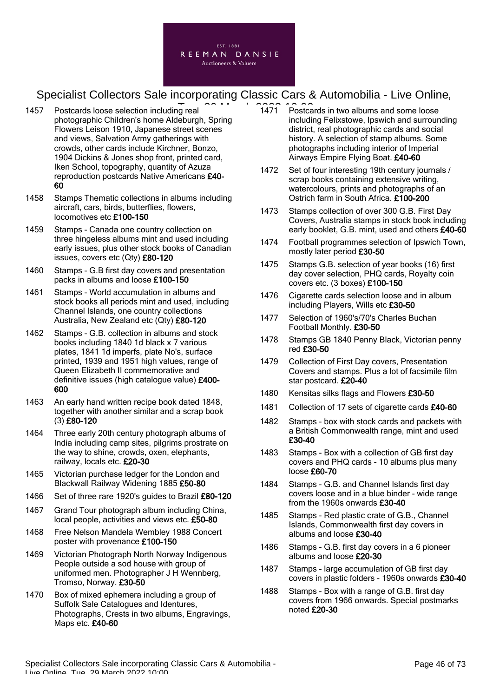

- 1457 Postcards loose selection including real photographic Children's home Aldeburgh, Spring Flowers Leison 1910, Japanese street scenes and views, Salvation Army gatherings with crowds, other cards include Kirchner, Bonzo, 1904 Dickins & Jones shop front, printed card, Iken School, topography, quantity of Azuza reproduction postcards Native Americans £40- 60
- 1458 Stamps Thematic collections in albums including aircraft, cars, birds, butterflies, flowers, locomotives etc £100-150
- 1459 Stamps Canada one country collection on three hingeless albums mint and used including early issues, plus other stock books of Canadian issues, covers etc (Qty) £80-120
- 1460 Stamps G.B first day covers and presentation packs in albums and loose £100-150
- 1461 Stamps World accumulation in albums and stock books all periods mint and used, including Channel Islands, one country collections Australia, New Zealand etc (Qty) £80-120
- 1462 Stamps G.B. collection in albums and stock books including 1840 1d black x 7 various plates, 1841 1d imperfs, plate No's, surface printed, 1939 and 1951 high values, range of Queen Elizabeth II commemorative and definitive issues (high catalogue value) £400- 600
- 1463 An early hand written recipe book dated 1848, together with another similar and a scrap book (3) £80-120
- 1464 Three early 20th century photograph albums of India including camp sites, pilgrims prostrate on the way to shine, crowds, oxen, elephants, railway, locals etc. £20-30
- 1465 Victorian purchase ledger for the London and Blackwall Railway Widening 1885 £50-80
- 1466 Set of three rare 1920's guides to Brazil £80-120
- 1467 Grand Tour photograph album including China, local people, activities and views etc. £50-80
- 1468 Free Nelson Mandela Wembley 1988 Concert poster with provenance £100-150
- 1469 Victorian Photograph North Norway Indigenous People outside a sod house with group of uniformed men. Photographer J H Wennberg, Tromso, Norway. £30-50
- 1470 Box of mixed ephemera including a group of Suffolk Sale Catalogues and Identures, Photographs, Crests in two albums, Engravings, Maps etc. £40-60
- $\frac{1}{10}$  real  $\frac{2}{10}$  and  $\frac{2}{10}$  and  $\frac{2}{10}$  Postcards in two albums and some loose including Felixstowe, Ipswich and surrounding district, real photographic cards and social history. A selection of stamp albums. Some photographs including interior of Imperial Airways Empire Flying Boat. £40-60
	- 1472 Set of four interesting 19th century journals / scrap books containing extensive writing, watercolours, prints and photographs of an Ostrich farm in South Africa. £100-200
	- 1473 Stamps collection of over 300 G.B. First Day Covers, Australia stamps in stock book including early booklet, G.B. mint, used and others £40-60
	- 1474 Football programmes selection of Ipswich Town, mostly later period £30-50
	- 1475 Stamps G.B. selection of year books (16) first day cover selection, PHQ cards, Royalty coin covers etc. (3 boxes) £100-150
	- 1476 Cigarette cards selection loose and in album including Players, Wills etc £30-50
	- 1477 Selection of 1960's/70's Charles Buchan Football Monthly. £30-50
	- 1478 Stamps GB 1840 Penny Black, Victorian penny red £30-50
	- 1479 Collection of First Day covers, Presentation Covers and stamps. Plus a lot of facsimile film star postcard. £20-40
	- 1480 Kensitas silks flags and Flowers £30-50
	- 1481 Collection of 17 sets of cigarette cards £40-60
	- 1482 Stamps box with stock cards and packets with a British Commonwealth range, mint and used £30-40
	- 1483 Stamps Box with a collection of GB first day covers and PHQ cards - 10 albums plus many loose £60-70
	- 1484 Stamps G.B. and Channel Islands first day covers loose and in a blue binder - wide range from the 1960s onwards £30-40
	- 1485 Stamps Red plastic crate of G.B., Channel Islands, Commonwealth first day covers in albums and loose £30-40
	- 1486 Stamps G.B. first day covers in a 6 pioneer albums and loose £20-30
	- 1487 Stamps large accumulation of GB first day covers in plastic folders - 1960s onwards £30-40
	- 1488 Stamps Box with a range of G.B. first day covers from 1966 onwards. Special postmarks noted £20-30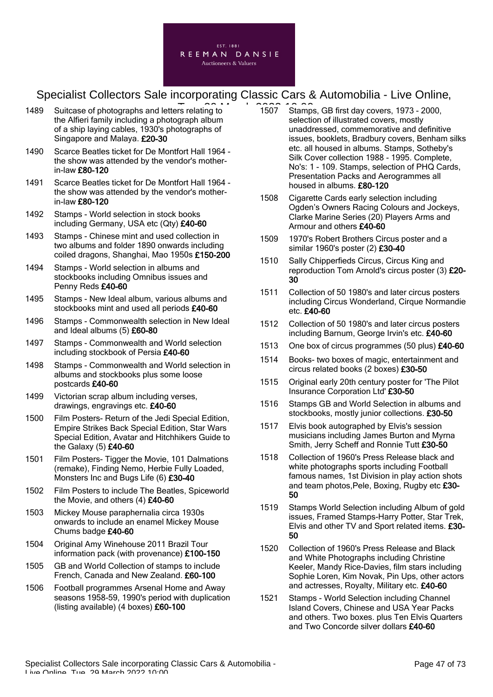

- 1489 Suitcase of photographs and letters relating to **Tue, 2022** 1507 Stamp the Alfieri family including a photograph album of a ship laying cables, 1930's photographs of Singapore and Malaya. £20-30
- 1490 Scarce Beatles ticket for De Montfort Hall 1964 the show was attended by the vendor's motherin-law £80-120
- 1491 Scarce Beatles ticket for De Montfort Hall 1964 the show was attended by the vendor's motherin-law £80-120
- 1492 Stamps World selection in stock books including Germany, USA etc (Qty) £40-60
- 1493 Stamps Chinese mint and used collection in two albums and folder 1890 onwards including coiled dragons, Shanghai, Mao 1950s £150-200
- 1494 Stamps World selection in albums and stockbooks including Omnibus issues and Penny Reds £40-60
- 1495 Stamps New Ideal album, various albums and stockbooks mint and used all periods £40-60
- 1496 Stamps Commonwealth selection in New Ideal and Ideal albums (5) £60-80
- 1497 Stamps Commonwealth and World selection including stockbook of Persia £40-60
- 1498 Stamps Commonwealth and World selection in albums and stockbooks plus some loose postcards £40-60
- 1499 Victorian scrap album including verses, drawings, engravings etc. £40-60
- 1500 Film Posters- Return of the Jedi Special Edition, Empire Strikes Back Special Edition, Star Wars Special Edition, Avatar and Hitchhikers Guide to the Galaxy (5) £40-60
- 1501 Film Posters- Tigger the Movie, 101 Dalmations (remake), Finding Nemo, Herbie Fully Loaded, Monsters Inc and Bugs Life (6) £30-40
- 1502 Film Posters to include The Beatles, Spiceworld the Movie, and others (4) £40-60
- 1503 Mickey Mouse paraphernalia circa 1930s onwards to include an enamel Mickey Mouse Chums badge £40-60
- 1504 Original Amy Winehouse 2011 Brazil Tour information pack (with provenance) £100-150
- 1505 GB and World Collection of stamps to include French, Canada and New Zealand. £60-100
- 1506 Football programmes Arsenal Home and Away seasons 1958-59, 1990's period with duplication (listing available) (4 boxes) £60-100
- 1507 Stamps, GB first day covers, 1973 2000, selection of illustrated covers, mostly unaddressed, commemorative and definitive issues, booklets, Bradbury covers, Benham silks etc. all housed in albums. Stamps, Sotheby's Silk Cover collection 1988 - 1995. Complete, No's: 1 - 109. Stamps, selection of PHQ Cards, Presentation Packs and Aerogrammes all housed in albums. £80-120
- 1508 Cigarette Cards early selection including Ogden's Owners Racing Colours and Jockeys, Clarke Marine Series (20) Players Arms and Armour and others £40-60
- 1509 1970's Robert Brothers Circus poster and a similar 1960's poster (2) £30-40
- 1510 Sally Chipperfieds Circus, Circus King and reproduction Tom Arnold's circus poster (3) £20- 30
- 1511 Collection of 50 1980's and later circus posters including Circus Wonderland, Cirque Normandie etc. £40-60
- 1512 Collection of 50 1980's and later circus posters including Barnum, George Irvin's etc. £40-60
- 1513 One box of circus programmes (50 plus) £40-60
- 1514 Books- two boxes of magic, entertainment and circus related books (2 boxes) £30-50
- 1515 Original early 20th century poster for 'The Pilot Insurance Corporation Ltd' £30-50
- 1516 Stamps GB and World Selection in albums and stockbooks, mostly junior collections. £30-50
- 1517 Elvis book autographed by Elvis's session musicians including James Burton and Myrna Smith, Jerry Scheff and Ronnie Tutt £30-50
- 1518 Collection of 1960's Press Release black and white photographs sports including Football famous names, 1st Division in play action shots and team photos, Pele, Boxing, Rugby etc £30-50
- 1519 Stamps World Selection including Album of gold issues, Framed Stamps-Harry Potter, Star Trek, Elvis and other TV and Sport related items. £30- 50
- 1520 Collection of 1960's Press Release and Black and White Photographs including Christine Keeler, Mandy Rice-Davies, film stars including Sophie Loren, Kim Novak, Pin Ups, other actors and actresses, Royalty, Military etc. £40-60
- 1521 Stamps World Selection including Channel Island Covers, Chinese and USA Year Packs and others. Two boxes. plus Ten Elvis Quarters and Two Concorde silver dollars £40-60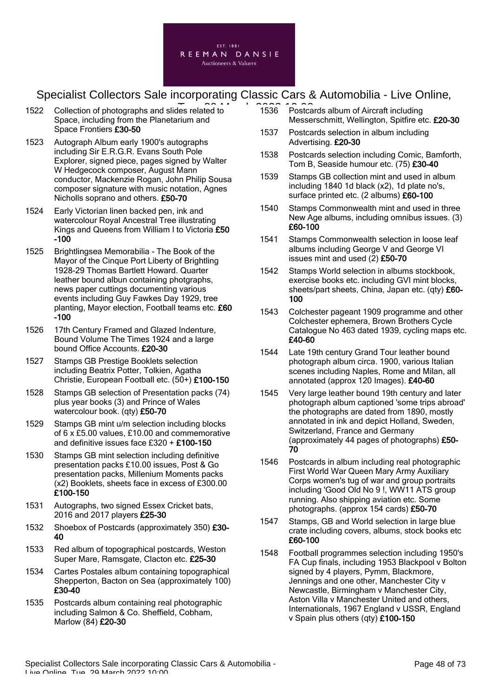

- 1522 Collection of photographs and slides related to **1536** Postca Space, including from the Planetarium and Space Frontiers £30-50
- 1523 Autograph Album early 1900's autographs including Sir E.R.G.R. Evans South Pole Explorer, signed piece, pages signed by Walter W Hedgecock composer, August Mann conductor, Mackenzie Rogan, John Philip Sousa composer signature with music notation, Agnes Nicholls soprano and others. £50-70
- 1524 Early Victorian linen backed pen, ink and watercolour Royal Ancestral Tree illustrating Kings and Queens from William I to Victoria £50 -100
- 1525 Brightlingsea Memorabilia The Book of the Mayor of the Cinque Port Liberty of Brightling 1928-29 Thomas Bartlett Howard. Quarter leather bound albun containing photgraphs, news paper cuttings documenting various events including Guy Fawkes Day 1929, tree planting, Mayor election, Football teams etc. £60 -100
- 1526 17th Century Framed and Glazed Indenture, Bound Volume The Times 1924 and a large bound Office Accounts. £20-30
- 1527 Stamps GB Prestige Booklets selection including Beatrix Potter, Tolkien, Agatha Christie, European Football etc. (50+) £100-150
- 1528 Stamps GB selection of Presentation packs (74) plus year books (3) and Prince of Wales watercolour book. (qty) £50-70
- 1529 Stamps GB mint u/m selection including blocks of 6 x £5.00 values, £10.00 and commemorative and definitive issues face £320 + £100-150
- 1530 Stamps GB mint selection including definitive presentation packs £10.00 issues, Post & Go presentation packs, Millenium Moments packs (x2) Booklets, sheets face in excess of £300.00 £100-150
- 1531 Autographs, two signed Essex Cricket bats, 2016 and 2017 players £25-30
- 1532 Shoebox of Postcards (approximately 350) £30-40
- 1533 Red album of topographical postcards, Weston Super Mare, Ramsgate, Clacton etc. £25-30
- 1534 Cartes Postales album containing topographical Shepperton, Bacton on Sea (approximately 100) £30-40
- 1535 Postcards album containing real photographic including Salmon & Co. Sheffield, Cobham, Marlow (84) £20-30
- 1536 Postcards album of Aircraft including Messerschmitt, Wellington, Spitfire etc. £20-30
- 1537 Postcards selection in album including Advertising. £20-30
- 1538 Postcards selection including Comic, Bamforth, Tom B, Seaside humour etc. (75) £30-40
- 1539 Stamps GB collection mint and used in album including 1840 1d black (x2), 1d plate no's, surface printed etc. (2 albums) £60-100
- 1540 Stamps Commonwealth mint and used in three New Age albums, including omnibus issues. (3) £60-100
- 1541 Stamps Commonwealth selection in loose leaf albums including George V and George VI issues mint and used (2) £50-70
- 1542 Stamps World selection in albums stockbook, exercise books etc. including GVI mint blocks, sheets/part sheets, China, Japan etc. (qty) £60-100
- 1543 Colchester pageant 1909 programme and other Colchester ephemera, Brown Brothers Cycle Catalogue No 463 dated 1939, cycling maps etc. £40-60
- 1544 Late 19th century Grand Tour leather bound photograph album circa. 1900, various Italian scenes including Naples, Rome and Milan, all annotated (approx 120 Images). £40-60
- 1545 Very large leather bound 19th century and later photograph album captioned 'some trips abroad' the photographs are dated from 1890, mostly annotated in ink and depict Holland, Sweden, Switzerland, France and Germany (approximately 44 pages of photographs) £50- 70
- 1546 Postcards in album including real photographic First World War Queen Mary Army Auxiliary Corps women's tug of war and group portraits including 'Good Old No 9 !, WW11 ATS group running. Also shipping aviation etc. Some photographs. (approx 154 cards) £50-70
- 1547 Stamps, GB and World selection in large blue crate including covers, albums, stock books etc £60-100
- 1548 Football programmes selection including 1950's FA Cup finals, including 1953 Blackpool v Bolton signed by 4 players, Pymm, Blackmore, Jennings and one other, Manchester City v Newcastle, Birmingham v Manchester City, Aston Villa v Manchester United and others, Internationals, 1967 England v USSR, England v Spain plus others (qty) £100-150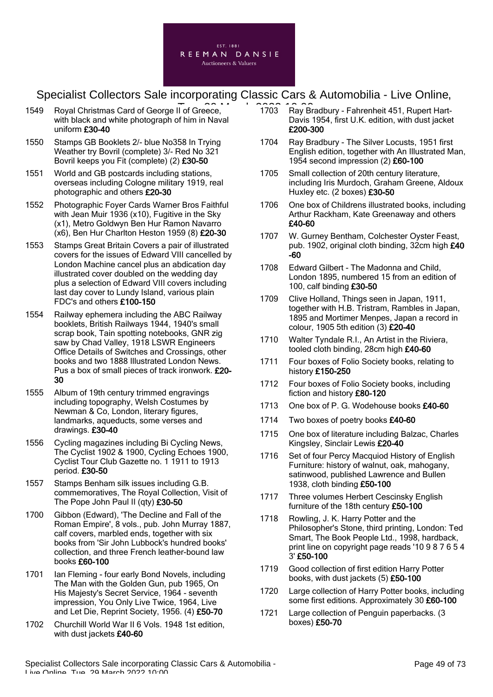

- 1549 Royal Christmas Card of George II of Greece, 1703 Ray Br with black and white photograph of him in Naval uniform £30-40
- 1550 Stamps GB Booklets 2/- blue No358 In Trying Weather try Bovril (complete) 3/- Red No 321 Bovril keeps you Fit (complete) (2) £30-50
- 1551 World and GB postcards including stations, overseas including Cologne military 1919, real photographic and others £20-30
- 1552 Photographic Foyer Cards Warner Bros Faithful with Jean Muir 1936 (x10), Fugitive in the Sky (x1), Metro Goldwyn Ben Hur Ramon Navarro (x6), Ben Hur Charlton Heston 1959 (8) £20-30
- 1553 Stamps Great Britain Covers a pair of illustrated covers for the issues of Edward VIII cancelled by London Machine cancel plus an abdication day illustrated cover doubled on the wedding day plus a selection of Edward VIII covers including last day cover to Lundy Island, various plain FDC's and others £100-150
- 1554 Railway ephemera including the ABC Railway booklets, British Railways 1944, 1940's small scrap book, Tain spotting notebooks, GNR zig saw by Chad Valley, 1918 LSWR Engineers Office Details of Switches and Crossings, other books and two 1888 Illustrated London News. Pus a box of small pieces of track ironwork. £20- 30
- 1555 Album of 19th century trimmed engravings including topography, Welsh Costumes by Newman & Co, London, literary figures, landmarks, aqueducts, some verses and drawings. £30-40
- 1556 Cycling magazines including Bi Cycling News, The Cyclist 1902 & 1900, Cycling Echoes 1900, Cyclist Tour Club Gazette no. 1 1911 to 1913 period. £30-50
- 1557 Stamps Benham silk issues including G.B. commemoratives, The Royal Collection, Visit of The Pope John Paul II (qty) £30-50
- 1700 Gibbon (Edward), 'The Decline and Fall of the Roman Empire', 8 vols., pub. John Murray 1887, calf covers, marbled ends, together with six books from 'Sir John Lubbock's hundred books' collection, and three French leather-bound law books £60-100
- 1701 Ian Fleming four early Bond Novels, including The Man with the Golden Gun, pub 1965, On His Majesty's Secret Service, 1964 - seventh impression, You Only Live Twice, 1964, Live and Let Die, Reprint Society, 1956. (4) £50-70
- 1702 Churchill World War II 6 Vols. 1948 1st edition, with dust jackets £40-60
- 1703 Ray Bradbury Fahrenheit 451, Rupert Hart-Davis 1954, first U.K. edition, with dust jacket £200-300
- 1704 Ray Bradbury The Silver Locusts, 1951 first English edition, together with An Illustrated Man, 1954 second impression (2) £60-100
- 1705 Small collection of 20th century literature, including Iris Murdoch, Graham Greene, Aldoux Huxley etc. (2 boxes) £30-50
- 1706 One box of Childrens illustrated books, including Arthur Rackham, Kate Greenaway and others £40-60
- 1707 W. Gurney Bentham, Colchester Oyster Feast, pub. 1902, original cloth binding, 32cm high £40 -60
- 1708 Edward Gilbert The Madonna and Child, London 1895, numbered 15 from an edition of 100, calf binding £30-50
- 1709 Clive Holland, Things seen in Japan, 1911, together with H.B. Tristram, Rambles in Japan, 1895 and Mortimer Menpes, Japan a record in colour, 1905 5th edition (3) £20-40
- 1710 Walter Tyndale R.I., An Artist in the Riviera, tooled cloth binding, 28cm high £40-60
- 1711 Four boxes of Folio Society books, relating to history £150-250
- 1712 Four boxes of Folio Society books, including fiction and history £80-120
- 1713 One box of P. G. Wodehouse books £40-60
- 1714 Two boxes of poetry books £40-60
- 1715 One box of literature including Balzac, Charles Kingsley, Sinclair Lewis £20-40
- 1716 Set of four Percy Macquiod History of English Furniture: history of walnut, oak, mahogany, satinwood, published Lawrence and Bullen 1938, cloth binding £50-100
- 1717 Three volumes Herbert Cescinsky English furniture of the 18th century £50-100
- 1718 Rowling, J. K. Harry Potter and the Philosopher's Stone, third printing, London: Ted Smart, The Book People Ltd., 1998, hardback, print line on copyright page reads '10 9 8 7 6 5 4 3' £50-100
- 1719 Good collection of first edition Harry Potter books, with dust jackets (5) £50-100
- 1720 Large collection of Harry Potter books, including some first editions. Approximately 30 £60-100
- 1721 Large collection of Penguin paperbacks. (3) boxes) £50-70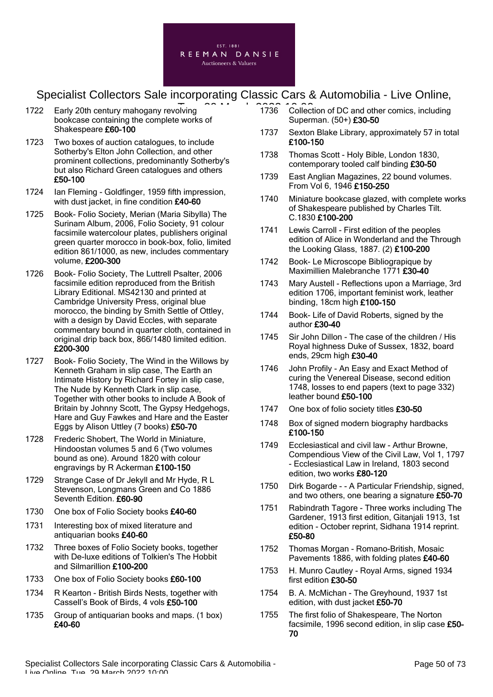

- 1722 Early 20th century mahogany revolving bookcase containing the complete works of Shakespeare £60-100
- 1723 Two boxes of auction catalogues, to include Sotherby's Elton John Collection, and other prominent collections, predominantly Sotherby's but also Richard Green catalogues and others £50-100
- 1724 Ian Fleming Goldfinger, 1959 fifth impression, with dust jacket, in fine condition £40-60
- 1725 Book- Folio Society, Merian (Maria Sibylla) The Surinam Album, 2006, Folio Society, 91 colour facsimile watercolour plates, publishers original green quarter morocco in book-box, folio, limited edition 861/1000, as new, includes commentary volume, £200-300
- 1726 Book- Folio Society, The Luttrell Psalter, 2006 facsimile edition reproduced from the British Library Editional. MS42130 and printed at Cambridge University Press, original blue morocco, the binding by Smith Settle of Ottley, with a design by David Eccles, with separate commentary bound in quarter cloth, contained in original drip back box, 866/1480 limited edition. £200-300
- 1727 Book- Folio Society, The Wind in the Willows by Kenneth Graham in slip case, The Earth an Intimate History by Richard Fortey in slip case, The Nude by Kenneth Clark in slip case, Together with other books to include A Book of Britain by Johnny Scott, The Gypsy Hedgehogs, Hare and Guy Fawkes and Hare and the Easter Eggs by Alison Uttley (7 books) £50-70
- 1728 Frederic Shobert, The World in Miniature, Hindoostan volumes 5 and 6 (Two volumes bound as one). Around 1820 with colour engravings by R Ackerman £100-150
- 1729 Strange Case of Dr Jekyll and Mr Hyde, R L Stevenson, Longmans Green and Co 1886 Seventh Edition. £60-90
- 1730 One box of Folio Society books £40-60
- 1731 Interesting box of mixed literature and antiquarian books £40-60
- 1732 Three boxes of Folio Society books, together with De-luxe editions of Tolkien's The Hobbit and Silmarillion £100-200
- 1733 One box of Folio Society books £60-100
- 1734 R Kearton British Birds Nests, together with Cassell's Book of Birds, 4 vols £50-100
- 1735 Group of antiquarian books and maps. (1 box) £40-60
- T<br>
plying 2021 1736 Collection of DC and other comics, including Superman. (50+) £30-50
	- 1737 Sexton Blake Library, approximately 57 in total £100-150
	- 1738 Thomas Scott Holy Bible, London 1830, contemporary tooled calf binding £30-50
	- 1739 East Anglian Magazines, 22 bound volumes. From Vol 6, 1946 £150-250
	- 1740 Miniature bookcase glazed, with complete works of Shakespeare published by Charles Tilt. C.1830 £100-200
	- 1741 Lewis Carroll First edition of the peoples edition of Alice in Wonderland and the Through the Looking Glass, 1887. (2) £100-200
	- 1742 Book- Le Microscope Bibliograpique by Maximillien Malebranche 1771 £30-40
	- 1743 Mary Austell Reflections upon a Marriage, 3rd edition 1706, important feminist work, leather binding, 18cm high £100-150
	- 1744 Book- Life of David Roberts, signed by the author £30-40
	- 1745 Sir John Dillon The case of the children / His Royal highness Duke of Sussex, 1832, board ends, 29cm high £30-40
	- 1746 John Profily An Easy and Exact Method of curing the Venereal Disease, second edition 1748, losses to end papers (text to page 332) leather bound £50-100
	- 1747 One box of folio society titles £30-50
	- 1748 Box of signed modern biography hardbacks £100-150
	- 1749 Ecclesiastical and civil law Arthur Browne, Compendious View of the Civil Law, Vol 1, 1797 - Ecclesiastical Law in Ireland, 1803 second edition, two works £80-120
	- 1750 Dirk Bogarde - A Particular Friendship, signed, and two others, one bearing a signature £50-70
	- 1751 Rabindrath Tagore Three works including The Gardener, 1913 first edition, Gitanjali 1913, 1st edition - October reprint, Sidhana 1914 reprint. £50-80
	- 1752 Thomas Morgan Romano-British, Mosaic Pavements 1886, with folding plates £40-60
	- 1753 H. Munro Cautley Royal Arms, signed 1934 first edition £30-50
	- 1754 B. A. McMichan The Greyhound, 1937 1st edition, with dust jacket £50-70
	- 1755 The first folio of Shakespeare, The Norton facsimile, 1996 second edition, in slip case £50- 70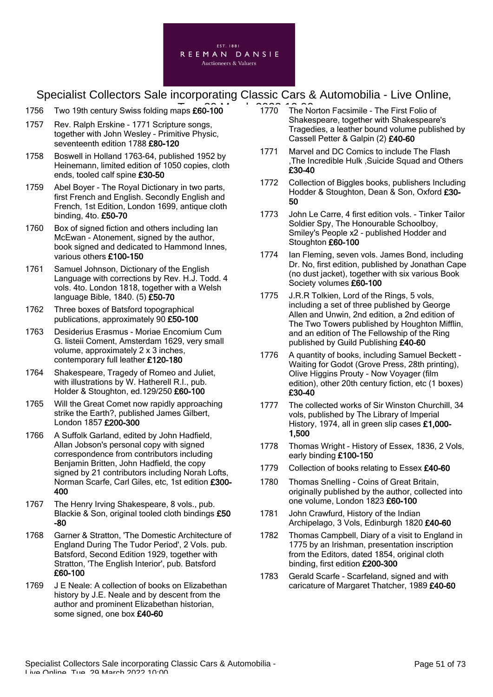

- 1756 Two 19th century Swiss folding maps £60-100 1770 The No
- 1757 Rev. Ralph Erskine 1771 Scripture songs, together with John Wesley - Primitive Physic, seventeenth edition 1788 £80-120
- 1758 Boswell in Holland 1763-64, published 1952 by Heinemann, limited edition of 1050 copies, cloth ends, tooled calf spine £30-50
- 1759 Abel Boyer The Royal Dictionary in two parts, first French and English. Secondly English and French, 1st Edition, London 1699, antique cloth binding, 4to. £50-70
- 1760 Box of signed fiction and others including Ian McEwan - Atonement, signed by the author, book signed and dedicated to Hammond Innes, various others £100-150
- 1761 Samuel Johnson, Dictionary of the English Language with corrections by Rev. H.J. Todd. 4 vols. 4to. London 1818, together with a Welsh language Bible, 1840. (5) £50-70
- 1762 Three boxes of Batsford topographical publications, approximately 90 £50-100
- 1763 Desiderius Erasmus Moriae Encomium Cum G. listeii Coment, Amsterdam 1629, very small volume, approximately 2 x 3 inches, contemporary full leather £120-180
- 1764 Shakespeare, Tragedy of Romeo and Juliet, with illustrations by W. Hatherell R.I., pub. Holder & Stoughton, ed.129/250 £60-100
- 1765 Will the Great Comet now rapidly approaching strike the Earth?, published James Gilbert, London 1857 £200-300
- 1766 A Suffolk Garland, edited by John Hadfield, Allan Jobson's personal copy with signed correspondence from contributors including Benjamin Britten, John Hadfield, the copy signed by 21 contributors including Norah Lofts, Norman Scarfe, Carl Giles, etc, 1st edition £300- 400
- 1767 The Henry Irving Shakespeare, 8 vols., pub. Blackie & Son, original tooled cloth bindings £50 -80
- 1768 Garner & Stratton, 'The Domestic Architecture of England During The Tudor Period', 2 Vols. pub. Batsford, Second Edition 1929, together with Stratton, 'The English Interior', pub. Batsford £60-100
- 1769 J E Neale: A collection of books on Elizabethan history by J.E. Neale and by descent from the author and prominent Elizabethan historian, some signed, one box £40-60
- 1770 The Norton Facsimile The First Folio of Shakespeare, together with Shakespeare's Tragedies, a leather bound volume published by Cassell Petter & Galpin (2) £40-60
- 1771 Marvel and DC Comics to include The Flash ,The Incredible Hulk ,Suicide Squad and Others £30-40
- 1772 Collection of Biggles books, publishers Including Hodder & Stoughton, Dean & Son, Oxford £30- 50
- 1773 John Le Carre, 4 first edition vols. Tinker Tailor Soldier Spy, The Honourable Schoolboy, Smiley's People x2 - published Hodder and Stoughton £60-100
- 1774 Ian Fleming, seven vols. James Bond, including Dr. No, first edition, published by Jonathan Cape (no dust jacket), together with six various Book Society volumes £60-100
- 1775 J.R.R Tolkien, Lord of the Rings, 5 vols, including a set of three published by George Allen and Unwin, 2nd edition, a 2nd edition of The Two Towers published by Houghton Mifflin, and an edition of The Fellowship of the Ring published by Guild Publishing £40-60
- 1776 A quantity of books, including Samuel Beckett Waiting for Godot (Grove Press, 28th printing), Olive Higgins Prouty - Now Voyager (film edition), other 20th century fiction, etc (1 boxes) £30-40
- 1777 The collected works of Sir Winston Churchill, 34 vols, published by The Library of Imperial History, 1974, all in green slip cases £1,000-1,500
- 1778 Thomas Wright History of Essex, 1836, 2 Vols, early binding £100-150
- 1779 Collection of books relating to Essex £40-60
- 1780 Thomas Snelling Coins of Great Britain, originally published by the author, collected into one volume, London 1823 £60-100
- 1781 John Crawfurd, History of the Indian Archipelago, 3 Vols, Edinburgh 1820 £40-60
- 1782 Thomas Campbell, Diary of a visit to England in 1775 by an Irishman, presentation inscription from the Editors, dated 1854, original cloth binding, first edition £200-300
- 1783 Gerald Scarfe Scarfeland, signed and with caricature of Margaret Thatcher, 1989 £40-60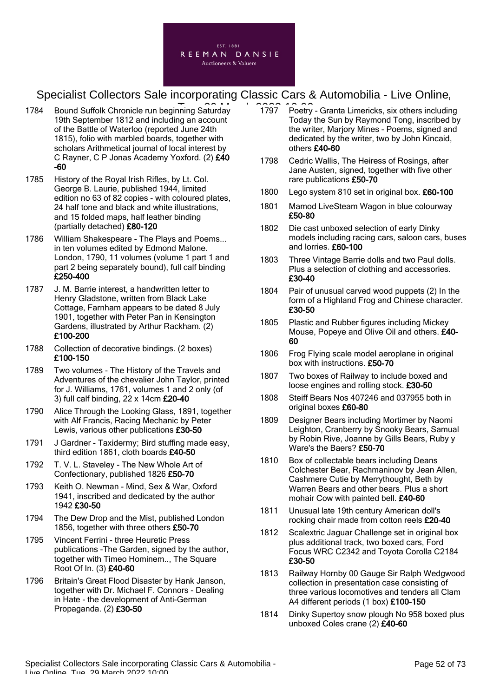

- 1784 Bound Suffolk Chronicle run beginning Saturday 1797 Poetry 19th September 1812 and including an account of the Battle of Waterloo (reported June 24th 1815), folio with marbled boards, together with scholars Arithmetical journal of local interest by C Rayner, C P Jonas Academy Yoxford. (2) £40 -60
- 1785 History of the Royal Irish Rifles, by Lt. Col. George B. Laurie, published 1944, limited edition no 63 of 82 copies - with coloured plates, 24 half tone and black and white illustrations, and 15 folded maps, half leather binding (partially detached) £80-120
- 1786 William Shakespeare The Plays and Poems... in ten volumes edited by Edmond Malone. London, 1790, 11 volumes (volume 1 part 1 and part 2 being separately bound), full calf binding £250-400
- 1787 J. M. Barrie interest, a handwritten letter to Henry Gladstone, written from Black Lake Cottage, Farnham appears to be dated 8 July 1901, together with Peter Pan in Kensington Gardens, illustrated by Arthur Rackham. (2) £100-200
- 1788 Collection of decorative bindings. (2 boxes) £100-150
- 1789 Two volumes The History of the Travels and Adventures of the chevalier John Taylor, printed for J. Williams, 1761, volumes 1 and 2 only (of 3) full calf binding, 22 x 14cm £20-40
- 1790 Alice Through the Looking Glass, 1891, together with Alf Francis, Racing Mechanic by Peter Lewis, various other publications £30-50
- 1791 J Gardner Taxidermy; Bird stuffing made easy, third edition 1861, cloth boards £40-50
- 1792 T. V. L. Staveley The New Whole Art of Confectionary, published 1826 £50-70
- 1793 Keith O. Newman Mind, Sex & War, Oxford 1941, inscribed and dedicated by the author 1942 £30-50
- 1794 The Dew Drop and the Mist, published London 1856, together with three others £50-70
- 1795 Vincent Ferrini three Heuretic Press publications -The Garden, signed by the author, together with Timeo Hominem.., The Square Root Of In. (3) £40-60
- 1796 Britain's Great Flood Disaster by Hank Janson, together with Dr. Michael F. Connors - Dealing in Hate - the development of Anti-German Propaganda. (2) £30-50
- 1797 Poetry Granta Limericks, six others including Today the Sun by Raymond Tong, inscribed by the writer, Marjory Mines - Poems, signed and dedicated by the writer, two by John Kincaid, others £40-60
- 1798 Cedric Wallis, The Heiress of Rosings, after Jane Austen, signed, together with five other rare publications £50-70
- 1800 Lego system 810 set in original box. £60-100
- 1801 Mamod LiveSteam Wagon in blue colourway £50-80
- 1802 Die cast unboxed selection of early Dinky models including racing cars, saloon cars, buses and lorries. £60-100
- 1803 Three Vintage Barrie dolls and two Paul dolls. Plus a selection of clothing and accessories. £30-40
- 1804 Pair of unusual carved wood puppets (2) In the form of a Highland Frog and Chinese character. £30-50
- 1805 Plastic and Rubber figures including Mickey Mouse, Popeye and Olive Oil and others. £40- 60
- 1806 Frog Flying scale model aeroplane in original box with instructions. £50-70
- 1807 Two boxes of Railway to include boxed and loose engines and rolling stock. £30-50
- 1808 Steiff Bears Nos 407246 and 037955 both in original boxes £60-80
- 1809 Designer Bears including Mortimer by Naomi Leighton, Cranberry by Snooky Bears, Samual by Robin Rive, Joanne by Gills Bears, Ruby y Ware's the Baers? £50-70
- 1810 Box of collectable bears including Deans Colchester Bear, Rachmaninov by Jean Allen, Cashmere Cutie by Merrythought, Beth by Warren Bears and other bears. Plus a short mohair Cow with painted bell. £40-60
- 1811 Unusual late 19th century American doll's rocking chair made from cotton reels £20-40
- 1812 Scalextric Jaguar Challenge set in original box plus additional track, two boxed cars, Ford Focus WRC C2342 and Toyota Corolla C2184 £30-50
- 1813 Railway Hornby 00 Gauge Sir Ralph Wedgwood collection in presentation case consisting of three various locomotives and tenders all Clam A4 different periods (1 box) £100-150
- 1814 Dinky Supertoy snow plough No 958 boxed plus unboxed Coles crane (2) £40-60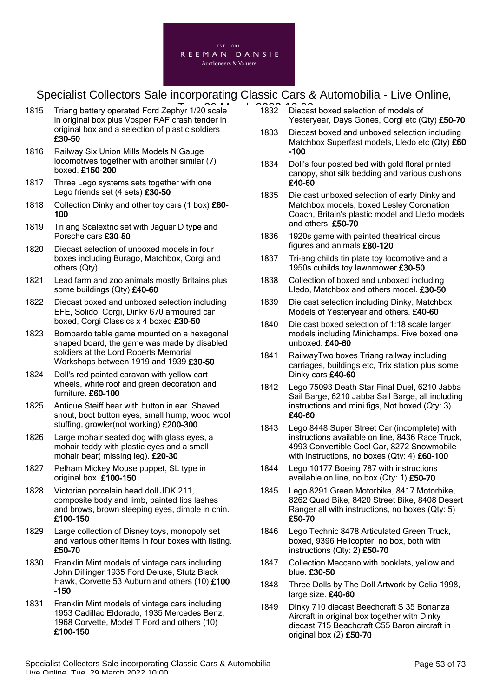

- 1815 Triang battery operated Ford Zephyr 1/20 scale 1832 Diecas in original box plus Vosper RAF crash tender in original box and a selection of plastic soldiers £30-50
- 1816 Railway Six Union Mills Models N Gauge locomotives together with another similar (7) boxed. £150-200
- 1817 Three Lego systems sets together with one Lego friends set (4 sets) £30-50
- 1818 Collection Dinky and other toy cars (1 box) £60-100
- 1819 Tri ang Scalextric set with Jaguar D type and Porsche cars £30-50
- 1820 Diecast selection of unboxed models in four boxes including Burago, Matchbox, Corgi and others (Qty)
- 1821 Lead farm and zoo animals mostly Britains plus some buildings (Qty) £40-60
- 1822 Diecast boxed and unboxed selection including EFE, Solido, Corgi, Dinky 670 armoured car boxed, Corgi Classics x 4 boxed £30-50
- 1823 Bombardo table game mounted on a hexagonal shaped board, the game was made by disabled soldiers at the Lord Roberts Memorial Workshops between 1919 and 1939 £30-50
- 1824 Doll's red painted caravan with yellow cart wheels, white roof and green decoration and furniture. £60-100
- 1825 Antique Steiff bear with button in ear. Shaved snout, boot button eyes, small hump, wood wool stuffing, growler(not working) £200-300
- 1826 Large mohair seated dog with glass eyes, a mohair teddy with plastic eyes and a small mohair bear( missing leg). £20-30
- 1827 Pelham Mickey Mouse puppet, SL type in original box. £100-150
- 1828 Victorian porcelain head doll JDK 211, composite body and limb, painted lips lashes and brows, brown sleeping eyes, dimple in chin. £100-150
- 1829 Large collection of Disney toys, monopoly set and various other items in four boxes with listing. £50-70
- 1830 Franklin Mint models of vintage cars including John Dillinger 1935 Ford Deluxe, Stutz Black Hawk, Corvette 53 Auburn and others (10) £100 -150
- 1831 Franklin Mint models of vintage cars including 1953 Cadillac Eldorado, 1935 Mercedes Benz, 1968 Corvette, Model T Ford and others (10) £100-150
- 1832 Diecast boxed selection of models of Yesteryear, Days Gones, Corgi etc (Qty) £50-70
- 1833 Diecast boxed and unboxed selection including Matchbox Superfast models, Lledo etc (Qty) £60 -100
- 1834 Doll's four posted bed with gold floral printed canopy, shot silk bedding and various cushions £40-60
- 1835 Die cast unboxed selection of early Dinky and Matchbox models, boxed Lesley Coronation Coach, Britain's plastic model and Lledo models and others. £50-70
- 1836 1920s game with painted theatrical circus figures and animals £80-120
- 1837 Tri-ang childs tin plate toy locomotive and a 1950s cuhilds toy lawnmower £30-50
- 1838 Collection of boxed and unboxed including Lledo, Matchbox and others model. £30-50
- 1839 Die cast selection including Dinky, Matchbox Models of Yesteryear and others. £40-60
- 1840 Die cast boxed selection of 1:18 scale larger models including Minichamps. Five boxed one unboxed. £40-60
- 1841 RailwayTwo boxes Triang railway including carriages, buildings etc, Trix station plus some Dinky cars £40-60
- 1842 Lego 75093 Death Star Final Duel, 6210 Jabba Sail Barge, 6210 Jabba Sail Barge, all including instructions and mini figs, Not boxed (Qty: 3) £40-60
- 1843 Lego 8448 Super Street Car (incomplete) with instructions available on line, 8436 Race Truck, 4993 Convertible Cool Car, 8272 Snowmobile with instructions, no boxes (Qty: 4) £60-100
- 1844 Lego 10177 Boeing 787 with instructions available on line, no box (Qty: 1) £50-70
- 1845 Lego 8291 Green Motorbike, 8417 Motorbike, 8262 Quad Bike, 8420 Street Bike, 8408 Desert Ranger all with instructions, no boxes (Qty: 5) £50-70
- 1846 Lego Technic 8478 Articulated Green Truck, boxed, 9396 Helicopter, no box, both with instructions (Qty: 2) £50-70
- 1847 Collection Meccano with booklets, yellow and blue. £30-50
- 1848 Three Dolls by The Doll Artwork by Celia 1998, large size. £40-60
- 1849 Dinky 710 diecast Beechcraft S 35 Bonanza Aircraft in original box together with Dinky diecast 715 Beachcraft C55 Baron aircraft in original box (2) £50-70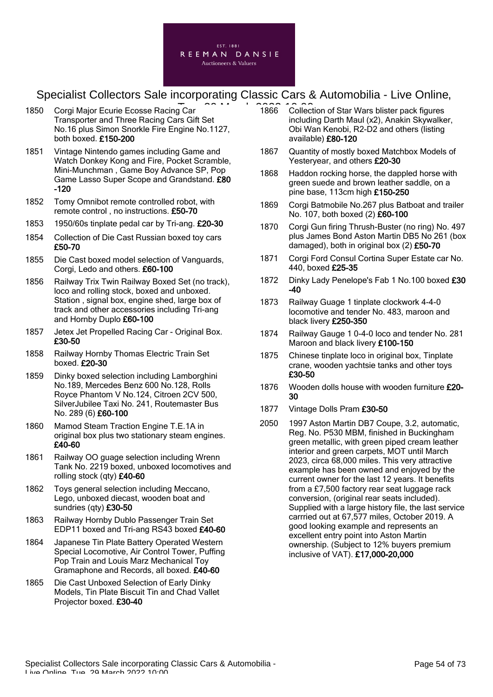

- 1850 Corgi Major Ecurie Ecosse Racing Car Transporter and Three Racing Cars Gift Set No.16 plus Simon Snorkle Fire Engine No.1127, both boxed. £150-200
- 1851 Vintage Nintendo games including Game and Watch Donkey Kong and Fire, Pocket Scramble, Mini-Munchman , Game Boy Advance SP, Pop Game Lasso Super Scope and Grandstand. £80 -120
- 1852 Tomy Omnibot remote controlled robot, with remote control , no instructions. £50-70
- 1853 1950/60s tinplate pedal car by Tri-ang. £20-30
- 1854 Collection of Die Cast Russian boxed toy cars £50-70
- 1855 Die Cast boxed model selection of Vanguards, Corgi, Ledo and others. £60-100
- 1856 Railway Trix Twin Railway Boxed Set (no track), loco and rolling stock, boxed and unboxed. Station , signal box, engine shed, large box of track and other accessories including Tri-ang and Hornby Duplo £60-100
- 1857 Jetex Jet Propelled Racing Car Original Box. £30-50
- 1858 Railway Hornby Thomas Electric Train Set boxed. £20-30
- 1859 Dinky boxed selection including Lamborghini No.189, Mercedes Benz 600 No.128, Rolls Royce Phantom V No.124, Citroen 2CV 500, SilverJubilee Taxi No. 241, Routemaster Bus No. 289 (6) £60-100
- 1860 Mamod Steam Traction Engine T.E.1A in original box plus two stationary steam engines. £40-60
- 1861 Railway OO guage selection including Wrenn Tank No. 2219 boxed, unboxed locomotives and rolling stock (qty) £40-60
- 1862 Toys general selection including Meccano, Lego, unboxed diecast, wooden boat and sundries (qty) £30-50
- 1863 Railway Hornby Dublo Passenger Train Set EDP11 boxed and Tri-ang RS43 boxed £40-60
- 1864 Japanese Tin Plate Battery Operated Western Special Locomotive, Air Control Tower, Puffing Pop Train and Louis Marz Mechanical Toy Gramaphone and Records, all boxed. £40-60
- 1865 Die Cast Unboxed Selection of Early Dinky Models, Tin Plate Biscuit Tin and Chad Vallet Projector boxed. £30-40
- T<br>
Text 2008 1866 Collection of Star Wars blister pack figures including Darth Maul (x2), Anakin Skywalker, Obi Wan Kenobi, R2-D2 and others (listing available) £80-120
	- 1867 Quantity of mostly boxed Matchbox Models of Yesteryear, and others £20-30
	- 1868 Haddon rocking horse, the dappled horse with green suede and brown leather saddle, on a pine base, 113cm high £150-250
	- 1869 Corgi Batmobile No.267 plus Batboat and trailer No. 107, both boxed (2) £60-100
	- 1870 Corgi Gun firing Thrush-Buster (no ring) No. 497 plus James Bond Aston Martin DB5 No 261 (box damaged), both in original box (2) £50-70
	- 1871 Corgi Ford Consul Cortina Super Estate car No. 440, boxed £25-35
	- 1872 Dinky Lady Penelope's Fab 1 No.100 boxed £30 -40
	- 1873 Railway Guage 1 tinplate clockwork 4-4-0 locomotive and tender No. 483, maroon and black livery £250-350
	- 1874 Railway Gauge 1 0-4-0 loco and tender No. 281 Maroon and black livery £100-150
	- 1875 Chinese tinplate loco in original box, Tinplate crane, wooden yachtsie tanks and other toys £30-50
	- 1876 Wooden dolls house with wooden furniture £20-30
	- 1877 Vintage Dolls Pram £30-50
	- 2050 1997 Aston Martin DB7 Coupe, 3.2, automatic, Reg. No. P530 MBM, finished in Buckingham green metallic, with green piped cream leather interior and green carpets, MOT until March 2023, circa 68,000 miles. This very attractive example has been owned and enjoyed by the current owner for the last 12 years. It benefits from a £7,500 factory rear seat luggage rack conversion, (original rear seats included). Supplied with a large history file, the last service carrried out at 67,577 miles, October 2019. A good looking example and represents an excellent entry point into Aston Martin ownership. (Subject to 12% buyers premium inclusive of VAT). £17,000-20,000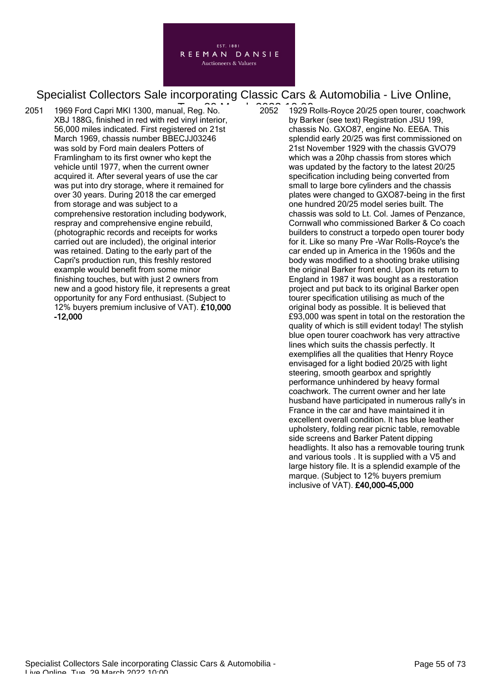

2051 1969 Ford Capri MKI 1300, manual, Reg. No. Tue, 29 March 2022 10:00XBJ 188G, finished in red with red vinyl interior, 56,000 miles indicated. First registered on 21st March 1969, chassis number BBECJJ03246 was sold by Ford main dealers Potters of Framlingham to its first owner who kept the vehicle until 1977, when the current owner acquired it. After several years of use the car was put into dry storage, where it remained for over 30 years. During 2018 the car emerged from storage and was subject to a comprehensive restoration including bodywork, respray and comprehensive engine rebuild, (photographic records and receipts for works carried out are included), the original interior was retained. Dating to the early part of the Capri's production run, this freshly restored example would benefit from some minor finishing touches, but with just 2 owners from new and a good history file, it represents a great opportunity for any Ford enthusiast. (Subject to 12% buyers premium inclusive of VAT). £10,000 -12,000

2052 1929 Rolls-Royce 20/25 open tourer, coachwork by Barker (see text) Registration JSU 199, chassis No. GXO87, engine No. EE6A. This splendid early 20/25 was first commissioned on 21st November 1929 with the chassis GVO79 which was a 20hp chassis from stores which was updated by the factory to the latest 20/25 specification including being converted from small to large bore cylinders and the chassis plates were changed to GXO87-being in the first one hundred 20/25 model series built. The chassis was sold to Lt. Col. James of Penzance, Cornwall who commissioned Barker & Co coach builders to construct a torpedo open tourer body for it. Like so many Pre -War Rolls-Royce's the car ended up in America in the 1960s and the body was modified to a shooting brake utilising the original Barker front end. Upon its return to England in 1987 it was bought as a restoration project and put back to its original Barker open tourer specification utilising as much of the original body as possible. It is believed that £93,000 was spent in total on the restoration the quality of which is still evident today! The stylish blue open tourer coachwork has very attractive lines which suits the chassis perfectly. It exemplifies all the qualities that Henry Royce envisaged for a light bodied 20/25 with light steering, smooth gearbox and sprightly performance unhindered by heavy formal coachwork. The current owner and her late husband have participated in numerous rally's in France in the car and have maintained it in excellent overall condition. It has blue leather upholstery, folding rear picnic table, removable side screens and Barker Patent dipping headlights. It also has a removable touring trunk and various tools . It is supplied with a V5 and large history file. It is a splendid example of the marque. (Subject to 12% buyers premium inclusive of VAT). £40,000-45,000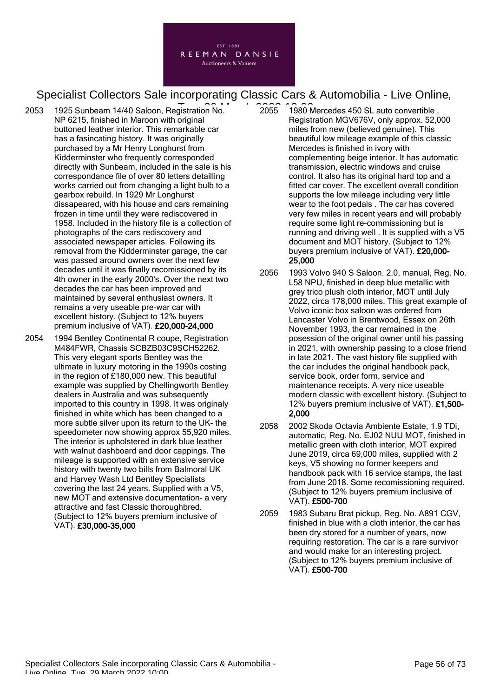

- $2053$  1925 Sunbeam 14/40 Saloon, Registration No.  $2055$   $1980N$ NP 6215, finished in Maroon with original buttoned leather interior. This remarkable car has a fasincating history. It was originally purchased by a Mr Henry Longhurst from Kidderminster who frequently corresponded directly with Sunbeam, included in the sale is his correspondance file of over 80 letters detailling works carried out from changing a light bulb to a gearbox rebuild. In 1929 Mr Longhurst dissapeared, with his house and cars remaining frozen in time until they were rediscovered in 1958. Included in the history file is a collection of photographs of the cars rediscovery and associated newspaper articles. Following its removal from the Kidderminster garage, the car was passed around owners over the next few decades until it was finally recomissioned by its 4th owner in the early 2000's. Over the next two decades the car has been improved and maintained by several enthusiast owners. It remains a very useable pre-war car with excellent history. (Subject to 12% buyers premium inclusive of VAT). £20,000-24,000
- 2054 1994 Bentley Continental R coupe, Registration M484FWR, Chassis SCBZB03C9SCH52262. This very elegant sports Bentley was the ultimate in luxury motoring in the 1990s costing in the region of £180,000 new. This beautiful example was supplied by Chellingworth Bentley dealers in Australia and was subsequently imported to this country in 1998. It was originaly finished in white which has been changed to a more subtle silver upon its return to the UK- the speedometer now showing approx 55,920 miles. The interior is upholstered in dark blue leather with walnut dashboard and door cappings. The mileage is supported with an extensive service history with twenty two bills from Balmoral UK and Harvey Wash Ltd Bentley Specialists covering the last 24 years. Supplied with a V5, new MOT and extensive documentation- a very attractive and fast Classic thoroughbred. (Subject to 12% buyers premium inclusive of VAT). £30,000-35,000
- 2055 1980 Mercedes 450 SL auto convertible Registration MGV676V, only approx. 52,000 miles from new (believed genuine). This beautiful low mileage example of this classic Mercedes is finished in ivory with complementing beige interior. It has automatic transmission, electric windows and cruise control. It also has its original hard top and a fitted car cover. The excellent overall condition supports the low mileage including very little wear to the foot pedals . The car has covered very few miles in recent years and will probably require some light re-commissioning but is running and driving well . It is supplied with a V5 document and MOT history. (Subject to 12% buyers premium inclusive of VAT). £20,000- 25,000
- 2056 1993 Volvo 940 S Saloon. 2.0, manual, Reg. No. L58 NPU, finished in deep blue metallic with grey trico plush cloth interior, MOT until July 2022, circa 178,000 miles. This great example of Volvo iconic box saloon was ordered from Lancaster Volvo in Brentwood, Essex on 26th November 1993, the car remained in the posession of the original owner until his passing in 2021, with ownership passing to a close friend in late 2021. The vast history file supplied with the car includes the original handbook pack, service book, order form, service and maintenance receipts. A very nice useable modern classic with excellent history. (Subject to 12% buyers premium inclusive of VAT). £1,500- 2,000
- 2058 2002 Skoda Octavia Ambiente Estate, 1.9 TDi, automatic, Reg. No. EJ02 NUU MOT, finished in metallic green with cloth interior, MOT expired June 2019, circa 69,000 miles, supplied with 2 keys, V5 showing no former keepers and handbook pack with 16 service stamps, the last from June 2018. Some recomissioning required. (Subject to 12% buyers premium inclusive of VAT). £500-700
- 2059 1983 Subaru Brat pickup, Reg. No. A891 CGV, finished in blue with a cloth interior, the car has been dry stored for a number of years, now requiring restoration. The car is a rare survivor and would make for an interesting project. (Subject to 12% buyers premium inclusive of VAT). £500-700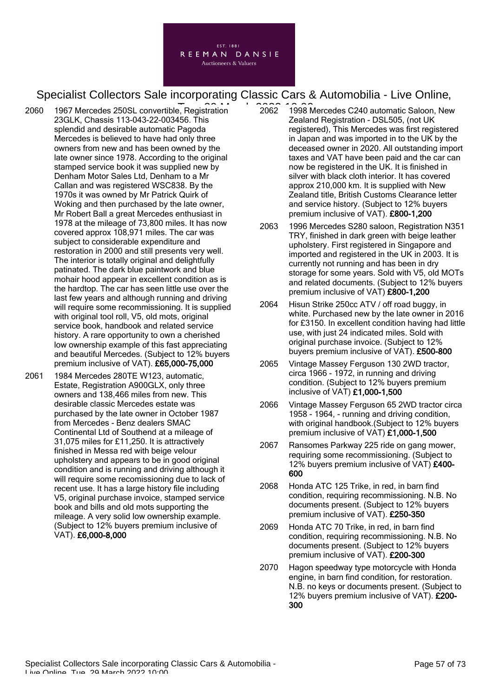

- $2060$  1967 Mercedes 250SL convertible, Registration  $2062$   $1998N$ 23GLK, Chassis 113-043-22-003456. This splendid and desirable automatic Pagoda Mercedes is believed to have had only three owners from new and has been owned by the late owner since 1978. According to the original stamped service book it was supplied new by Denham Motor Sales Ltd, Denham to a Mr Callan and was registered WSC838. By the 1970s it was owned by Mr Patrick Quirk of Woking and then purchased by the late owner, Mr Robert Ball a great Mercedes enthusiast in 1978 at the mileage of 73,800 miles. It has now covered approx 108,971 miles. The car was subject to considerable expenditure and restoration in 2000 and still presents very well. The interior is totally original and delightfully patinated. The dark blue paintwork and blue mohair hood appear in excellent condition as is the hardtop. The car has seen little use over the last few years and although running and driving will require some recommissioning. It is supplied with original tool roll, V5, old mots, original service book, handbook and related service history. A rare opportunity to own a cherished low ownership example of this fast appreciating and beautiful Mercedes. (Subject to 12% buyers premium inclusive of VAT). £65,000-75,000
- 2061 1984 Mercedes 280TE W123, automatic, Estate, Registration A900GLX, only three owners and 138,466 miles from new. This desirable classic Mercedes estate was purchased by the late owner in October 1987 from Mercedes - Benz dealers SMAC Continental Ltd of Southend at a mileage of 31,075 miles for £11,250. It is attractively finished in Messa red with beige velour upholstery and appears to be in good original condition and is running and driving although it will require some recomissioning due to lack of recent use. It has a large history file including V5, original purchase invoice, stamped service book and bills and old mots supporting the mileage. A very solid low ownership example. (Subject to 12% buyers premium inclusive of VAT). £6,000-8,000
- 2062 1998 Mercedes C240 automatic Saloon, New Zealand Registration - DSL505, (not UK registered), This Mercedes was first registered in Japan and was imported in to the UK by the deceased owner in 2020. All outstanding import taxes and VAT have been paid and the car can now be registered in the UK. It is finished in silver with black cloth interior. It has covered approx 210,000 km. It is supplied with New Zealand title, British Customs Clearance letter and service history. (Subject to 12% buyers premium inclusive of VAT). £800-1,200
- 2063 1996 Mercedes S280 saloon, Registration N351 TRY, finished in dark green with beige leather upholstery. First registered in Singapore and imported and registered in the UK in 2003. It is currently not running and has been in dry storage for some years. Sold with V5, old MOTs and related documents. (Subject to 12% buyers premium inclusive of VAT) £800-1,200
- 2064 Hisun Strike 250cc ATV / off road buggy, in white. Purchased new by the late owner in 2016 for £3150. In excellent condition having had little use, with just 24 indicated miles. Sold with original purchase invoice. (Subject to 12% buyers premium inclusive of VAT). £500-800
- 2065 Vintage Massey Ferguson 130 2WD tractor, circa 1966 - 1972, in running and driving condition. (Subject to 12% buyers premium inclusive of VAT) £1,000-1,500
- 2066 Vintage Massey Ferguson 65 2WD tractor circa 1958 - 1964, - running and driving condition, with original handbook.(Subject to 12% buyers premium inclusive of VAT) £1,000-1,500
- 2067 Ransomes Parkway 225 ride on gang mower, requiring some recommissioning. (Subject to 12% buyers premium inclusive of VAT) £400- 600
- 2068 Honda ATC 125 Trike, in red, in barn find condition, requiring recommissioning. N.B. No documents present. (Subject to 12% buyers premium inclusive of VAT). £250-350
- 2069 Honda ATC 70 Trike, in red, in barn find condition, requiring recommissioning. N.B. No documents present. (Subject to 12% buyers premium inclusive of VAT). £200-300
- 2070 Hagon speedway type motorcycle with Honda engine, in barn find condition, for restoration. N.B. no keys or documents present. (Subject to 12% buyers premium inclusive of VAT). £200- 300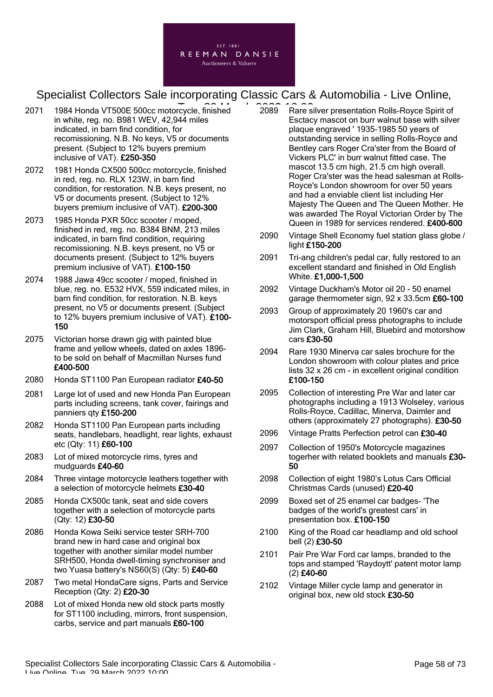

- 2071 1984 Honda VT500E 500cc motorcycle, finished 2089 Rare s in white, reg. no. B981 WEV, 42,944 miles indicated, in barn find condition, for recomissioning. N.B. No keys, V5 or documents present. (Subject to 12% buyers premium inclusive of VAT). £250-350
- 2072 1981 Honda CX500 500cc motorcycle, finished in red, reg. no. RLX 123W, in barn find condition, for restoration. N.B. keys present, no V5 or documents present. (Subject to 12% buyers premium inclusive of VAT). £200-300
- 2073 1985 Honda PXR 50cc scooter / moped, finished in red, reg. no. B384 BNM, 213 miles indicated, in barn find condition, requiring recomissioning. N.B. keys present, no V5 or documents present. (Subject to 12% buyers premium inclusive of VAT). £100-150
- 2074 1988 Jawa 49cc scooter / moped, finished in blue, reg. no. E532 HVX, 559 indicated miles, in barn find condition, for restoration. N.B. keys present, no V5 or documents present. (Subject to 12% buyers premium inclusive of VAT). £100- 150
- 2075 Victorian horse drawn gig with painted blue frame and yellow wheels, dated on axles 1896 to be sold on behalf of Macmillan Nurses fund £400-500
- 2080 Honda ST1100 Pan European radiator £40-50
- 2081 Large lot of used and new Honda Pan European parts including screens, tank cover, fairings and panniers qty £150-200
- 2082 Honda ST1100 Pan European parts including seats, handlebars, headlight, rear lights, exhaust etc (Qty: 11) £60-100
- 2083 Lot of mixed motorcycle rims, tyres and mudguards £40-60
- 2084 Three vintage motorcycle leathers together with a selection of motorcycle helmets £30-40
- 2085 Honda CX500c tank, seat and side covers together with a selection of motorcycle parts (Qty: 12) £30-50
- 2086 Honda Kowa Seiki service tester SRH-700 brand new in hard case and original box together with another similar model number SRH500, Honda dwell-timing synchroniser and two Yuasa battery's NS60(S) (Qty: 5) £40-60
- 2087 Two metal HondaCare signs, Parts and Service Reception (Qty: 2) £20-30
- 2088 Lot of mixed Honda new old stock parts mostly for ST1100 including, mirrors, front suspension, carbs, service and part manuals £60-100
- 2089 Rare silver presentation Rolls-Royce Spirit of Esctacy mascot on burr walnut base with silver plaque engraved ' 1935-1985 50 years of outstanding service in selling Rolls-Royce and Bentley cars Roger Cra'ster from the Board of Vickers PLC' in burr walnut fitted case. The mascot 13.5 cm high, 21.5 cm high overall. Roger Cra'ster was the head salesman at Rolls-Royce's London showroom for over 50 years and had a enviable client list including Her Majesty The Queen and The Queen Mother. He was awarded The Royal Victorian Order by The Queen in 1989 for services rendered. £400-600
- 2090 Vintage Shell Economy fuel station glass globe / light £150-200
- 2091 Tri-ang children's pedal car, fully restored to an excellent standard and finished in Old English White. £1,000-1,500
- 2092 Vintage Duckham's Motor oil 20 50 enamel garage thermometer sign, 92 x 33.5cm £60-100
- 2093 Group of approximately 20 1960's car and motorsport official press photographs to include Jim Clark, Graham Hill, Bluebird and motorshow cars £30-50
- 2094 Rare 1930 Minerva car sales brochure for the London showroom with colour plates and price lists 32 x 26 cm - in excellent original condition £100-150
- 2095 Collection of interesting Pre War and later car photographs including a 1913 Wolseley, various Rolls-Royce, Cadillac, Minerva, Daimler and others (approximately 27 photographs). £30-50
- 2096 Vintage Pratts Perfection petrol can £30-40
- 2097 Collection of 1950's Motorcycle magazines togerher with related booklets and manuals £30-50
- 2098 Collection of eight 1980's Lotus Cars Official Christmas Cards (unused) £20-40
- 2099 Boxed set of 25 enamel car badges- 'The badges of the world's greatest cars' in presentation box. £100-150
- 2100 King of the Road car headlamp and old school bell (2) £30-50
- 2101 Pair Pre War Ford car lamps, branded to the tops and stamped 'Raydoytt' patent motor lamp (2) £40-60
- 2102 Vintage Miller cycle lamp and generator in original box, new old stock £30-50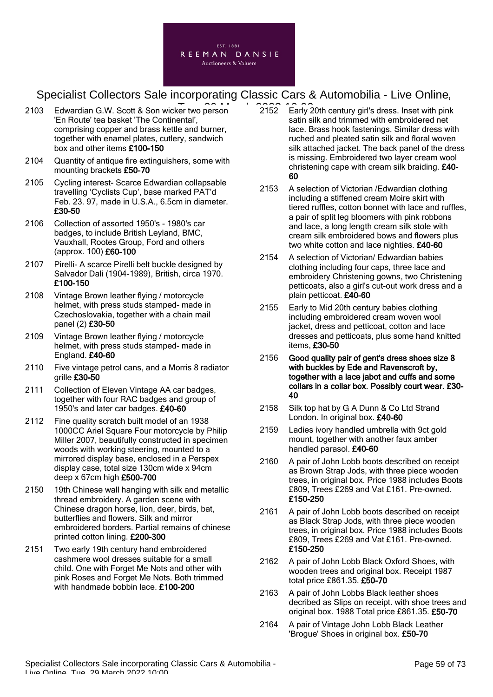

- 2103 Edwardian G.W. Scott & Son wicker two person 2152 Early 2 'En Route' tea basket 'The Continental' comprising copper and brass kettle and burner, together with enamel plates, cutlery, sandwich box and other items £100-150
- 2104 Quantity of antique fire extinguishers, some with mounting brackets £50-70
- 2105 Cycling interest- Scarce Edwardian collapsable travelling 'Cyclists Cup', base marked PAT'd Feb. 23. 97, made in U.S.A., 6.5cm in diameter. £30-50
- 2106 Collection of assorted 1950's 1980's car badges, to include British Leyland, BMC, Vauxhall, Rootes Group, Ford and others (approx. 100) £60-100
- 2107 Pirelli- A scarce Pirelli belt buckle designed by Salvador Dali (1904-1989), British, circa 1970. £100-150
- 2108 Vintage Brown leather flying / motorcycle helmet, with press studs stamped- made in Czechoslovakia, together with a chain mail panel (2) £30-50
- 2109 Vintage Brown leather flying / motorcycle helmet, with press studs stamped- made in England. £40-60
- 2110 Five vintage petrol cans, and a Morris 8 radiator grille £30-50
- 2111 Collection of Eleven Vintage AA car badges, together with four RAC badges and group of 1950's and later car badges. £40-60
- 2112 Fine quality scratch built model of an 1938 1000CC Ariel Square Four motorcycle by Philip Miller 2007, beautifully constructed in specimen woods with working steering, mounted to a mirrored display base, enclosed in a Perspex display case, total size 130cm wide x 94cm deep x 67cm high £500-700
- 2150 19th Chinese wall hanging with silk and metallic thread embroidery. A garden scene with Chinese dragon horse, lion, deer, birds, bat, butterflies and flowers. Silk and mirror embroidered borders. Partial remains of chinese printed cotton lining. £200-300
- 2151 Two early 19th century hand embroidered cashmere wool dresses suitable for a small child. One with Forget Me Nots and other with pink Roses and Forget Me Nots. Both trimmed with handmade bobbin lace. £100-200
- 2152 Early 20th century girl's dress. Inset with pink satin silk and trimmed with embroidered net lace. Brass hook fastenings. Similar dress with ruched and pleated satin silk and floral woven silk attached jacket. The back panel of the dress is missing. Embroidered two layer cream wool christening cape with cream silk braiding. £40- 60
- 2153 A selection of Victorian /Edwardian clothing including a stiffened cream Moire skirt with tiered ruffles, cotton bonnet with lace and ruffles, a pair of split leg bloomers with pink robbons and lace, a long length cream silk stole with cream silk embroidered bows and flowers plus two white cotton and lace nighties. £40-60
- 2154 A selection of Victorian/ Edwardian babies clothing including four caps, three lace and embroidery Christening gowns, two Christening petticoats, also a girl's cut-out work dress and a plain petticoat. £40-60
- 2155 Early to Mid 20th century babies clothing including embroidered cream woven wool jacket, dress and petticoat, cotton and lace dresses and petticoats, plus some hand knitted items, £30-50
- 2156 Good quality pair of gent's dress shoes size 8 with buckles by Ede and Ravenscroft by, together with a lace jabot and cuffs and some collars in a collar box. Possibly court wear. £30- 40
- 2158 Silk top hat by G A Dunn & Co Ltd Strand London. In original box. £40-60
- 2159 Ladies ivory handled umbrella with 9ct gold mount, together with another faux amber handled parasol. £40-60
- 2160 A pair of John Lobb boots described on receipt as Brown Strap Jods, with three piece wooden trees, in original box. Price 1988 includes Boots £809, Trees £269 and Vat £161. Pre-owned. £150-250
- 2161 A pair of John Lobb boots described on receipt as Black Strap Jods, with three piece wooden trees, in original box. Price 1988 includes Boots £809, Trees £269 and Vat £161. Pre-owned. £150-250
- 2162 A pair of John Lobb Black Oxford Shoes, with wooden trees and original box. Receipt 1987 total price £861.35. £50-70
- 2163 A pair of John Lobbs Black leather shoes decribed as Slips on receipt. with shoe trees and original box. 1988 Total price £861.35. £50-70
- 2164 A pair of Vintage John Lobb Black Leather 'Brogue' Shoes in original box. £50-70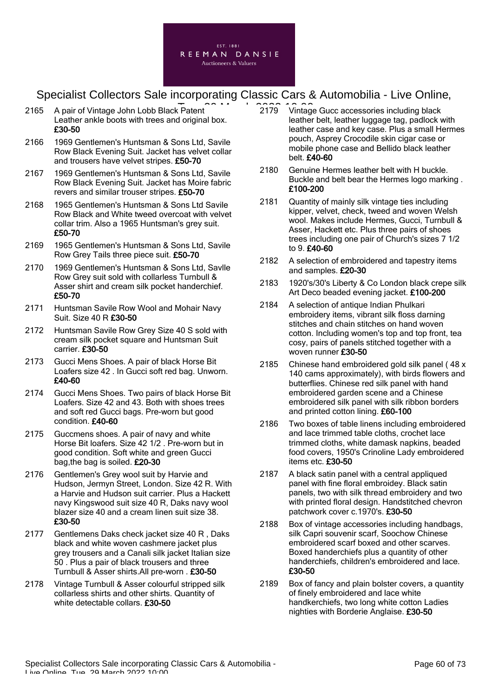

- 2165 A pair of Vintage John Lobb Black Patent 2022 12:00 2179 Vintage Leather ankle boots with trees and original box. £30-50
- 2166 1969 Gentlemen's Huntsman & Sons Ltd, Savile Row Black Evening Suit. Jacket has velvet collar and trousers have velvet stripes. £50-70
- 2167 1969 Gentlemen's Huntsman & Sons Ltd, Savile Row Black Evening Suit. Jacket has Moire fabric revers and similar trouser stripes. £50-70
- 2168 1965 Gentlemen's Huntsman & Sons Ltd Savile Row Black and White tweed overcoat with velvet collar trim. Also a 1965 Huntsman's grey suit. £50-70
- 2169 1965 Gentlemen's Huntsman & Sons Ltd, Savile Row Grey Tails three piece suit. £50-70
- 2170 1969 Gentlemen's Huntsman & Sons Ltd, Savlle Row Grey suit sold with collarless Turnbull & Asser shirt and cream silk pocket handerchief. £50-70
- 2171 Huntsman Savile Row Wool and Mohair Navy Suit. Size 40 R £30-50
- 2172 Huntsman Savile Row Grey Size 40 S sold with cream silk pocket square and Huntsman Suit carrier. £30-50
- 2173 Gucci Mens Shoes. A pair of black Horse Bit Loafers size 42 . In Gucci soft red bag. Unworn. £40-60
- 2174 Gucci Mens Shoes. Two pairs of black Horse Bit Loafers. Size 42 and 43. Both with shoes trees and soft red Gucci bags. Pre-worn but good condition. £40-60
- 2175 Guccmens shoes. A pair of navy and white Horse Bit loafers. Size 42 1/2 . Pre-worn but in good condition. Soft white and green Gucci bag,the bag is soiled. £20-30
- 2176 Gentlemen's Grey wool suit by Harvie and Hudson, Jermyn Street, London. Size 42 R. With a Harvie and Hudson suit carrier. Plus a Hackett navy Kingswood suit size 40 R, Daks navy wool blazer size 40 and a cream linen suit size 38. £30-50
- 2177 Gentlemens Daks check jacket size 40 R , Daks black and white woven cashmere jacket plus grey trousers and a Canali silk jacket Italian size 50 . Plus a pair of black trousers and three Turnbull & Asser shirts.All pre-worn . £30-50
- 2178 Vintage Turnbull & Asser colourful stripped silk collarless shirts and other shirts. Quantity of white detectable collars. £30-50
- 2179 Vintage Gucc accessories including black leather belt, leather luggage tag, padlock with leather case and key case. Plus a small Hermes pouch, Asprey Crocodile skin cigar case or mobile phone case and Bellido black leather belt. £40-60
- 2180 Genuine Hermes leather belt with H buckle. Buckle and belt bear the Hermes logo marking . £100-200
- 2181 Quantity of mainly silk vintage ties including kipper, velvet, check, tweed and woven Welsh wool. Makes include Hermes, Gucci, Turnbull & Asser, Hackett etc. Plus three pairs of shoes trees including one pair of Church's sizes 7 1/2 to 9. £40-60
- 2182 A selection of embroidered and tapestry items and samples. £20-30
- 2183 1920's/30's Liberty & Co London black crepe silk Art Deco beaded evening jacket. £100-200
- 2184 A selection of antique Indian Phulkari embroidery items, vibrant silk floss darning stitches and chain stitches on hand woven cotton. Including women's top and top front, tea cosy, pairs of panels stitched together with a woven runner £30-50
- 2185 Chinese hand embroidered gold silk panel ( 48 x 140 cams approximately), with birds flowers and butterflies. Chinese red silk panel with hand embroidered garden scene and a Chinese embroidered silk panel with silk ribbon borders and printed cotton lining. £60-100
- 2186 Two boxes of table linens including embroidered and lace trimmed table cloths, crochet lace trimmed cloths, white damask napkins, beaded food covers, 1950's Crinoline Lady embroidered items etc. £30-50
- 2187 A black satin panel with a central appliqued panel with fine floral embroidey. Black satin panels, two with silk thread embroidery and two with printed floral design. Handstitched chevron patchwork cover c.1970's. £30-50
- 2188 Box of vintage accessories including handbags, silk Capri souvenir scarf, Soochow Chinese embroidered scarf boxed and other scarves. Boxed handerchiefs plus a quantity of other handerchiefs, children's embroidered and lace. £30-50
- 2189 Box of fancy and plain bolster covers, a quantity of finely embroidered and lace white handkerchiefs, two long white cotton Ladies nighties with Borderie Anglaise. £30-50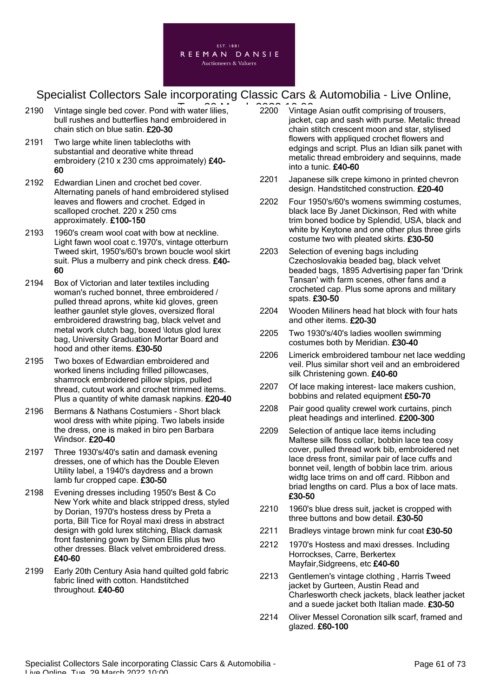

- 2190 Vintage single bed cover. Pond with water lilies, 2200 Vintage bull rushes and butterflies hand embroidered in chain stich on blue satin. £20-30
- 2191 Two large white linen tablecloths with substantial and deorative white thread embroidery (210 x 230 cms approimately) £40-60
- 2192 Edwardian Linen and crochet bed cover. Alternating panels of hand embroidered stylised leaves and flowers and crochet. Edged in scalloped crochet. 220 x 250 cms approximately. £100-150
- 2193 1960's cream wool coat with bow at neckline. Light fawn wool coat c.1970's, vintage otterburn Tweed skirt, 1950's/60's brown boucle wool skirt suit. Plus a mulberry and pink check dress. £40-60
- 2194 Box of Victorian and later textiles including woman's ruched bonnet, three embroidered / pulled thread aprons, white kid gloves, green leather gaunlet style gloves, oversized floral embroidered drawstring bag, black velvet and metal work clutch bag, boxed \lotus glod lurex bag, University Graduation Mortar Board and hood and other items. £30-50
- 2195 Two boxes of Edwardian embroidered and worked linens including frilled pillowcases, shamrock embroidered pillow slpips, pulled thread, cutout work and crochet trimmed items. Plus a quantity of white damask napkins. £20-40
- 2196 Bermans & Nathans Costumiers Short black wool dress with white piping. Two labels inside the dress, one is maked in biro pen Barbara Windsor. £20-40
- 2197 Three 1930's/40's satin and damask evening dresses, one of which has the Double Eleven Utility label, a 1940's daydress and a brown lamb fur cropped cape. £30-50
- 2198 Evening dresses including 1950's Best & Co New York white and black stripped dress, styled by Dorian, 1970's hostess dress by Preta a porta, Bill Tice for Royal maxi dress in abstract design with gold lurex stitching, Black damask front fastening gown by Simon Ellis plus two other dresses. Black velvet embroidered dress. £40-60
- 2199 Early 20th Century Asia hand quilted gold fabric fabric lined with cotton. Handstitched throughout. £40-60
- 2200 Vintage Asian outfit comprising of trousers, jacket, cap and sash with purse. Metalic thread chain stitch crescent moon and star, stylised flowers with appliqued crochet flowers and edgings and script. Plus an Idian silk panet with metalic thread embroidery and sequinns, made into a tunic. £40-60
- 2201 Japanese silk crepe kimono in printed chevron design. Handstitched construction. £20-40
- 2202 Four 1950's/60's womens swimming costumes, black lace By Janet Dickinson, Red with white trim boned bodice by Splendid, USA, black and white by Keytone and one other plus three girls costume two with pleated skirts. £30-50
- 2203 Selection of evening bags including Czechoslovakia beaded bag, black velvet beaded bags, 1895 Advertising paper fan 'Drink Tansan' with farm scenes, other fans and a crocheted cap. Plus some aprons and military spats. £30-50
- 2204 Wooden Miliners head hat block with four hats and other items. £20-30
- 2205 Two 1930's/40's ladies woollen swimming costumes both by Meridian. £30-40
- 2206 Limerick embroidered tambour net lace wedding veil. Plus similar short veil and an embroidered silk Christening gown. £40-60
- 2207 Of lace making interest- lace makers cushion, bobbins and related equipment £50-70
- 2208 Pair good quality crewel work curtains, pinch pleat headings and interlined. £200-300
- 2209 Selection of antique lace items including Maltese silk floss collar, bobbin lace tea cosy cover, pulled thread work bib, embroidered net lace dress front, similar pair of lace cuffs and bonnet veil, length of bobbin lace trim. arious widtg lace trims on and off card. Ribbon and briad lengths on card. Plus a box of lace mats. £30-50
- 2210 1960's blue dress suit, jacket is cropped with three buttons and bow detail. £30-50
- 2211 Bradleys vintage brown mink fur coat £30-50
- 2212 1970's Hostess and maxi dresses. Including Horrockses, Carre, Berkertex Mayfair,Sidgreens, etc £40-60
- 2213 Gentlemen's vintage clothing , Harris Tweed jacket by Gurteen, Austin Read and Charlesworth check jackets, black leather jacket and a suede jacket both Italian made. £30-50
- 2214 Oliver Messel Coronation silk scarf, framed and glazed. £60-100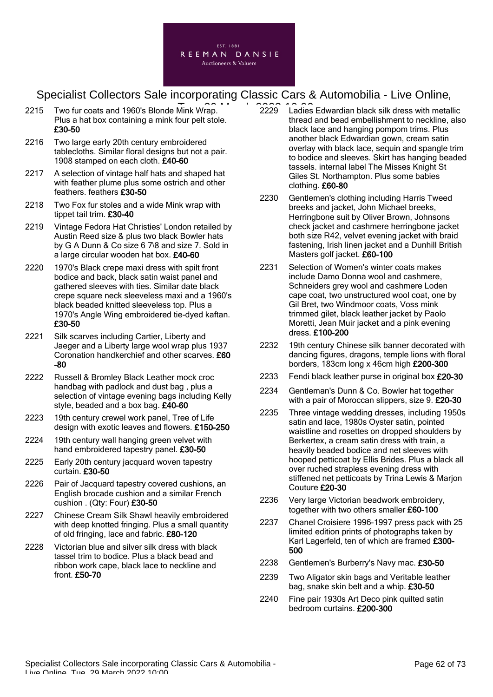

- 2215 Two fur coats and 1960's Blonde Mink Wrap. **2021 11:00:00** Ladies Plus a hat box containing a mink four pelt stole. £30-50
- 2216 Two large early 20th century embroidered tablecloths. Similar floral designs but not a pair. 1908 stamped on each cloth. £40-60
- 2217 A selection of vintage half hats and shaped hat with feather plume plus some ostrich and other feathers. feathers £30-50
- 2218 Two Fox fur stoles and a wide Mink wrap with tippet tail trim. £30-40
- 2219 Vintage Fedora Hat Christies' London retailed by Austin Reed size & plus two black Bowler hats by G A Dunn & Co size 6 7\8 and size 7. Sold in a large circular wooden hat box. £40-60
- 2220 1970's Black crepe maxi dress with spilt front bodice and back, black satin waist panel and gathered sleeves with ties. Similar date black crepe square neck sleeveless maxi and a 1960's black beaded knitted sleeveless top. Plus a 1970's Angle Wing embroidered tie-dyed kaftan. £30-50
- 2221 Silk scarves including Cartier, Liberty and Jaeger and a Liberty large wool wrap plus 1937 Coronation handkerchief and other scarves. £60 -80
- 2222 Russell & Bromley Black Leather mock croc handbag with padlock and dust bag , plus a selection of vintage evening bags including Kelly style, beaded and a box bag. £40-60
- 2223 19th century crewel work panel, Tree of Life design with exotic leaves and flowers. £150-250
- 2224 19th century wall hanging green velvet with hand embroidered tapestry panel. £30-50
- 2225 Early 20th century jacquard woven tapestry curtain. £30-50
- 2226 Pair of Jacquard tapestry covered cushions, an English brocade cushion and a similar French cushion . (Qty: Four) £30-50
- 2227 Chinese Cream Silk Shawl heavily embroidered with deep knotted fringing. Plus a small quantity of old fringing, lace and fabric. £80-120
- 2228 Victorian blue and silver silk dress with black tassel trim to bodice. Plus a black bead and ribbon work cape, black lace to neckline and front. £50-70
- 2229 Ladies Edwardian black silk dress with metallic thread and bead embellishment to neckline, also black lace and hanging pompom trims. Plus another black Edwardian gown, cream satin overlay with black lace, sequin and spangle trim to bodice and sleeves. Skirt has hanging beaded tassels. internal label The Misses Knight St Giles St. Northampton. Plus some babies clothing. £60-80
- 2230 Gentlemen's clothing including Harris Tweed breeks and jacket, John Michael breeks, Herringbone suit by Oliver Brown, Johnsons check jacket and cashmere herringbone jacket both size R42, velvet evening jacket with braid fastening, Irish linen jacket and a Dunhill British Masters golf jacket. £60-100
- 2231 Selection of Women's winter coats makes include Damo Donna wool and cashmere, Schneiders grey wool and cashmere Loden cape coat, two unstructured wool coat, one by Gil Bret, two Windmoor coats, Voss mink trimmed gilet, black leather jacket by Paolo Moretti, Jean Muir jacket and a pink evening dress. £100-200
- 2232 19th century Chinese silk banner decorated with dancing figures, dragons, temple lions with floral borders, 183cm long x 46cm high £200-300
- 2233 Fendi black leather purse in original box £20-30
- 2234 Gentleman's Dunn & Co. Bowler hat together with a pair of Moroccan slippers, size 9. £20-30
- 2235 Three vintage wedding dresses, including 1950s satin and lace, 1980s Oyster satin, pointed waistline and rosettes on dropped shoulders by Berkertex, a cream satin dress with train, a heavily beaded bodice and net sleeves with hooped petticoat by Ellis Brides. Plus a black all over ruched strapless evening dress with stiffened net petticoats by Trina Lewis & Marjon Couture £20-30
- 2236 Very large Victorian beadwork embroidery, together with two others smaller £60-100
- 2237 Chanel Croisiere 1996-1997 press pack with 25 limited edition prints of photographs taken by Karl Lagerfeld, ten of which are framed £300-500
- 2238 Gentlemen's Burberry's Navy mac. £30-50
- 2239 Two Aligator skin bags and Veritable leather bag, snake skin belt and a whip. £30-50
- 2240 Fine pair 1930s Art Deco pink quilted satin bedroom curtains. £200-300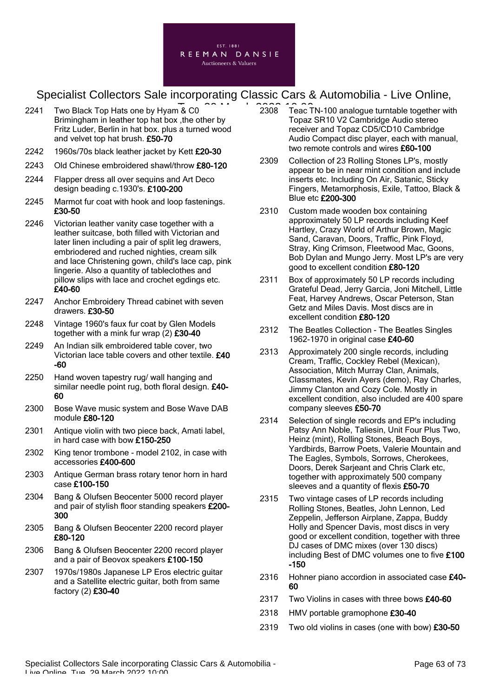

- 2241 Two Black Top Hats one by Hyam & C0 Brimingham in leather top hat box ,the other by Fritz Luder, Berlin in hat box. plus a turned wood and velvet top hat brush. £50-70
- 2242 1960s/70s black leather jacket by Kett £20-30
- 2243 Old Chinese embroidered shawl/throw £80-120
- 2244 Flapper dress all over sequins and Art Deco design beading c.1930's. £100-200
- 2245 Marmot fur coat with hook and loop fastenings. £30-50
- 2246 Victorian leather vanity case together with a leather suitcase, both filled with Victorian and later linen including a pair of split leg drawers, embriodered and ruched nighties, cream silk and lace Christening gown, child's lace cap, pink lingerie. Also a quantity of tableclothes and pillow slips with lace and crochet egdings etc. £40-60
- 2247 Anchor Embroidery Thread cabinet with seven drawers. £30-50
- 2248 Vintage 1960's faux fur coat by Glen Models together with a mink fur wrap (2) £30-40
- 2249 An Indian silk embroidered table cover, two Victorian lace table covers and other textile. £40 -60
- 2250 Hand woven tapestry rug/ wall hanging and similar needle point rug, both floral design. £40-60
- 2300 Bose Wave music system and Bose Wave DAB module £80-120
- 2301 Antique violin with two piece back, Amati label, in hard case with bow £150-250
- 2302 King tenor trombone model 2102, in case with accessories £400-600
- 2303 Antique German brass rotary tenor horn in hard case £100-150
- 2304 Bang & Olufsen Beocenter 5000 record player and pair of stylish floor standing speakers £200- 300
- 2305 Bang & Olufsen Beocenter 2200 record player £80-120
- 2306 Bang & Olufsen Beocenter 2200 record player and a pair of Beovox speakers £100-150
- 2307 1970s/1980s Japanese LP Eros electric guitar and a Satellite electric guitar, both from same factory (2) £30-40
- $\overline{R}$  C0  $\overline{R}$   $\overline{R}$   $\overline{R}$   $\overline{R}$   $\overline{R}$   $\overline{R}$   $\overline{R}$   $\overline{R}$   $\overline{R}$   $\overline{R}$   $\overline{R}$   $\overline{R}$   $\overline{R}$   $\overline{R}$   $\overline{R}$   $\overline{R}$   $\overline{R}$   $\overline{R}$   $\overline{R}$   $\overline{R}$   $\overline{R}$   $\overline{R}$   $\overline{R}$   $\$ Topaz SR10 V2 Cambridge Audio stereo receiver and Topaz CD5/CD10 Cambridge Audio Compact disc player, each with manual, two remote controls and wires £60-100
	- 2309 Collection of 23 Rolling Stones LP's, mostly appear to be in near mint condition and include inserts etc. Including On Air, Satanic, Sticky Fingers, Metamorphosis, Exile, Tattoo, Black & Blue etc £200-300
	- 2310 Custom made wooden box containing approximately 50 LP records including Keef Hartley, Crazy World of Arthur Brown, Magic Sand, Caravan, Doors, Traffic, Pink Floyd, Stray, King Crimson, Fleetwood Mac, Goons, Bob Dylan and Mungo Jerry. Most LP's are very good to excellent condition £80-120
	- 2311 Box of approximately 50 LP records including Grateful Dead, Jerry Garcia, Joni Mitchell, Little Feat, Harvey Andrews, Oscar Peterson, Stan Getz and Miles Davis. Most discs are in excellent condition £80-120
	- 2312 The Beatles Collection The Beatles Singles 1962-1970 in original case £40-60
	- 2313 Approximately 200 single records, including Cream, Traffic, Cockley Rebel (Mexican), Association, Mitch Murray Clan, Animals, Classmates, Kevin Ayers (demo), Ray Charles, Jimmy Clanton and Cozy Cole. Mostly in excellent condition, also included are 400 spare company sleeves £50-70
	- 2314 Selection of single records and EP's including Patsy Ann Noble, Taliesin, Unit Four Plus Two, Heinz (mint), Rolling Stones, Beach Boys, Yardbirds, Barrow Poets, Valerie Mountain and The Eagles, Symbols, Sorrows, Cherokees, Doors, Derek Sarjeant and Chris Clark etc, together with approximately 500 company sleeves and a quantity of flexis £50-70
	- 2315 Two vintage cases of LP records including Rolling Stones, Beatles, John Lennon, Led Zeppelin, Jefferson Airplane, Zappa, Buddy Holly and Spencer Davis, most discs in very good or excellent condition, together with three DJ cases of DMC mixes (over 130 discs) including Best of DMC volumes one to five £100 -150
	- 2316 Hohner piano accordion in associated case £40-60
	- 2317 Two Violins in cases with three bows £40-60
	- 2318 HMV portable gramophone £30-40
	- 2319 Two old violins in cases (one with bow) £30-50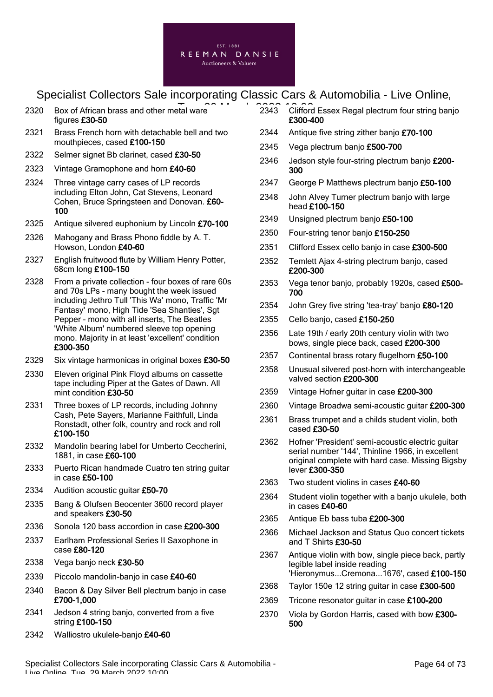

- 2320 Box of African brass and other metal ware **Tues 2014** 2343 Clifford figures £30-50
- 2321 Brass French horn with detachable bell and two mouthpieces, cased £100-150
- 2322 Selmer signet Bb clarinet, cased £30-50

2323 Vintage Gramophone and horn £40-60

- 2324 Three vintage carry cases of LP records including Elton John, Cat Stevens, Leonard Cohen, Bruce Springsteen and Donovan. £60- 100
- 2325 Antique silvered euphonium by Lincoln £70-100
- 2326 Mahogany and Brass Phono fiddle by A. T. Howson, London £40-60
- 2327 English fruitwood flute by William Henry Potter, 68cm long £100-150
- 2328 From a private collection four boxes of rare 60s and 70s LPs - many bought the week issued including Jethro Tull 'This Wa' mono, Traffic 'Mr Fantasy' mono, High Tide 'Sea Shanties', Sgt Pepper - mono with all inserts, The Beatles 'White Album' numbered sleeve top opening mono. Majority in at least 'excellent' condition £300-350
- 2329 Six vintage harmonicas in original boxes £30-50
- 2330 Eleven original Pink Floyd albums on cassette tape including Piper at the Gates of Dawn. All mint condition £30-50
- 2331 Three boxes of LP records, including Johnny Cash, Pete Sayers, Marianne Faithfull, Linda Ronstadt, other folk, country and rock and roll £100-150
- 2332 Mandolin bearing label for Umberto Ceccherini, 1881, in case £60-100
- 2333 Puerto Rican handmade Cuatro ten string guitar in case £50-100
- 2334 Audition acoustic guitar £50-70
- 2335 Bang & Olufsen Beocenter 3600 record player and speakers £30-50
- 2336 Sonola 120 bass accordion in case £200-300
- 2337 Earlham Professional Series II Saxophone in case £80-120
- 2338 Vega banjo neck £30-50
- 2339 Piccolo mandolin-banjo in case £40-60
- 2340 Bacon & Day Silver Bell plectrum banjo in case £700-1,000
- 2341 Jedson 4 string banjo, converted from a five string £100-150
- 2342 Walliostro ukulele-banio £40-60
- 2343 Clifford Essex Regal plectrum four string banjo £300-400
- 2344 Antique five string zither banjo £70-100
- 2345 Vega plectrum banjo £500-700
- 2346 Jedson style four-string plectrum banjo £200-300
- 2347 George P Matthews plectrum banjo £50-100
- 2348 John Alvey Turner plectrum banjo with large head £100-150
- 2349 Unsigned plectrum banjo £50-100
- 2350 Four-string tenor banjo £150-250
- 2351 Clifford Essex cello banjo in case £300-500
- 2352 Temlett Ajax 4-string plectrum banjo, cased £200-300
- 2353 Vega tenor banjo, probably 1920s, cased £500-700
- 2354 John Grey five string 'tea-tray' banjo £80-120
- 2355 Cello banjo, cased £150-250
- 2356 Late 19th / early 20th century violin with two bows, single piece back, cased £200-300
- 2357 Continental brass rotary flugelhorn £50-100
- 2358 Unusual silvered post-horn with interchangeable valved section £200-300
- 2359 Vintage Hofner guitar in case £200-300
- 2360 Vintage Broadwa semi-acoustic quitar £200-300
- 2361 Brass trumpet and a childs student violin, both cased £30-50
- 2362 Hofner 'President' semi-acoustic electric guitar serial number '144', Thinline 1966, in excellent original complete with hard case. Missing Bigsby lever £300-350
- 2363 Two student violins in cases £40-60
- 2364 Student violin together with a banjo ukulele, both in cases £40-60
- 2365 Antique Eb bass tuba £200-300
- 2366 Michael Jackson and Status Quo concert tickets and T Shirts £30-50
- 2367 Antique violin with bow, single piece back, partly legible label inside reading 'Hieronymus...Cremona...1676', cased £100-150
- 2368 Taylor 150e 12 string guitar in case £300-500
- 2369 Tricone resonator guitar in case £100-200
- 2370 Viola by Gordon Harris, cased with bow £300-500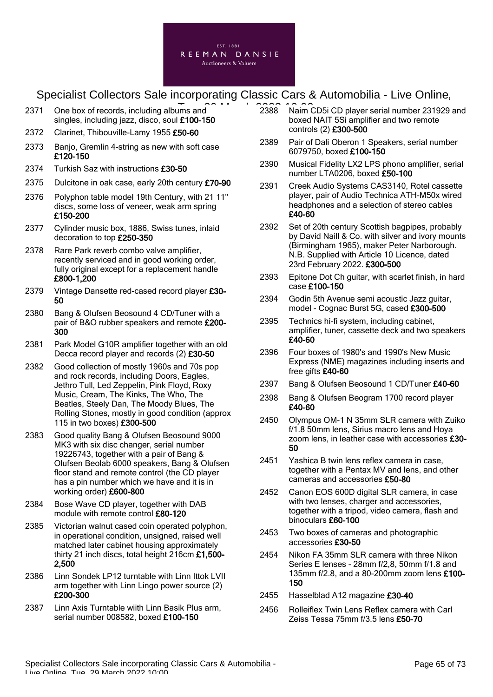

- 2371 One box of records, including albums and **2388** Naim ( singles, including jazz, disco, soul £100-150
- 2372 Clarinet, Thibouville-Lamy 1955 £50-60
- 2373 Banjo, Gremlin 4-string as new with soft case £120-150
- 2374 Turkish Saz with instructions £30-50
- 2375 Dulcitone in oak case, early 20th century £70-90
- 2376 Polyphon table model 19th Century, with 21 11" discs, some loss of veneer, weak arm spring £150-200
- 2377 Cylinder music box, 1886, Swiss tunes, inlaid decoration to top £250-350
- 2378 Rare Park reverb combo valve amplifier, recently serviced and in good working order, fully original except for a replacement handle £800-1,200
- 2379 Vintage Dansette red-cased record player £30-50
- 2380 Bang & Olufsen Beosound 4 CD/Tuner with a pair of B&O rubber speakers and remote £200- 300
- 2381 Park Model G10R amplifier together with an old Decca record player and records (2) £30-50
- 2382 Good collection of mostly 1960s and 70s pop and rock records, including Doors, Eagles, Jethro Tull, Led Zeppelin, Pink Floyd, Roxy Music, Cream, The Kinks, The Who, The Beatles, Steely Dan, The Moody Blues, The Rolling Stones, mostly in good condition (approx 115 in two boxes) £300-500
- 2383 Good quality Bang & Olufsen Beosound 9000 MK3 with six disc changer, serial number 19226743, together with a pair of Bang & Olufsen Beolab 6000 speakers, Bang & Olufsen floor stand and remote control (the CD player has a pin number which we have and it is in working order) £600-800
- 2384 Bose Wave CD player, together with DAB module with remote control £80-120
- 2385 Victorian walnut cased coin operated polyphon, in operational condition, unsigned, raised well matched later cabinet housing approximately thirty 21 inch discs, total height 216cm £1,500- 2,500
- 2386 Linn Sondek LP12 turntable with Linn Ittok LVII arm together with Linn Lingo power source (2) £200-300
- 2387 Linn Axis Turntable wiith Linn Basik Plus arm, serial number 008582, boxed £100-150
- 2388 Naim CD5i CD player serial number 231929 and boxed NAIT 5Si amplifier and two remote controls (2) £300-500
- 2389 Pair of Dali Oberon 1 Speakers, serial number 6079750, boxed £100-150
- 2390 Musical Fidelity LX2 LPS phono amplifier, serial number LTA0206, boxed £50-100
- 2391 Creek Audio Systems CAS3140, Rotel cassette player, pair of Audio Technica ATH-M50x wired headphones and a selection of stereo cables £40-60
- 2392 Set of 20th century Scottish bagpipes, probably by David Naill & Co. with silver and ivory mounts (Birmingham 1965), maker Peter Narborough. N.B. Supplied with Article 10 Licence, dated 23rd February 2022. £300-500
- 2393 Epitone Dot Ch guitar, with scarlet finish, in hard case £100-150
- 2394 Godin 5th Avenue semi acoustic Jazz guitar, model - Cognac Burst 5G, cased £300-500
- 2395 Technics hi-fi system, including cabinet, amplifier, tuner, cassette deck and two speakers £40-60
- 2396 Four boxes of 1980's and 1990's New Music Express (NME) magazines including inserts and free gifts £40-60
- 2397 Bang & Olufsen Beosound 1 CD/Tuner £40-60
- 2398 Bang & Olufsen Beogram 1700 record player £40-60
- 2450 Olympus OM-1 N 35mm SLR camera with Zuiko f/1.8 50mm lens, Sirius macro lens and Hoya zoom lens, in leather case with accessories £30- 50
- 2451 Yashica B twin lens reflex camera in case, together with a Pentax MV and lens, and other cameras and accessories £50-80
- 2452 Canon EOS 600D digital SLR camera, in case with two lenses, charger and accessories, together with a tripod, video camera, flash and binoculars £60-100
- 2453 Two boxes of cameras and photographic accessories £30-50
- 2454 Nikon FA 35mm SLR camera with three Nikon Series E lenses - 28mm f/2,8, 50mm f/1.8 and 135mm f/2.8, and a 80-200mm zoom lens £100- 150
- 2455 Hasselblad A12 magazine £30-40
- 2456 Rolleiflex Twin Lens Reflex camera with Carl Zeiss Tessa 75mm f/3.5 lens £50-70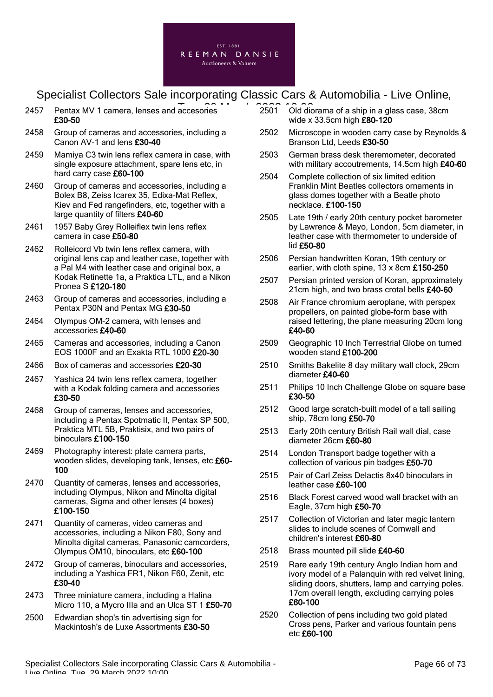

- 2457 Pentax MV 1 camera, lenses and accesories **2501** 2501 Old dic £30-50
- 2458 Group of cameras and accessories, including a Canon AV-1 and lens £30-40
- 2459 Mamiya C3 twin lens reflex camera in case, with single exposure attachment, spare lens etc, in hard carry case £60-100
- 2460 Group of cameras and accessories, including a Bolex B8, Zeiss Icarex 35, Edixa-Mat Reflex, Kiev and Fed rangefinders, etc, together with a large quantity of filters £40-60
- 2461 1957 Baby Grey Rolleiflex twin lens reflex camera in case £50-80
- 2462 Rolleicord Vb twin lens reflex camera, with original lens cap and leather case, together with a Pal M4 with leather case and original box, a Kodak Retinette 1a, a Praktica LTL, and a Nikon Pronea S £120-180
- 2463 Group of cameras and accessories, including a Pentax P30N and Pentax MG £30-50
- 2464 Olympus OM-2 camera, with lenses and accessories £40-60
- 2465 Cameras and accessories, including a Canon EOS 1000F and an Exakta RTL 1000 £20-30
- 2466 Box of cameras and accessories £20-30
- 2467 Yashica 24 twin lens reflex camera, together with a Kodak folding camera and accessories £30-50
- 2468 Group of cameras, lenses and accessories, including a Pentax Spotmatic II, Pentax SP 500, Praktica MTL 5B, Praktisix, and two pairs of binoculars £100-150
- 2469 Photography interest: plate camera parts, wooden slides, developing tank, lenses, etc £60- 100
- 2470 Quantity of cameras, lenses and accessories, including Olympus, Nikon and Minolta digital cameras, Sigma and other lenses (4 boxes) £100-150
- 2471 Quantity of cameras, video cameras and accessories, including a Nikon F80, Sony and Minolta digital cameras, Panasonic camcorders, Olympus OM10, binoculars, etc £60-100
- 2472 Group of cameras, binoculars and accessories, including a Yashica FR1, Nikon F60, Zenit, etc £30-40
- 2473 Three miniature camera, including a Halina Micro 110, a Mycro IIIa and an Ulca ST 1 £50-70
- 2500 Edwardian shop's tin advertising sign for Mackintosh's de Luxe Assortments £30-50
- 2501 Old diorama of a ship in a glass case, 38cm wide x 33.5cm high  $£80-120$
- 2502 Microscope in wooden carry case by Reynolds & Branson Ltd, Leeds £30-50
- 2503 German brass desk theremometer, decorated with military accoutrements, 14.5cm high £40-60
- 2504 Complete collection of six limited edition Franklin Mint Beatles collectors ornaments in glass domes together with a Beatle photo necklace. £100-150
- 2505 Late 19th / early 20th century pocket barometer by Lawrence & Mayo, London, 5cm diameter, in leather case with thermometer to underside of lid £50-80
- 2506 Persian handwritten Koran, 19th century or earlier, with cloth spine, 13 x 8cm £150-250
- 2507 Persian printed version of Koran, approximately 21cm high, and two brass crotal bells £40-60
- 2508 Air France chromium aeroplane, with perspex propellers, on painted globe-form base with raised lettering, the plane measuring 20cm long £40-60
- 2509 Geographic 10 Inch Terrestrial Globe on turned wooden stand £100-200
- 2510 Smiths Bakelite 8 day military wall clock, 29cm diameter £40-60
- 2511 Philips 10 Inch Challenge Globe on square base £30-50
- 2512 Good large scratch-built model of a tall sailing ship, 78cm long £50-70
- 2513 Early 20th century British Rail wall dial, case diameter 26cm £60-80
- 2514 London Transport badge together with a collection of various pin badges £50-70
- 2515 Pair of Carl Zeiss Delactis 8x40 binoculars in leather case £60-100
- 2516 Black Forest carved wood wall bracket with an Eagle, 37cm high £50-70
- 2517 Collection of Victorian and later magic lantern slides to include scenes of Cornwall and children's interest £60-80
- 2518 Brass mounted pill slide £40-60
- 2519 Rare early 19th century Anglo Indian horn and ivory model of a Palanquin with red velvet lining, sliding doors, shutters, lamp and carrying poles. 17cm overall length, excluding carrying poles £60-100
- 2520 Collection of pens including two gold plated Cross pens, Parker and various fountain pens etc £60-100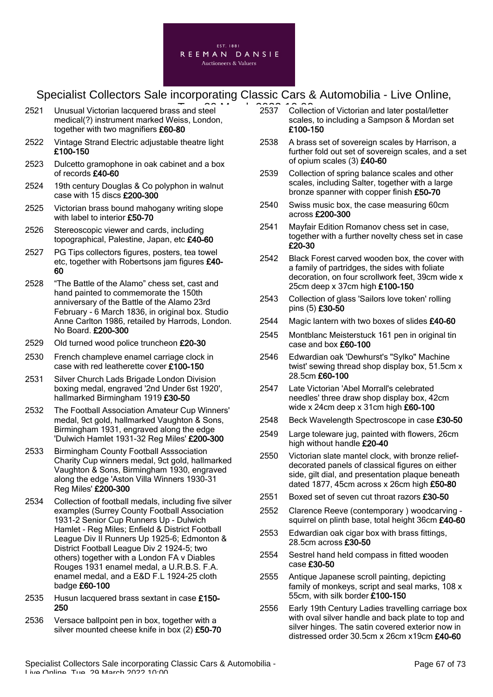

- 2521 Unusual Victorian lacquered brass and steel **2537** 2537 Collect medical(?) instrument marked Weiss, London, together with two magnifiers £60-80
- 2522 Vintage Strand Electric adjustable theatre light £100-150
- 2523 Dulcetto gramophone in oak cabinet and a box of records £40-60
- 2524 19th century Douglas & Co polyphon in walnut case with 15 discs £200-300
- 2525 Victorian brass bound mahogany writing slope with label to interior £50-70
- 2526 Stereoscopic viewer and cards, including topographical, Palestine, Japan, etc £40-60
- 2527 PG Tips collectors figures, posters, tea towel etc, together with Robertsons jam figures £40- 60
- 2528 "The Battle of the Alamo" chess set, cast and hand painted to commemorate the 150th anniversary of the Battle of the Alamo 23rd February - 6 March 1836, in original box. Studio Anne Carlton 1986, retailed by Harrods, London. No Board. £200-300
- 2529 Old turned wood police truncheon £20-30
- 2530 French champleve enamel carriage clock in case with red leatherette cover £100-150
- 2531 Silver Church Lads Brigade London Division boxing medal, engraved '2nd Under 6st 1920', hallmarked Birmingham 1919 £30-50
- 2532 The Football Association Amateur Cup Winners' medal, 9ct gold, hallmarked Vaughton & Sons, Birmingham 1931, engraved along the edge 'Dulwich Hamlet 1931-32 Reg Miles' £200-300
- 2533 Birmingham County Football Asssociation Charity Cup winners medal, 9ct gold, hallmarked Vaughton & Sons, Birmingham 1930, engraved along the edge 'Aston Villa Winners 1930-31 Reg Miles' £200-300
- 2534 Collection of football medals, including five silver examples (Surrey County Football Association 1931-2 Senior Cup Runners Up - Dulwich Hamlet - Reg Miles; Enfield & District Football League Div II Runners Up 1925-6; Edmonton & District Football League Div 2 1924-5; two others) together with a London FA v Diables Rouges 1931 enamel medal, a U.R.B.S. F.A. enamel medal, and a E&D F.L 1924-25 cloth badge £60-100
- 2535 Husun lacquered brass sextant in case £150-250
- 2536 Versace ballpoint pen in box, together with a silver mounted cheese knife in box (2) £50-70
- 2537 Collection of Victorian and later postal/letter scales, to including a Sampson & Mordan set £100-150
- 2538 A brass set of sovereign scales by Harrison, a further fold out set of sovereign scales, and a set of opium scales (3) £40-60
- 2539 Collection of spring balance scales and other scales, including Salter, together with a large bronze spanner with copper finish £50-70
- 2540 Swiss music box, the case measuring 60cm across £200-300
- 2541 Mayfair Edition Romanov chess set in case, together with a further novelty chess set in case £20-30
- 2542 Black Forest carved wooden box, the cover with a family of partridges, the sides with foliate decoration, on four scrollwork feet, 39cm wide x 25cm deep x 37cm high £100-150
- 2543 Collection of glass 'Sailors love token' rolling pins (5) £30-50
- 2544 Magic lantern with two boxes of slides £40-60
- 2545 Montblanc Meisterstuck 161 pen in original tin case and box £60-100
- 2546 Edwardian oak 'Dewhurst's "Sylko" Machine twist' sewing thread shop display box, 51.5cm x 28.5cm £60-100
- 2547 Late Victorian 'Abel Morrall's celebrated needles' three draw shop display box, 42cm wide x 24cm deep x 31cm high £60-100
- 2548 Beck Wavelength Spectroscope in case £30-50
- 2549 Large toleware jug, painted with flowers, 26cm high without handle £20-40
- 2550 Victorian slate mantel clock, with bronze reliefdecorated panels of classical figures on either side, gilt dial, and presentation plaque beneath dated 1877, 45cm across x 26cm high £50-80
- 2551 Boxed set of seven cut throat razors £30-50
- 2552 Clarence Reeve (contemporary ) woodcarving squirrel on plinth base, total height 36cm £40-60
- 2553 Edwardian oak cigar box with brass fittings, 28.5cm across £30-50
- 2554 Sestrel hand held compass in fitted wooden case £30-50
- 2555 Antique Japanese scroll painting, depicting family of monkeys, script and seal marks, 108 x 55cm, with silk border £100-150
- 2556 Early 19th Century Ladies travelling carriage box with oval silver handle and back plate to top and silver hinges. The satin covered exterior now in distressed order 30.5cm x 26cm x19cm £40-60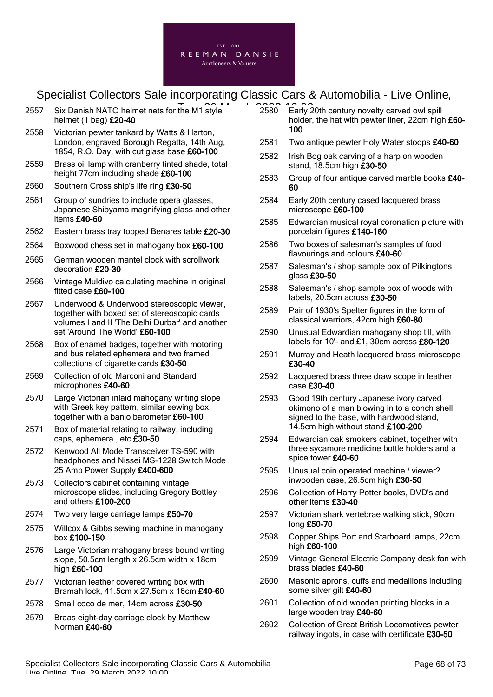

- 2557 Six Danish NATO helmet nets for the M1 style **2580** Early 2 helmet (1 bag) £20-40
- 2558 Victorian pewter tankard by Watts & Harton, London, engraved Borough Regatta, 14th Aug, 1854, R.O. Day, with cut glass base £60-100
- 2559 Brass oil lamp with cranberry tinted shade, total height 77cm including shade £60-100
- 2560 Southern Cross ship's life ring £30-50
- 2561 Group of sundries to include opera glasses, Japanese Shibyama magnifying glass and other items £40-60
- 2562 Eastern brass tray topped Benares table £20-30
- 2564 Boxwood chess set in mahogany box £60-100
- 2565 German wooden mantel clock with scrollwork decoration £20-30
- 2566 Vintage Muldivo calculating machine in original fitted case £60-100
- 2567 Underwood & Underwood stereoscopic viewer, together with boxed set of stereoscopic cards volumes I and II 'The Delhi Durbar' and another set 'Around The World' £60-100
- 2568 Box of enamel badges, together with motoring and bus related ephemera and two framed collections of cigarette cards £30-50
- 2569 Collection of old Marconi and Standard microphones £40-60
- 2570 Large Victorian inlaid mahogany writing slope with Greek key pattern, similar sewing box, together with a banjo barometer £60-100
- 2571 Box of material relating to railway, including caps, ephemera , etc £30-50
- 2572 Kenwood All Mode Transceiver TS-590 with headphones and Nissei MS-1228 Switch Mode 25 Amp Power Supply £400-600
- 2573 Collectors cabinet containing vintage microscope slides, including Gregory Bottley and others £100-200
- 2574 Two very large carriage lamps £50-70
- 2575 Willcox & Gibbs sewing machine in mahogany box £100-150
- 2576 Large Victorian mahogany brass bound writing slope, 50.5cm length x 26.5cm width x 18cm high £60-100
- 2577 Victorian leather covered writing box with Bramah lock, 41.5cm x 27.5cm x 16cm £40-60
- 2578 Small coco de mer, 14cm across £30-50
- 2579 Braas eight-day carriage clock by Matthew Norman £40-60
- 2580 Early 20th century novelty carved owl spill holder, the hat with pewter liner, 22cm high £60- 100
- 2581 Two antique pewter Holy Water stoops £40-60
- 2582 Irish Bog oak carving of a harp on wooden stand, 18.5cm high £30-50
- 2583 Group of four antique carved marble books £40-60
- 2584 Early 20th century cased lacquered brass microscope £60-100
- 2585 Edwardian musical royal coronation picture with porcelain figures £140-160
- 2586 Two boxes of salesman's samples of food flavourings and colours £40-60
- 2587 Salesman's / shop sample box of Pilkingtons glass £30-50
- 2588 Salesman's / shop sample box of woods with labels, 20.5cm across £30-50
- 2589 Pair of 1930's Spelter figures in the form of classical warriors, 42cm high £60-80
- 2590 Unusual Edwardian mahogany shop till, with labels for 10'- and £1, 30cm across £80-120
- 2591 Murray and Heath lacquered brass microscope £30-40
- 2592 Lacquered brass three draw scope in leather case £30-40
- 2593 Good 19th century Japanese ivory carved okimono of a man blowing in to a conch shell, signed to the base, with hardwood stand, 14.5cm high without stand £100-200
- 2594 Edwardian oak smokers cabinet, together with three sycamore medicine bottle holders and a spice tower £40-60
- 2595 Unusual coin operated machine / viewer? inwooden case, 26.5cm high £30-50
- 2596 Collection of Harry Potter books, DVD's and other items £30-40
- 2597 Victorian shark vertebrae walking stick, 90cm long £50-70
- 2598 Copper Ships Port and Starboard lamps, 22cm high £60-100
- 2599 Vintage General Electric Company desk fan with brass blades £40-60
- 2600 Masonic aprons, cuffs and medallions including some silver gilt £40-60
- 2601 Collection of old wooden printing blocks in a large wooden tray £40-60
- 2602 Collection of Great British Locomotives pewter railway ingots, in case with certificate £30-50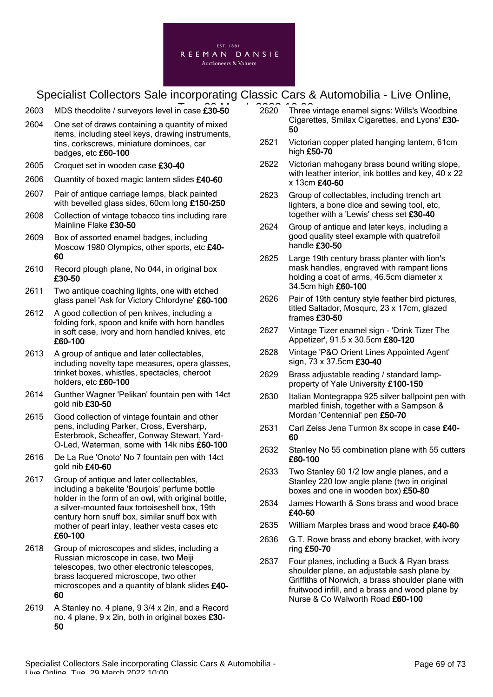

- $2603$  MDS theodolite / surveyors level in case  $\widehat{\mathbf{230}}$ -50  $\widehat{\mathbf{2620}}$  10:00
- 2604 One set of draws containing a quantity of mixed items, including steel keys, drawing instruments, tins, corkscrews, miniature dominoes, car badges, etc £60-100
- 2605 Croquet set in wooden case £30-40
- 2606 Quantity of boxed magic lantern slides £40-60
- 2607 Pair of antique carriage lamps, black painted with bevelled glass sides, 60cm long £150-250
- 2608 Collection of vintage tobacco tins including rare Mainline Flake £30-50
- 2609 Box of assorted enamel badges, including Moscow 1980 Olympics, other sports, etc £40-60
- 2610 Record plough plane, No 044, in original box £30-50
- 2611 Two antique coaching lights, one with etched glass panel 'Ask for Victory Chlordyne' £60-100
- 2612 A good collection of pen knives, including a folding fork, spoon and knife with horn handles in soft case, ivory and horn handled knives, etc £60-100
- 2613 A group of antique and later collectables, including novelty tape measures, opera glasses, trinket boxes, whistles, spectacles, cheroot holders, etc £60-100
- 2614 Gunther Wagner 'Pelikan' fountain pen with 14ct gold nib £30-50
- 2615 Good collection of vintage fountain and other pens, including Parker, Cross, Eversharp, Esterbrook, Scheaffer, Conway Stewart, Yard-O-Led, Waterman, some with 14k nibs £60-100
- 2616 De La Rue 'Onoto' No 7 fountain pen with 14ct gold nib £40-60
- 2617 Group of antique and later collectables. including a bakelite 'Bourjois' perfume bottle holder in the form of an owl, with original bottle, a silver-mounted faux tortoiseshell box, 19th century horn snuff box, similar snuff box with mother of pearl inlay, leather vesta cases etc £60-100
- 2618 Group of microscopes and slides, including a Russian microscope in case, two Meiji telescopes, two other electronic telescopes, brass lacquered microscope, two other microscopes and a quantity of blank slides £40-60
- 2619 A Stanley no. 4 plane, 9 3/4 x 2in, and a Record no. 4 plane, 9 x 2in, both in original boxes £30- 50
- 2620 Three vintage enamel signs: Wills's Woodbine Cigarettes, Smilax Cigarettes, and Lyons' £30- 50
- 2621 Victorian copper plated hanging lantern, 61cm high £50-70
- 2622 Victorian mahogany brass bound writing slope, with leather interior, ink bottles and key, 40 x 22 x 13cm £40-60
- 2623 Group of collectables, including trench art lighters, a bone dice and sewing tool, etc, together with a 'Lewis' chess set £30-40
- 2624 Group of antique and later keys, including a good quality steel example with quatrefoil handle £30-50
- 2625 Large 19th century brass planter with lion's mask handles, engraved with rampant lions holding a coat of arms, 46.5cm diameter x 34.5cm high £60-100
- 2626 Pair of 19th century style feather bird pictures, titled Saltador, Mosqurc, 23 x 17cm, glazed frames £30-50
- 2627 Vintage Tizer enamel sign 'Drink Tizer The Appetizer', 91.5 x 30.5cm £80-120
- 2628 Vintage 'P&O Orient Lines Appointed Agent' sign, 73 x 37.5cm £30-40
- 2629 Brass adjustable reading / standard lampproperty of Yale University £100-150
- 2630 Italian Montegrappa 925 silver ballpoint pen with marbled finish, together with a Sampson & Mordan 'Centennial' pen £50-70
- 2631 Carl Zeiss Jena Turmon 8x scope in case £40-60
- 2632 Stanley No 55 combination plane with 55 cutters £60-100
- 2633 Two Stanley 60 1/2 low angle planes, and a Stanley 220 low angle plane (two in original boxes and one in wooden box) £50-80
- 2634 James Howarth & Sons brass and wood brace £40-60
- 2635 William Marples brass and wood brace £40-60
- 2636 G.T. Rowe brass and ebony bracket, with ivory ring £50-70
- 2637 Four planes, including a Buck & Ryan brass shoulder plane, an adjustable sash plane by Griffiths of Norwich, a brass shoulder plane with fruitwood infill, and a brass and wood plane by Nurse & Co Walworth Road £60-100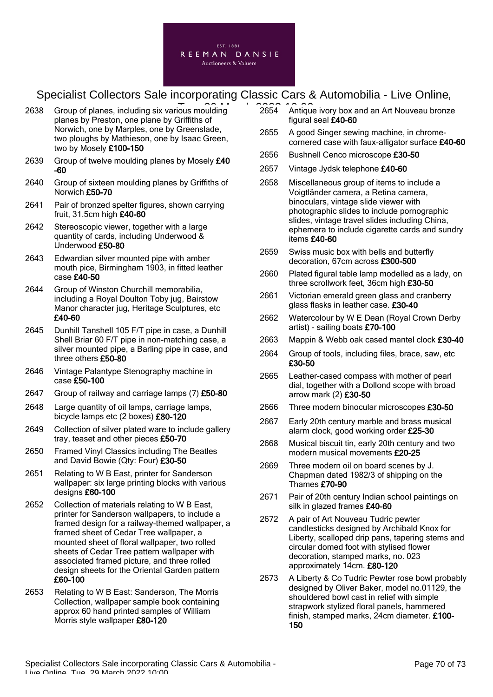

- 2638 Group of planes, including six various moulding 2654 Antique planes by Preston, one plane by Griffiths of Norwich, one by Marples, one by Greenslade, two ploughs by Mathieson, one by Isaac Green, two by Mosely £100-150
- 2639 Group of twelve moulding planes by Mosely £40 -60
- 2640 Group of sixteen moulding planes by Griffiths of Norwich £50-70
- 2641 Pair of bronzed spelter figures, shown carrying fruit, 31.5cm high £40-60
- 2642 Stereoscopic viewer, together with a large quantity of cards, including Underwood & Underwood £50-80
- 2643 Edwardian silver mounted pipe with amber mouth pice, Birmingham 1903, in fitted leather case £40-50
- 2644 Group of Winston Churchill memorabilia, including a Royal Doulton Toby jug, Bairstow Manor character jug, Heritage Sculptures, etc £40-60
- 2645 Dunhill Tanshell 105 F/T pipe in case, a Dunhill Shell Briar 60 F/T pipe in non-matching case, a silver mounted pipe, a Barling pipe in case, and three others £50-80
- 2646 Vintage Palantype Stenography machine in case £50-100
- 2647 Group of railway and carriage lamps (7) £50-80
- 2648 Large quantity of oil lamps, carriage lamps, bicycle lamps etc (2 boxes) £80-120
- 2649 Collection of silver plated ware to include gallery tray, teaset and other pieces £50-70
- 2650 Framed Vinyl Classics including The Beatles and David Bowie (Qty: Four) £30-50
- 2651 Relating to W B East, printer for Sanderson wallpaper: six large printing blocks with various designs £60-100
- 2652 Collection of materials relating to W B East, printer for Sanderson wallpapers, to include a framed design for a railway-themed wallpaper, a framed sheet of Cedar Tree wallpaper, a mounted sheet of floral wallpaper, two rolled sheets of Cedar Tree pattern wallpaper with associated framed picture, and three rolled design sheets for the Oriental Garden pattern £60-100
- 2653 Relating to W B East: Sanderson, The Morris Collection, wallpaper sample book containing approx 60 hand printed samples of William Morris style wallpaper £80-120
- 2654 Antique ivory box and an Art Nouveau bronze figural seal £40-60
- 2655 A good Singer sewing machine, in chromecornered case with faux-alligator surface £40-60
- 2656 Bushnell Cenco microscope £30-50
- 2657 Vintage Jydsk telephone £40-60
- 2658 Miscellaneous group of items to include a Voigtländer camera, a Retina camera, binoculars, vintage slide viewer with photographic slides to include pornographic slides, vintage travel slides including China, ephemera to include cigarette cards and sundry items £40-60
- 2659 Swiss music box with bells and butterfly decoration, 67cm across £300-500
- 2660 Plated figural table lamp modelled as a lady, on three scrollwork feet, 36cm high £30-50
- 2661 Victorian emerald green glass and cranberry glass flasks in leather case. £30-40
- 2662 Watercolour by W E Dean (Royal Crown Derby artist) - sailing boats £70-100
- 2663 Mappin & Webb oak cased mantel clock £30-40
- 2664 Group of tools, including files, brace, saw, etc £30-50
- 2665 Leather-cased compass with mother of pearl dial, together with a Dollond scope with broad arrow mark (2) £30-50
- 2666 Three modern binocular microscopes £30-50
- 2667 Early 20th century marble and brass musical alarm clock, good working order £25-30
- 2668 Musical biscuit tin, early 20th century and two modern musical movements £20-25
- 2669 Three modern oil on board scenes by J. Chapman dated 1982/3 of shipping on the Thames £70-90
- 2671 Pair of 20th century Indian school paintings on silk in glazed frames £40-60
- 2672 A pair of Art Nouveau Tudric pewter candlesticks designed by Archibald Knox for Liberty, scalloped drip pans, tapering stems and circular domed foot with stylised flower decoration, stamped marks, no. 023 approximately 14cm. £80-120
- 2673 A Liberty & Co Tudric Pewter rose bowl probably designed by Oliver Baker, model no.01129, the shouldered bowl cast in relief with simple strapwork stylized floral panels, hammered finish, stamped marks, 24cm diameter. £100- 150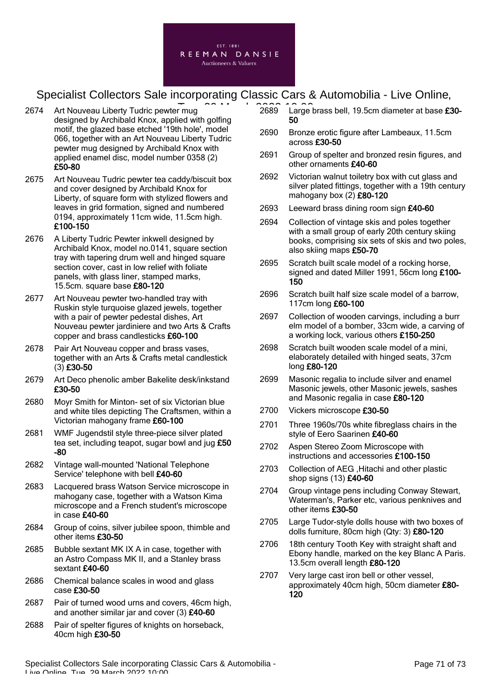

- 2674 Art Nouveau Liberty Tudric pewter mug designed by Archibald Knox, applied with golfing motif, the glazed base etched '19th hole', model 066, together with an Art Nouveau Liberty Tudric pewter mug designed by Archibald Knox with applied enamel disc, model number 0358 (2) £50-80
- 2675 Art Nouveau Tudric pewter tea caddy/biscuit box and cover designed by Archibald Knox for Liberty, of square form with stylized flowers and leaves in grid formation, signed and numbered 0194, approximately 11cm wide, 11.5cm high. £100-150
- 2676 A Liberty Tudric Pewter inkwell designed by Archibald Knox, model no.0141, square section tray with tapering drum well and hinged square section cover, cast in low relief with foliate panels, with glass liner, stamped marks, 15.5cm. square base £80-120
- 2677 Art Nouveau pewter two-handled tray with Ruskin style turquoise glazed jewels, together with a pair of pewter pedestal dishes, Art Nouveau pewter jardiniere and two Arts & Crafts copper and brass candlesticks £60-100
- 2678 Pair Art Nouveau copper and brass vases, together with an Arts & Crafts metal candlestick (3) £30-50
- 2679 Art Deco phenolic amber Bakelite desk/inkstand £30-50
- 2680 Moyr Smith for Minton- set of six Victorian blue and white tiles depicting The Craftsmen, within a Victorian mahogany frame £60-100
- 2681 WMF Jugendstil style three-piece silver plated tea set, including teapot, sugar bowl and jug £50 -80
- 2682 Vintage wall-mounted 'National Telephone Service' telephone with bell £40-60
- 2683 Lacquered brass Watson Service microscope in mahogany case, together with a Watson Kima microscope and a French student's microscope in case £40-60
- 2684 Group of coins, silver jubilee spoon, thimble and other items £30-50
- 2685 Bubble sextant MK IX A in case, together with an Astro Compass MK II, and a Stanley brass sextant £40-60
- 2686 Chemical balance scales in wood and glass case £30-50
- 2687 Pair of turned wood urns and covers, 46cm high, and another similar jar and cover  $(3)$  £40-60
- 2688 Pair of spelter figures of knights on horseback, 40cm high £30-50
- 2689 Large brass bell, 19.5cm diameter at base £30- Tue, 29 March 2022 10:0050
	- 2690 Bronze erotic figure after Lambeaux, 11.5cm across £30-50
	- 2691 Group of spelter and bronzed resin figures, and other ornaments £40-60
	- 2692 Victorian walnut toiletry box with cut glass and silver plated fittings, together with a 19th century mahogany box (2) £80-120
	- 2693 Leeward brass dining room sign £40-60
	- 2694 Collection of vintage skis and poles together with a small group of early 20th century skiing books, comprising six sets of skis and two poles, also skiing maps £50-70
	- 2695 Scratch built scale model of a rocking horse, signed and dated Miller 1991, 56cm long £100- 150
	- 2696 Scratch built half size scale model of a barrow, 117cm long £60-100
	- 2697 Collection of wooden carvings, including a burr elm model of a bomber, 33cm wide, a carving of a working lock, various others £150-250
	- 2698 Scratch built wooden scale model of a mini, elaborately detailed with hinged seats, 37cm long £80-120
	- 2699 Masonic regalia to include silver and enamel Masonic jewels, other Masonic jewels, sashes and Masonic regalia in case £80-120
	- 2700 Vickers microscope £30-50
	- 2701 Three 1960s/70s white fibreglass chairs in the style of Eero Saarinen £40-60
	- 2702 Aspen Stereo Zoom Microscope with instructions and accessories £100-150
	- 2703 Collection of AEG ,Hitachi and other plastic shop signs (13) £40-60
	- 2704 Group vintage pens including Conway Stewart, Waterman's, Parker etc, various penknives and other items £30-50
	- 2705 Large Tudor-style dolls house with two boxes of dolls furniture, 80cm high (Qty: 3) £80-120
	- 2706 18th century Tooth Key with straight shaft and Ebony handle, marked on the key Blanc A Paris. 13.5cm overall length £80-120
	- 2707 Very large cast iron bell or other vessel, approximately 40cm high, 50cm diameter £80- 120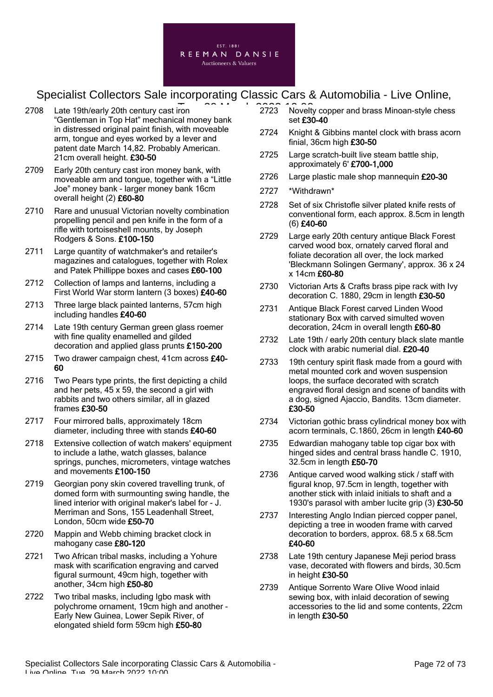

- 2708 Late 19th/early 20th century cast iron "Gentleman in Top Hat" mechanical money bank in distressed original paint finish, with moveable arm, tongue and eyes worked by a lever and patent date March 14,82. Probably American. 21cm overall height. £30-50
- 2709 Early 20th century cast iron money bank, with moveable arm and tongue, together with a "Little Joe" money bank - larger money bank 16cm overall height (2) £60-80
- 2710 Rare and unusual Victorian novelty combination propelling pencil and pen knife in the form of a rifle with tortoiseshell mounts, by Joseph Rodgers & Sons. £100-150
- 2711 Large quantity of watchmaker's and retailer's magazines and catalogues, together with Rolex and Patek Phillippe boxes and cases £60-100
- 2712 Collection of lamps and lanterns, including a First World War storm lantern (3 boxes) £40-60
- 2713 Three large black painted lanterns, 57cm high including handles £40-60
- 2714 Late 19th century German green glass roemer with fine quality enamelled and gilded decoration and applied glass prunts £150-200
- 2715 Two drawer campaign chest, 41cm across £40-60
- 2716 Two Pears type prints, the first depicting a child and her pets, 45 x 59, the second a girl with rabbits and two others similar, all in glazed frames £30-50
- 2717 Four mirrored balls, approximately 18cm diameter, including three with stands £40-60
- 2718 Extensive collection of watch makers' equipment to include a lathe, watch glasses, balance springs, punches, micrometers, vintage watches and movements £100-150
- 2719 Georgian pony skin covered travelling trunk, of domed form with surmounting swing handle, the lined interior with original maker's label for - J. Merriman and Sons, 155 Leadenhall Street, London, 50cm wide £50-70
- 2720 Mappin and Webb chiming bracket clock in mahogany case £80-120
- 2721 Two African tribal masks, including a Yohure mask with scarification engraving and carved figural surmount, 49cm high, together with another, 34cm high £50-80
- 2722 Two tribal masks, including Igbo mask with polychrome ornament, 19cm high and another - Early New Guinea, Lower Sepik River, of elongated shield form 59cm high £50-80
- F 2223 Novelty copper and brass Minoan-style chess set £30-40
	- 2724 Knight & Gibbins mantel clock with brass acorn finial, 36cm high £30-50
	- 2725 Large scratch-built live steam battle ship, approximately 6' £700-1,000
	- 2726 Large plastic male shop mannequin £20-30
	- 2727 \*Withdrawn\*
	- 2728 Set of six Christofle silver plated knife rests of conventional form, each approx. 8.5cm in length (6) £40-60
	- 2729 Large early 20th century antique Black Forest carved wood box, ornately carved floral and foliate decoration all over, the lock marked 'Bleckmann Solingen Germany', approx. 36 x 24 x 14cm £60-80
	- 2730 Victorian Arts & Crafts brass pipe rack with Ivy decoration C. 1880, 29cm in length £30-50
	- 2731 Antique Black Forest carved Linden Wood stationary Box with carved simulted woven decoration, 24cm in overall length £60-80
	- 2732 Late 19th / early 20th century black slate mantle clock with arabic numerial dial. £20-40
	- 2733 19th century spirit flask made from a gourd with metal mounted cork and woven suspension loops, the surface decorated with scratch engraved floral design and scene of bandits with a dog, signed Ajaccio, Bandits. 13cm diameter. £30-50
	- 2734 Victorian gothic brass cylindrical money box with acorn terminals, C.1860, 26cm in length £40-60
	- 2735 Edwardian mahogany table top cigar box with hinged sides and central brass handle C. 1910, 32.5cm in length £50-70
	- 2736 Antique carved wood walking stick / staff with figural knop, 97.5cm in length, together with another stick with inlaid initials to shaft and a 1930's parasol with amber lucite grip (3) £30-50
	- 2737 Interesting Anglo Indian pierced copper panel, depicting a tree in wooden frame with carved decoration to borders, approx. 68.5 x 68.5cm £40-60
	- 2738 Late 19th century Japanese Meji period brass vase, decorated with flowers and birds, 30.5cm in height £30-50
	- 2739 Antique Sorrento Ware Olive Wood inlaid sewing box, with inlaid decoration of sewing accessories to the lid and some contents, 22cm in length £30-50